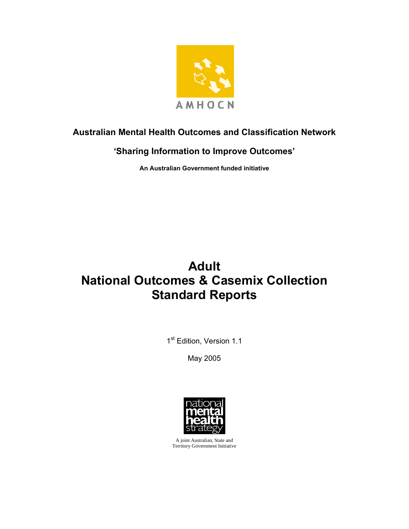

# **Australian Mental Health Outcomes and Classification Network**

# **'Sharing Information to Improve Outcomes'**

**An Australian Government funded initiative** 

# **Adult National Outcomes & Casemix Collection Standard Reports**

1st Edition, Version 1.1

May 2005



A joint Australian, State and Territory Government Initiative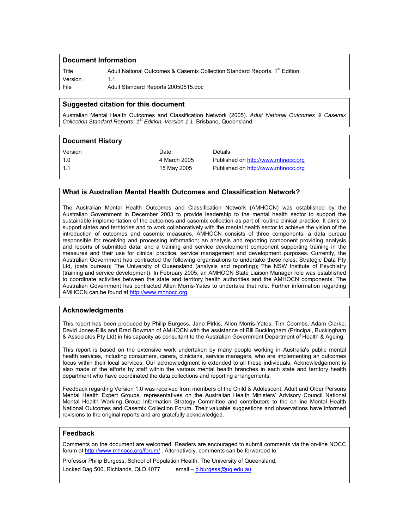#### **Document Information**

 $\overline{a}$ 

 $\overline{a}$ 

Title **Adult National Outcomes & Casemix Collection Standard Reports. 1<sup>st</sup> Edition** Version 1.1 File Adult Standard Reports 20050515.doc

#### **Suggested citation for this document**

Australian Mental Health Outcomes and Classification Network (2005). *Adult National Outcomes & Casemix Collection Standard Reports. 1st Edition, Version 1.1*. Brisbane, Queensland.

| <b>Document History</b> |              |                                    |
|-------------------------|--------------|------------------------------------|
| Version                 | Date         | Details                            |
| 1.0                     | 4 March 2005 | Published on http://www.mhnocc.org |
| $-1.1$                  | 15 May 2005  | Published on http://www.mhnocc.org |
|                         |              |                                    |

#### **What is Australian Mental Health Outcomes and Classification Network?**

The Australian Mental Health Outcomes and Classification Network (AMHOCN) was established by the Australian Government in December 2003 to provide leadership to the mental health sector to support the sustainable implementation of the outcomes and casemix collection as part of routine clinical practice. It aims to support states and territories and to work collaboratively with the mental health sector to achieve the vision of the introduction of outcomes and casemix measures. AMHOCN consists of three components: a data bureau responsible for receiving and processing information; an analysis and reporting component providing analysis and reports of submitted data; and a training and service development component supporting training in the measures and their use for clinical practice, service management and development purposes. Currently, the Australian Government has contracted the following organisations to undertake these roles: Strategic Data Pty Ltd, (data bureau); The University of Queensland (analysis and reporting); The NSW Institute of Psychiatry (training and service development). In February 2005, an AMHOCN State Liaison Manager role was established to coordinate activities between the state and territory health authorities and the AMHOCN components. The Australian Government has contracted Allen Morris-Yates to undertake that role. Further information regarding AMHOCN can be found at http://www.mhnocc.org.

#### **Acknowledgments**

This report has been produced by Philip Burgess, Jane Pirkis, Allen Morris-Yates, Tim Coombs, Adam Clarke, David Jones-Ellis and Brad Bowman of AMHOCN with the assistance of Bill Buckingham (Principal, Buckingham & Associates Pty Ltd) in his capacity as consultant to the Australian Government Department of Health & Ageing.

This report is based on the extensive work undertaken by many people working in Australia's public mental health services, including consumers, carers, clinicians, service managers, who are implementing an outcomes focus within their local services. Our acknowledgment is extended to all these individuals. Acknowledgement is also made of the efforts by staff within the various mental health branches in each state and territory health department who have coordinated the data collections and reporting arrangements.

Feedback regarding Version 1.0 was received from members of the Child & Adolescent, Adult and Older Persons Mental Health Expert Groups, representatives on the Australian Health Ministers' Advisory Council National Mental Health Working Group Information Strategy Committee and contributors to the on-line Mental Health National Outcomes and Casemix Collection Forum. Their valuable suggestions and observations have informed revisions to the original reports and are gratefully acknowledged.

#### **Feedback**

Comments on the document are welcomed. Readers are encouraged to submit comments via the on-line NOCC forum at http://www.mhnocc.org/forum/ . Alternatively, comments can be forwarded to:

Professor Philip Burgess, School of Population Health, The University of Queensland, Locked Bag 500, Richlands, QLD 4077. email – p.burgess@uq.edu.au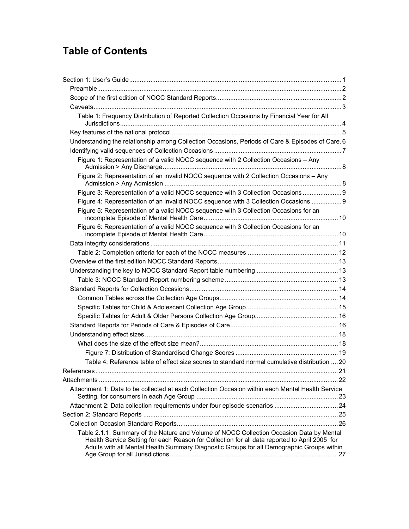# **Table of Contents**

| Table 1: Frequency Distribution of Reported Collection Occasions by Financial Year for All                                                                                                                                                                                             |  |
|----------------------------------------------------------------------------------------------------------------------------------------------------------------------------------------------------------------------------------------------------------------------------------------|--|
|                                                                                                                                                                                                                                                                                        |  |
| Understanding the relationship among Collection Occasions, Periods of Care & Episodes of Care. 6                                                                                                                                                                                       |  |
|                                                                                                                                                                                                                                                                                        |  |
| Figure 1: Representation of a valid NOCC sequence with 2 Collection Occasions - Any                                                                                                                                                                                                    |  |
| Figure 2: Representation of an invalid NOCC sequence with 2 Collection Occasions - Any                                                                                                                                                                                                 |  |
| Figure 3: Representation of a valid NOCC sequence with 3 Collection Occasions 9                                                                                                                                                                                                        |  |
| Figure 4: Representation of an invalid NOCC sequence with 3 Collection Occasions  9                                                                                                                                                                                                    |  |
| Figure 5: Representation of a valid NOCC sequence with 3 Collection Occasions for an                                                                                                                                                                                                   |  |
| Figure 6: Representation of a valid NOCC sequence with 3 Collection Occasions for an                                                                                                                                                                                                   |  |
|                                                                                                                                                                                                                                                                                        |  |
|                                                                                                                                                                                                                                                                                        |  |
|                                                                                                                                                                                                                                                                                        |  |
|                                                                                                                                                                                                                                                                                        |  |
|                                                                                                                                                                                                                                                                                        |  |
|                                                                                                                                                                                                                                                                                        |  |
|                                                                                                                                                                                                                                                                                        |  |
|                                                                                                                                                                                                                                                                                        |  |
|                                                                                                                                                                                                                                                                                        |  |
|                                                                                                                                                                                                                                                                                        |  |
|                                                                                                                                                                                                                                                                                        |  |
|                                                                                                                                                                                                                                                                                        |  |
|                                                                                                                                                                                                                                                                                        |  |
| Table 4: Reference table of effect size scores to standard normal cumulative distribution  20                                                                                                                                                                                          |  |
|                                                                                                                                                                                                                                                                                        |  |
|                                                                                                                                                                                                                                                                                        |  |
| Attachment 1: Data to be collected at each Collection Occasion within each Mental Health Service                                                                                                                                                                                       |  |
| Attachment 2: Data collection requirements under four episode scenarios  24                                                                                                                                                                                                            |  |
|                                                                                                                                                                                                                                                                                        |  |
|                                                                                                                                                                                                                                                                                        |  |
| Table 2.1.1: Summary of the Nature and Volume of NOCC Collection Occasion Data by Mental<br>Health Service Setting for each Reason for Collection for all data reported to April 2005 for<br>Adults with all Mental Health Summary Diagnostic Groups for all Demographic Groups within |  |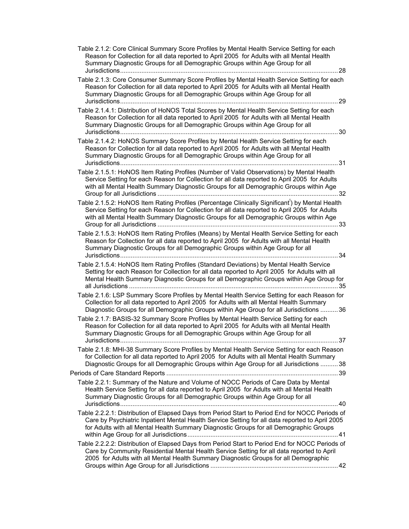Table 2.1.2: Core Clinical Summary Score Profiles by Mental Health Service Setting for each Reason for Collection for all data reported to April 2005 for Adults with all Mental Health Summary Diagnostic Groups for all Demographic Groups within Age Group for all Jurisdictions...........................................................................................................................28 Table 2.1.3: Core Consumer Summary Score Profiles by Mental Health Service Setting for each Reason for Collection for all data reported to April 2005 for Adults with all Mental Health Summary Diagnostic Groups for all Demographic Groups within Age Group for all Jurisdictions...........................................................................................................................29 Table 2.1.4.1: Distribution of HoNOS Total Scores by Mental Health Service Setting for each Reason for Collection for all data reported to April 2005 for Adults with all Mental Health Summary Diagnostic Groups for all Demographic Groups within Age Group for all Jurisdictions...........................................................................................................................30 Table 2.1.4.2: HoNOS Summary Score Profiles by Mental Health Service Setting for each Reason for Collection for all data reported to April 2005 for Adults with all Mental Health Summary Diagnostic Groups for all Demographic Groups within Age Group for all Jurisdictions...........................................................................................................................31 Table 2.1.5.1: HoNOS Item Rating Profiles (Number of Valid Observations) by Mental Health Service Setting for each Reason for Collection for all data reported to April 2005 for Adults with all Mental Health Summary Diagnostic Groups for all Demographic Groups within Age Group for all Jurisdictions ......................................................................................................32 Table 2.1.5.2: HoNOS Item Rating Profiles (Percentage Clinically Significant<sup>1</sup>) by Mental Health Service Setting for each Reason for Collection for all data reported to April 2005 for Adults with all Mental Health Summary Diagnostic Groups for all Demographic Groups within Age Group for all Jurisdictions ......................................................................................................33 Table 2.1.5.3: HoNOS Item Rating Profiles (Means) by Mental Health Service Setting for each Reason for Collection for all data reported to April 2005 for Adults with all Mental Health Summary Diagnostic Groups for all Demographic Groups within Age Group for all Jurisdictions...........................................................................................................................34 Table 2.1.5.4: HoNOS Item Rating Profiles (Standard Deviations) by Mental Health Service Setting for each Reason for Collection for all data reported to April 2005 for Adults with all Mental Health Summary Diagnostic Groups for all Demographic Groups within Age Group for all Jurisdictions ......................................................................................................................35 Table 2.1.6: LSP Summary Score Profiles by Mental Health Service Setting for each Reason for Collection for all data reported to April 2005 for Adults with all Mental Health Summary Diagnostic Groups for all Demographic Groups within Age Group for all Jurisdictions ..........36 Table 2.1.7: BASIS-32 Summary Score Profiles by Mental Health Service Setting for each Reason for Collection for all data reported to April 2005 for Adults with all Mental Health Summary Diagnostic Groups for all Demographic Groups within Age Group for all Jurisdictions...........................................................................................................................37 Table 2.1.8: MHI-38 Summary Score Profiles by Mental Health Service Setting for each Reason for Collection for all data reported to April 2005 for Adults with all Mental Health Summary Diagnostic Groups for all Demographic Groups within Age Group for all Jurisdictions ..........38 Periods of Care Standard Reports .................................................................................................39 Table 2.2.1: Summary of the Nature and Volume of NOCC Periods of Care Data by Mental Health Service Setting for all data reported to April 2005 for Adults with all Mental Health Summary Diagnostic Groups for all Demographic Groups within Age Group for all Jurisdictions...........................................................................................................................40 Table 2.2.2.1: Distribution of Elapsed Days from Period Start to Period End for NOCC Periods of Care by Psychiatric Inpatient Mental Health Service Setting for all data reported to April 2005 for Adults with all Mental Health Summary Diagnostic Groups for all Demographic Groups within Age Group for all Jurisdictions.....................................................................................41 Table 2.2.2.2: Distribution of Elapsed Days from Period Start to Period End for NOCC Periods of Care by Community Residential Mental Health Service Setting for all data reported to April 2005 for Adults with all Mental Health Summary Diagnostic Groups for all Demographic Groups within Age Group for all Jurisdictions ........................................................................42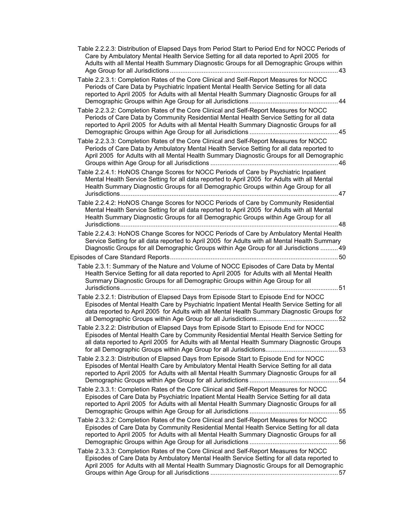Table 2.2.2.3: Distribution of Elapsed Days from Period Start to Period End for NOCC Periods of Care by Ambulatory Mental Health Service Setting for all data reported to April 2005 for Adults with all Mental Health Summary Diagnostic Groups for all Demographic Groups within Age Group for all Jurisdictions...............................................................................................43 Table 2.2.3.1: Completion Rates of the Core Clinical and Self-Report Measures for NOCC Periods of Care Data by Psychiatric Inpatient Mental Health Service Setting for all data reported to April 2005 for Adults with all Mental Health Summary Diagnostic Groups for all Demographic Groups within Age Group for all Jurisdictions ..................................................44 Table 2.2.3.2: Completion Rates of the Core Clinical and Self-Report Measures for NOCC Periods of Care Data by Community Residential Mental Health Service Setting for all data reported to April 2005 for Adults with all Mental Health Summary Diagnostic Groups for all Demographic Groups within Age Group for all Jurisdictions ..................................................45 Table 2.2.3.3: Completion Rates of the Core Clinical and Self-Report Measures for NOCC Periods of Care Data by Ambulatory Mental Health Service Setting for all data reported to April 2005 for Adults with all Mental Health Summary Diagnostic Groups for all Demographic Groups within Age Group for all Jurisdictions ........................................................................46 Table 2.2.4.1: HoNOS Change Scores for NOCC Periods of Care by Psychiatric Inpatient Mental Health Service Setting for all data reported to April 2005 for Adults with all Mental Health Summary Diagnostic Groups for all Demographic Groups within Age Group for all Jurisdictions...........................................................................................................................47 Table 2.2.4.2: HoNOS Change Scores for NOCC Periods of Care by Community Residential Mental Health Service Setting for all data reported to April 2005 for Adults with all Mental Health Summary Diagnostic Groups for all Demographic Groups within Age Group for all Jurisdictions...........................................................................................................................48 Table 2.2.4.3: HoNOS Change Scores for NOCC Periods of Care by Ambulatory Mental Health Service Setting for all data reported to April 2005 for Adults with all Mental Health Summary Diagnostic Groups for all Demographic Groups within Age Group for all Jurisdictions ..........49 Episodes of Care Standard Reports...............................................................................................50 Table 2.3.1: Summary of the Nature and Volume of NOCC Episodes of Care Data by Mental Health Service Setting for all data reported to April 2005 for Adults with all Mental Health Summary Diagnostic Groups for all Demographic Groups within Age Group for all Jurisdictions...........................................................................................................................51 Table 2.3.2.1: Distribution of Elapsed Days from Episode Start to Episode End for NOCC Episodes of Mental Health Care by Psychiatric Inpatient Mental Health Service Setting for all data reported to April 2005 for Adults with all Mental Health Summary Diagnostic Groups for all Demographic Groups within Age Group for all Jurisdictions..............................................52 Table 2.3.2.2: Distribution of Elapsed Days from Episode Start to Episode End for NOCC Episodes of Mental Health Care by Community Residential Mental Health Service Setting for all data reported to April 2005 for Adults with all Mental Health Summary Diagnostic Groups for all Demographic Groups within Age Group for all Jurisdictions.........................................53 Table 2.3.2.3: Distribution of Elapsed Days from Episode Start to Episode End for NOCC Episodes of Mental Health Care by Ambulatory Mental Health Service Setting for all data reported to April 2005 for Adults with all Mental Health Summary Diagnostic Groups for all Demographic Groups within Age Group for all Jurisdictions ..................................................54 Table 2.3.3.1: Completion Rates of the Core Clinical and Self-Report Measures for NOCC Episodes of Care Data by Psychiatric Inpatient Mental Health Service Setting for all data reported to April 2005 for Adults with all Mental Health Summary Diagnostic Groups for all Demographic Groups within Age Group for all Jurisdictions ..................................................55 Table 2.3.3.2: Completion Rates of the Core Clinical and Self-Report Measures for NOCC Episodes of Care Data by Community Residential Mental Health Service Setting for all data reported to April 2005 for Adults with all Mental Health Summary Diagnostic Groups for all Demographic Groups within Age Group for all Jurisdictions ..................................................56 Table 2.3.3.3: Completion Rates of the Core Clinical and Self-Report Measures for NOCC Episodes of Care Data by Ambulatory Mental Health Service Setting for all data reported to April 2005 for Adults with all Mental Health Summary Diagnostic Groups for all Demographic Groups within Age Group for all Jurisdictions ........................................................................57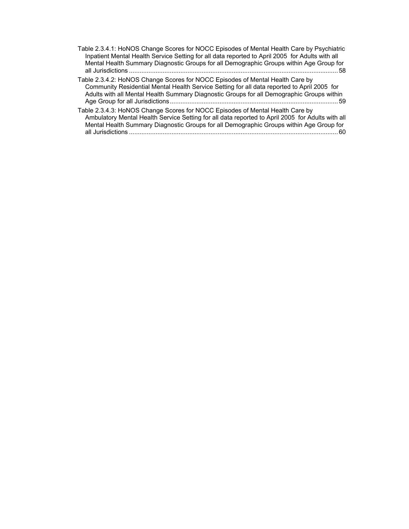Table 2.3.4.1: HoNOS Change Scores for NOCC Episodes of Mental Health Care by Psychiatric Inpatient Mental Health Service Setting for all data reported to April 2005 for Adults with all Mental Health Summary Diagnostic Groups for all Demographic Groups within Age Group for all Jurisdictions ......................................................................................................................58

Table 2.3.4.2: HoNOS Change Scores for NOCC Episodes of Mental Health Care by Community Residential Mental Health Service Setting for all data reported to April 2005 for Adults with all Mental Health Summary Diagnostic Groups for all Demographic Groups within Age Group for all Jurisdictions...............................................................................................59

Table 2.3.4.3: HoNOS Change Scores for NOCC Episodes of Mental Health Care by Ambulatory Mental Health Service Setting for all data reported to April 2005 for Adults with all Mental Health Summary Diagnostic Groups for all Demographic Groups within Age Group for all Jurisdictions ......................................................................................................................60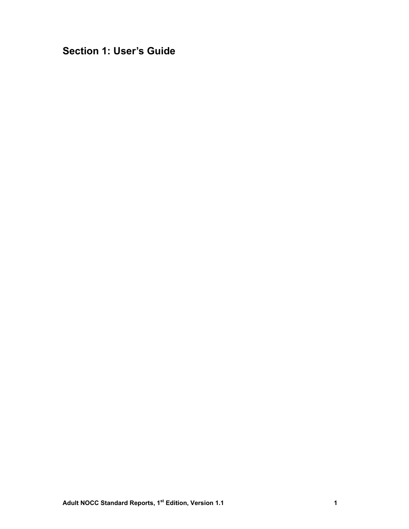**Section 1: User's Guide**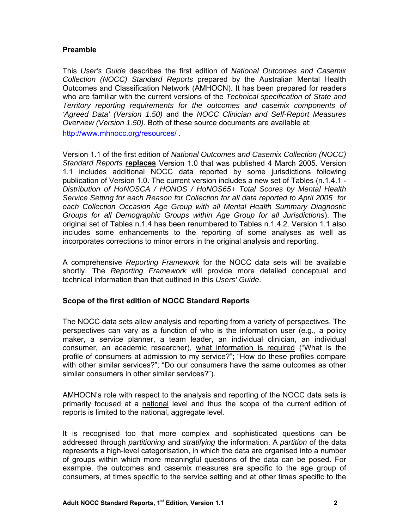### **Preamble**

This *User's Guide* describes the first edition of *National Outcomes and Casemix Collection (NOCC) Standard Reports* prepared by the Australian Mental Health Outcomes and Classification Network (AMHOCN). It has been prepared for readers who are familiar with the current versions of the *Technical specification of State and Territory reporting requirements for the outcomes and casemix components of 'Agreed Data' (Version 1.50)* and the *NOCC Clinician and Self-Report Measures Overview (Version 1.50)*. Both of these source documents are available at:

http://www.mhnocc.org/resources/ .

Version 1.1 of the first edition of *National Outcomes and Casemix Collection (NOCC) Standard Reports* **replaces** Version 1.0 that was published 4 March 2005. Version 1.1 includes additional NOCC data reported by some jurisdictions following publication of Version 1.0. The current version includes a new set of Tables (n.1.4.1 - *Distribution of HoNOSCA / HONOS / HoNOS65+ Total Scores by Mental Health Service Setting for each Reason for Collection for all data reported to April 2005 for each Collection Occasion Age Group with all Mental Health Summary Diagnostic Groups for all Demographic Groups within Age Group for all Jurisdictions*). The original set of Tables n.1.4 has been renumbered to Tables n.1.4.2. Version 1.1 also includes some enhancements to the reporting of some analyses as well as incorporates corrections to minor errors in the original analysis and reporting.

A comprehensive *Reporting Framework* for the NOCC data sets will be available shortly. The *Reporting Framework* will provide more detailed conceptual and technical information than that outlined in this *Users' Guide*.

#### **Scope of the first edition of NOCC Standard Reports**

The NOCC data sets allow analysis and reporting from a variety of perspectives. The perspectives can vary as a function of who is the information user (e.g., a policy maker, a service planner, a team leader, an individual clinician, an individual consumer, an academic researcher), what information is required ("What is the profile of consumers at admission to my service?"; "How do these profiles compare with other similar services?"; "Do our consumers have the same outcomes as other similar consumers in other similar services?").

AMHOCN's role with respect to the analysis and reporting of the NOCC data sets is primarily focused at a national level and thus the scope of the current edition of reports is limited to the national, aggregate level.

It is recognised too that more complex and sophisticated questions can be addressed through *partitioning* and *stratifying* the information. A *partition* of the data represents a high-level categorisation, in which the data are organised into a number of groups within which more meaningful questions of the data can be posed. For example, the outcomes and casemix measures are specific to the age group of consumers, at times specific to the service setting and at other times specific to the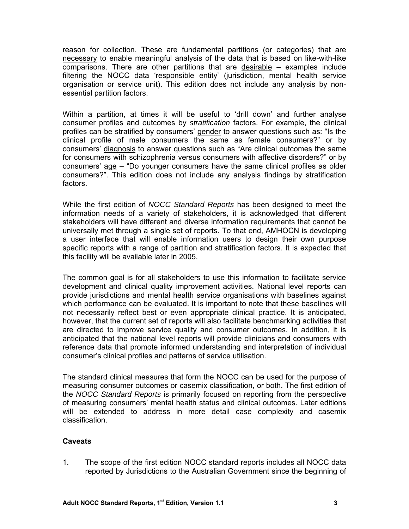reason for collection. These are fundamental partitions (or categories) that are necessary to enable meaningful analysis of the data that is based on like-with-like comparisons. There are other partitions that are desirable – examples include filtering the NOCC data 'responsible entity' (jurisdiction, mental health service organisation or service unit). This edition does not include any analysis by nonessential partition factors.

Within a partition, at times it will be useful to 'drill down' and further analyse consumer profiles and outcomes by *stratification* factors. For example, the clinical profiles can be stratified by consumers' gender to answer questions such as: "Is the clinical profile of male consumers the same as female consumers?" or by consumers' diagnosis to answer questions such as "Are clinical outcomes the same for consumers with schizophrenia versus consumers with affective disorders?" or by consumers' age – "Do younger consumers have the same clinical profiles as older consumers?". This edition does not include any analysis findings by stratification factors.

While the first edition of *NOCC Standard Reports* has been designed to meet the information needs of a variety of stakeholders, it is acknowledged that different stakeholders will have different and diverse information requirements that cannot be universally met through a single set of reports. To that end, AMHOCN is developing a user interface that will enable information users to design their own purpose specific reports with a range of partition and stratification factors. It is expected that this facility will be available later in 2005.

The common goal is for all stakeholders to use this information to facilitate service development and clinical quality improvement activities. National level reports can provide jurisdictions and mental health service organisations with baselines against which performance can be evaluated. It is important to note that these baselines will not necessarily reflect best or even appropriate clinical practice. It is anticipated, however, that the current set of reports will also facilitate benchmarking activities that are directed to improve service quality and consumer outcomes. In addition, it is anticipated that the national level reports will provide clinicians and consumers with reference data that promote informed understanding and interpretation of individual consumer's clinical profiles and patterns of service utilisation.

The standard clinical measures that form the NOCC can be used for the purpose of measuring consumer outcomes or casemix classification, or both. The first edition of the *NOCC Standard Reports* is primarily focused on reporting from the perspective of measuring consumers' mental health status and clinical outcomes. Later editions will be extended to address in more detail case complexity and casemix classification.

#### **Caveats**

1. The scope of the first edition NOCC standard reports includes all NOCC data reported by Jurisdictions to the Australian Government since the beginning of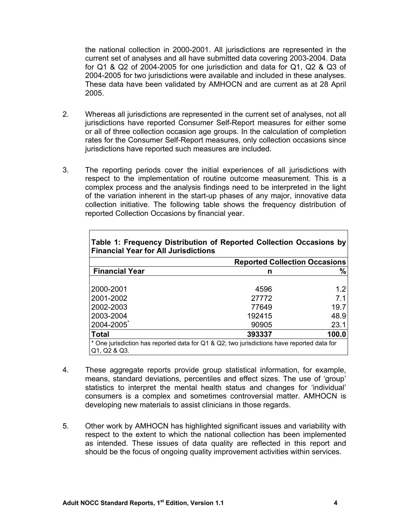the national collection in 2000-2001. All jurisdictions are represented in the current set of analyses and all have submitted data covering 2003-2004. Data for Q1 & Q2 of 2004-2005 for one jurisdiction and data for Q1, Q2 & Q3 of 2004-2005 for two jurisdictions were available and included in these analyses. These data have been validated by AMHOCN and are current as at 28 April 2005.

- 2. Whereas all jurisdictions are represented in the current set of analyses, not all jurisdictions have reported Consumer Self-Report measures for either some or all of three collection occasion age groups. In the calculation of completion rates for the Consumer Self-Report measures, only collection occasions since jurisdictions have reported such measures are included.
- 3. The reporting periods cover the initial experiences of all jurisdictions with respect to the implementation of routine outcome measurement. This is a complex process and the analysis findings need to be interpreted in the light of the variation inherent in the start-up phases of any major, innovative data collection initiative. The following table shows the frequency distribution of reported Collection Occasions by financial year.

|                                                                                                            | <b>Reported Collection Occasions</b> |       |  |  |
|------------------------------------------------------------------------------------------------------------|--------------------------------------|-------|--|--|
| <b>Financial Year</b>                                                                                      | n                                    | $\%$  |  |  |
|                                                                                                            |                                      |       |  |  |
| 2000-2001                                                                                                  | 4596                                 | 1.2   |  |  |
| 2001-2002                                                                                                  | 27772                                | 7.1   |  |  |
| 2002-2003                                                                                                  | 77649                                | 19.7  |  |  |
| 2003-2004                                                                                                  | 192415                               | 48.9  |  |  |
| 2004-2005                                                                                                  | 90905                                | 23.1  |  |  |
| <b>Total</b>                                                                                               | 393337                               | 100.0 |  |  |
| * One jurisdiction has reported data for Q1 & Q2; two jurisdictions have reported data for<br>Q1, Q2 & Q3. |                                      |       |  |  |

**Table 1: Frequency Distribution of Reported Collection Occasions by Financial Year for All Jurisdictions** 

- 4. These aggregate reports provide group statistical information, for example, means, standard deviations, percentiles and effect sizes. The use of 'group' statistics to interpret the mental health status and changes for 'individual' consumers is a complex and sometimes controversial matter. AMHOCN is developing new materials to assist clinicians in those regards.
- 5. Other work by AMHOCN has highlighted significant issues and variability with respect to the extent to which the national collection has been implemented as intended. These issues of data quality are reflected in this report and should be the focus of ongoing quality improvement activities within services.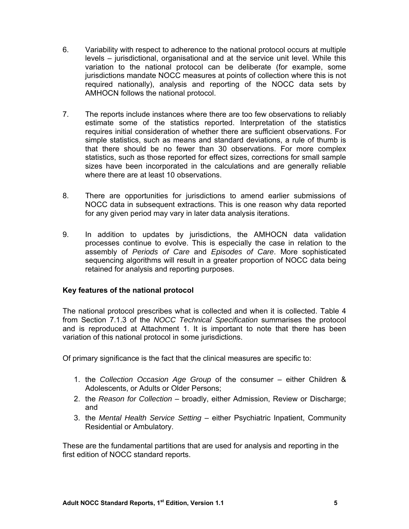- 6. Variability with respect to adherence to the national protocol occurs at multiple levels – jurisdictional, organisational and at the service unit level. While this variation to the national protocol can be deliberate (for example, some jurisdictions mandate NOCC measures at points of collection where this is not required nationally), analysis and reporting of the NOCC data sets by AMHOCN follows the national protocol.
- 7. The reports include instances where there are too few observations to reliably estimate some of the statistics reported. Interpretation of the statistics requires initial consideration of whether there are sufficient observations. For simple statistics, such as means and standard deviations, a rule of thumb is that there should be no fewer than 30 observations. For more complex statistics, such as those reported for effect sizes, corrections for small sample sizes have been incorporated in the calculations and are generally reliable where there are at least 10 observations.
- 8. There are opportunities for jurisdictions to amend earlier submissions of NOCC data in subsequent extractions. This is one reason why data reported for any given period may vary in later data analysis iterations.
- 9. In addition to updates by jurisdictions, the AMHOCN data validation processes continue to evolve. This is especially the case in relation to the assembly of *Periods of Care* and *Episodes of Care*. More sophisticated sequencing algorithms will result in a greater proportion of NOCC data being retained for analysis and reporting purposes.

# **Key features of the national protocol**

The national protocol prescribes what is collected and when it is collected. Table 4 from Section 7.1.3 of the *NOCC Technical Specification* summarises the protocol and is reproduced at Attachment 1. It is important to note that there has been variation of this national protocol in some jurisdictions.

Of primary significance is the fact that the clinical measures are specific to:

- 1. the *Collection Occasion Age Group* of the consumer either Children & Adolescents, or Adults or Older Persons;
- 2. the *Reason for Collection* broadly, either Admission, Review or Discharge; and
- 3. the *Mental Health Service Setting* either Psychiatric Inpatient, Community Residential or Ambulatory.

These are the fundamental partitions that are used for analysis and reporting in the first edition of NOCC standard reports.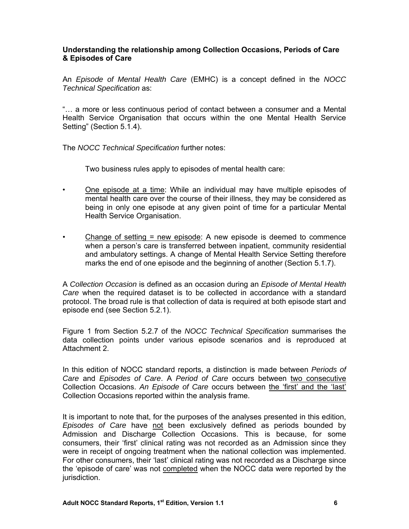## **Understanding the relationship among Collection Occasions, Periods of Care & Episodes of Care**

An *Episode of Mental Health Care* (EMHC) is a concept defined in the *NOCC Technical Specification* as:

"… a more or less continuous period of contact between a consumer and a Mental Health Service Organisation that occurs within the one Mental Health Service Setting" (Section 5.1.4).

The *NOCC Technical Specification* further notes:

Two business rules apply to episodes of mental health care:

- One episode at a time: While an individual may have multiple episodes of mental health care over the course of their illness, they may be considered as being in only one episode at any given point of time for a particular Mental Health Service Organisation.
- Change of setting = new episode: A new episode is deemed to commence when a person's care is transferred between inpatient, community residential and ambulatory settings. A change of Mental Health Service Setting therefore marks the end of one episode and the beginning of another (Section 5.1.7).

A *Collection Occasion* is defined as an occasion during an *Episode of Mental Health Care* when the required dataset is to be collected in accordance with a standard protocol. The broad rule is that collection of data is required at both episode start and episode end (see Section 5.2.1).

Figure 1 from Section 5.2.7 of the *NOCC Technical Specification* summarises the data collection points under various episode scenarios and is reproduced at Attachment 2.

In this edition of NOCC standard reports, a distinction is made between *Periods of Care* and *Episodes of Care*. A *Period of Care* occurs between two consecutive Collection Occasions. *An Episode of Care* occurs between the 'first' and the 'last' Collection Occasions reported within the analysis frame.

It is important to note that, for the purposes of the analyses presented in this edition, *Episodes of Care* have not been exclusively defined as periods bounded by Admission and Discharge Collection Occasions. This is because, for some consumers, their 'first' clinical rating was not recorded as an Admission since they were in receipt of ongoing treatment when the national collection was implemented. For other consumers, their 'last' clinical rating was not recorded as a Discharge since the 'episode of care' was not completed when the NOCC data were reported by the jurisdiction.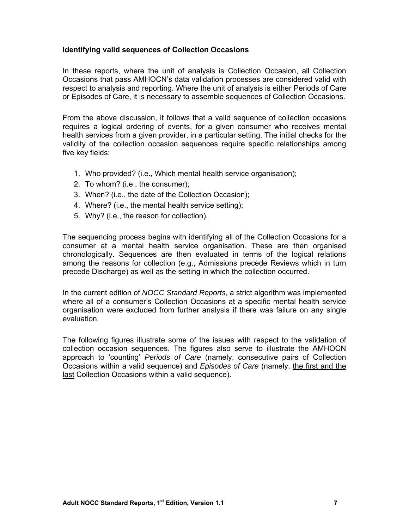### **Identifying valid sequences of Collection Occasions**

In these reports, where the unit of analysis is Collection Occasion, all Collection Occasions that pass AMHOCN's data validation processes are considered valid with respect to analysis and reporting. Where the unit of analysis is either Periods of Care or Episodes of Care, it is necessary to assemble sequences of Collection Occasions.

From the above discussion, it follows that a valid sequence of collection occasions requires a logical ordering of events, for a given consumer who receives mental health services from a given provider, in a particular setting. The initial checks for the validity of the collection occasion sequences require specific relationships among five key fields:

- 1. Who provided? (i.e., Which mental health service organisation);
- 2. To whom? (i.e., the consumer);
- 3. When? (i.e., the date of the Collection Occasion);
- 4. Where? (i.e., the mental health service setting);
- 5. Why? (i.e., the reason for collection).

The sequencing process begins with identifying all of the Collection Occasions for a consumer at a mental health service organisation. These are then organised chronologically. Sequences are then evaluated in terms of the logical relations among the reasons for collection (e.g., Admissions precede Reviews which in turn precede Discharge) as well as the setting in which the collection occurred.

In the current edition of *NOCC Standard Reports*, a strict algorithm was implemented where all of a consumer's Collection Occasions at a specific mental health service organisation were excluded from further analysis if there was failure on any single evaluation.

The following figures illustrate some of the issues with respect to the validation of collection occasion sequences. The figures also serve to illustrate the AMHOCN approach to 'counting' *Periods of Care* (namely, consecutive pairs of Collection Occasions within a valid sequence) and *Episodes of Care* (namely, the first and the last Collection Occasions within a valid sequence).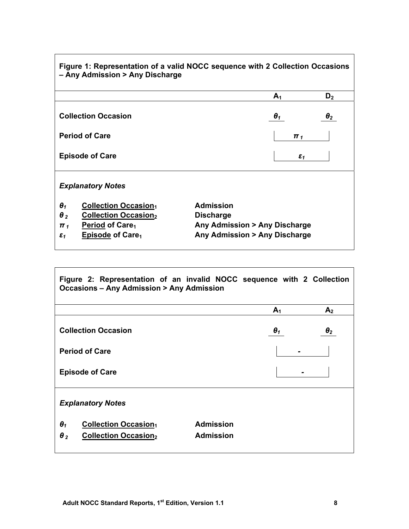| Figure 1: Representation of a valid NOCC sequence with 2 Collection Occasions<br>- Any Admission > Any Discharge                                                                             |                                                                                                        |                         |            |  |  |  |
|----------------------------------------------------------------------------------------------------------------------------------------------------------------------------------------------|--------------------------------------------------------------------------------------------------------|-------------------------|------------|--|--|--|
|                                                                                                                                                                                              |                                                                                                        | A <sub>1</sub>          | $D_2$      |  |  |  |
| <b>Collection Occasion</b>                                                                                                                                                                   |                                                                                                        | $\boldsymbol{\theta}_1$ | $\theta_2$ |  |  |  |
| <b>Period of Care</b>                                                                                                                                                                        |                                                                                                        | $\pi_1$                 |            |  |  |  |
| <b>Episode of Care</b>                                                                                                                                                                       |                                                                                                        | $\epsilon_1$            |            |  |  |  |
| <b>Explanatory Notes</b>                                                                                                                                                                     |                                                                                                        |                         |            |  |  |  |
| <b>Collection Occasion1</b><br>$\boldsymbol{\theta}_1$<br><b>Collection Occasion2</b><br>$\theta_{2}$<br>Period of Care <sub>1</sub><br>$\pi_1$<br><b>Episode of Care1</b><br>$\epsilon_{1}$ | <b>Admission</b><br><b>Discharge</b><br>Any Admission > Any Discharge<br>Any Admission > Any Discharge |                         |            |  |  |  |

| Figure 2: Representation of an invalid NOCC sequence with 2 Collection<br><b>Occasions - Any Admission &gt; Any Admission</b>                 |                         |                |  |  |  |  |
|-----------------------------------------------------------------------------------------------------------------------------------------------|-------------------------|----------------|--|--|--|--|
|                                                                                                                                               | A <sub>1</sub>          | A <sub>2</sub> |  |  |  |  |
| <b>Collection Occasion</b>                                                                                                                    | $\boldsymbol{\theta}_1$ | $\theta_2$     |  |  |  |  |
| <b>Period of Care</b>                                                                                                                         |                         |                |  |  |  |  |
| <b>Episode of Care</b>                                                                                                                        |                         |                |  |  |  |  |
| <b>Explanatory Notes</b>                                                                                                                      |                         |                |  |  |  |  |
| <b>Admission</b><br>$\boldsymbol{\theta}_1$<br><b>Collection Occasion1</b><br><b>Admission</b><br><b>Collection Occasion2</b><br>$\theta_{2}$ |                         |                |  |  |  |  |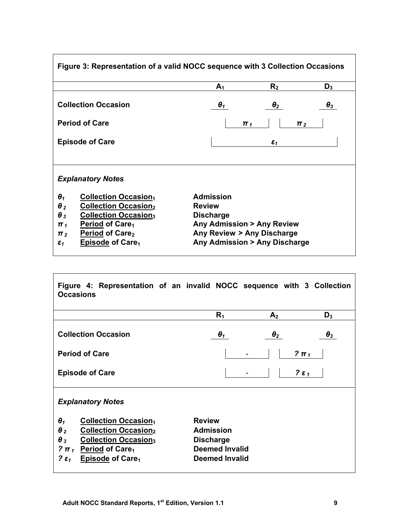| Figure 3: Representation of a valid NOCC sequence with 3 Collection Occasions |                            |                               |                         |  |  |
|-------------------------------------------------------------------------------|----------------------------|-------------------------------|-------------------------|--|--|
|                                                                               | A <sub>1</sub>             | R <sub>2</sub>                | $D_3$                   |  |  |
| <b>Collection Occasion</b>                                                    | $\boldsymbol{\theta}_1$    | $\boldsymbol{\theta}_2$       | $\boldsymbol{\theta}_3$ |  |  |
| <b>Period of Care</b>                                                         |                            | $\pi$ <sub>1</sub>            | $\pi$                   |  |  |
| <b>Episode of Care</b><br>$\epsilon_1$                                        |                            |                               |                         |  |  |
|                                                                               |                            |                               |                         |  |  |
| <b>Explanatory Notes</b>                                                      |                            |                               |                         |  |  |
| $\boldsymbol{\theta}_1$<br><b>Collection Occasion1</b>                        | <b>Admission</b>           |                               |                         |  |  |
| $\theta_2$<br><b>Collection Occasion2</b>                                     | <b>Review</b>              |                               |                         |  |  |
| <b>Collection Occasion3</b><br>$\theta_3$                                     | <b>Discharge</b>           |                               |                         |  |  |
| Period of Care <sub>1</sub><br>$\pi_1$                                        | Any Admission > Any Review |                               |                         |  |  |
| Period of Care <sub>2</sub><br>$\pi_2$                                        | Any Review > Any Discharge |                               |                         |  |  |
| <b>Episode of Care1</b><br>$\epsilon_1$                                       |                            | Any Admission > Any Discharge |                         |  |  |

| Figure 4: Representation of an invalid NOCC sequence with 3 Collection<br><b>Occasions</b>                                                                                                                                                                 |                                                                                                         |                         |                         |
|------------------------------------------------------------------------------------------------------------------------------------------------------------------------------------------------------------------------------------------------------------|---------------------------------------------------------------------------------------------------------|-------------------------|-------------------------|
|                                                                                                                                                                                                                                                            | $R_1$                                                                                                   | A <sub>2</sub>          | $D_3$                   |
| <b>Collection Occasion</b>                                                                                                                                                                                                                                 | $\boldsymbol{\theta}_1$                                                                                 | $\boldsymbol{\theta}_2$ | $\boldsymbol{\theta}_3$ |
| <b>Period of Care</b>                                                                                                                                                                                                                                      |                                                                                                         |                         | $? \pi_1$               |
| <b>Episode of Care</b>                                                                                                                                                                                                                                     |                                                                                                         |                         | $2\epsilon_1$           |
| <b>Explanatory Notes</b>                                                                                                                                                                                                                                   |                                                                                                         |                         |                         |
| $\boldsymbol{\theta}_1$<br><b>Collection Occasion1</b><br>$\theta_2$<br><b>Collection Occasion</b> <sub>2</sub><br>$\theta_3$<br><b>Collection Occasion3</b><br>$? \pi_1$ Period of Care <sub>1</sub><br><b>Episode of Care1</b><br>$\mathbf{2}\epsilon_1$ | <b>Review</b><br><b>Admission</b><br><b>Discharge</b><br><b>Deemed Invalid</b><br><b>Deemed Invalid</b> |                         |                         |

<u> 1980 - Johann Barn, fransk politik (f. 1980)</u>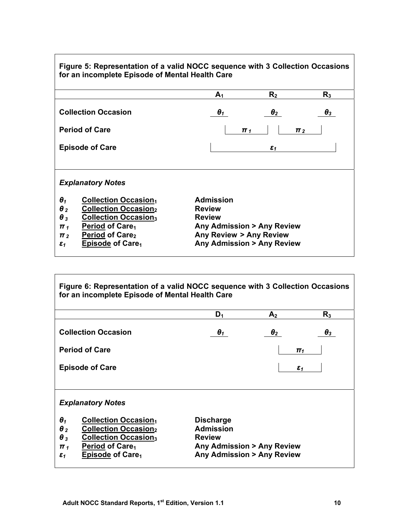| Figure 5: Representation of a valid NOCC sequence with 3 Collection Occasions<br>for an incomplete Episode of Mental Health Care                                                                                                                                                                                |                                                                               |                                                                    |                         |
|-----------------------------------------------------------------------------------------------------------------------------------------------------------------------------------------------------------------------------------------------------------------------------------------------------------------|-------------------------------------------------------------------------------|--------------------------------------------------------------------|-------------------------|
|                                                                                                                                                                                                                                                                                                                 | A <sub>1</sub>                                                                | R <sub>2</sub>                                                     | $R_3$                   |
| <b>Collection Occasion</b>                                                                                                                                                                                                                                                                                      | $\boldsymbol{\theta}_1$                                                       | $\boldsymbol{\theta}_2$                                            | $\boldsymbol{\theta}_3$ |
| <b>Period of Care</b>                                                                                                                                                                                                                                                                                           | $\pi$                                                                         | $\pi$ <sub>2</sub>                                                 |                         |
| <b>Episode of Care</b>                                                                                                                                                                                                                                                                                          |                                                                               | $\epsilon_1$                                                       |                         |
| <b>Explanatory Notes</b>                                                                                                                                                                                                                                                                                        |                                                                               |                                                                    |                         |
| <b>Collection Occasion1</b><br>$\boldsymbol{\theta}_1$<br><b>Collection Occasion2</b><br>$\theta_2$<br><b>Collection Occasion3</b><br>$\boldsymbol{\theta}_3$<br>Period of Care <sub>1</sub><br>$\pi_1$<br>Period of Care <sub>2</sub><br>$\pi$<br>Episode of Care <sub>1</sub><br>$\boldsymbol{\varepsilon_1}$ | <b>Admission</b><br><b>Review</b><br><b>Review</b><br>Any Review > Any Review | Any Admission > Any Review<br><b>Any Admission &gt; Any Review</b> |                         |

 $\overline{\Gamma}$ 

| Figure 6: Representation of a valid NOCC sequence with 3 Collection Occasions<br>for an incomplete Episode of Mental Health Care                                                                                                                                                     |                                                                                                                   |                         |                         |  |  |  |  |
|--------------------------------------------------------------------------------------------------------------------------------------------------------------------------------------------------------------------------------------------------------------------------------------|-------------------------------------------------------------------------------------------------------------------|-------------------------|-------------------------|--|--|--|--|
|                                                                                                                                                                                                                                                                                      | $D_1$                                                                                                             | A <sub>2</sub>          | $R_{3}$                 |  |  |  |  |
| <b>Collection Occasion</b>                                                                                                                                                                                                                                                           | $\boldsymbol{\theta}_1$                                                                                           | $\boldsymbol{\theta}_2$ | $\boldsymbol{\theta}_3$ |  |  |  |  |
| <b>Period of Care</b>                                                                                                                                                                                                                                                                |                                                                                                                   |                         | $\pi$                   |  |  |  |  |
| <b>Episode of Care</b><br>$\epsilon_1$                                                                                                                                                                                                                                               |                                                                                                                   |                         |                         |  |  |  |  |
| <b>Explanatory Notes</b><br>$\boldsymbol{\theta}_1$<br><b>Collection Occasion1</b><br><b>Collection Occasion2</b><br>$\theta_2$<br><b>Collection Occasion3</b><br>$\boldsymbol{\theta}_3$<br>Period of Care <sub>1</sub><br>$\pi$ <sub>1</sub><br>Episode of Care <sub>1</sub><br>ε1 | <b>Discharge</b><br><b>Admission</b><br><b>Review</b><br>Any Admission > Any Review<br>Any Admission > Any Review |                         |                         |  |  |  |  |

 $\overline{\phantom{a}}$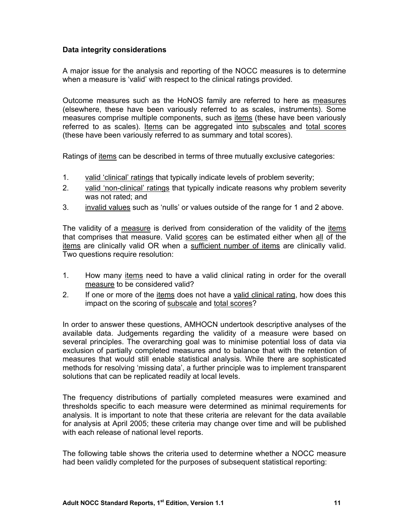## **Data integrity considerations**

A major issue for the analysis and reporting of the NOCC measures is to determine when a measure is 'valid' with respect to the clinical ratings provided.

Outcome measures such as the HoNOS family are referred to here as measures (elsewhere, these have been variously referred to as scales, instruments). Some measures comprise multiple components, such as items (these have been variously referred to as scales). Items can be aggregated into subscales and total scores (these have been variously referred to as summary and total scores).

Ratings of items can be described in terms of three mutually exclusive categories:

- 1. valid 'clinical' ratings that typically indicate levels of problem severity;
- 2. valid 'non-clinical' ratings that typically indicate reasons why problem severity was not rated; and
- 3. invalid values such as 'nulls' or values outside of the range for 1 and 2 above.

The validity of a measure is derived from consideration of the validity of the items that comprises that measure. Valid scores can be estimated either when all of the items are clinically valid OR when a sufficient number of items are clinically valid. Two questions require resolution:

- 1. How many *items* need to have a valid clinical rating in order for the overall measure to be considered valid?
- 2. If one or more of the items does not have a valid clinical rating, how does this impact on the scoring of subscale and total scores?

In order to answer these questions, AMHOCN undertook descriptive analyses of the available data. Judgements regarding the validity of a measure were based on several principles. The overarching goal was to minimise potential loss of data via exclusion of partially completed measures and to balance that with the retention of measures that would still enable statistical analysis. While there are sophisticated methods for resolving 'missing data', a further principle was to implement transparent solutions that can be replicated readily at local levels.

The frequency distributions of partially completed measures were examined and thresholds specific to each measure were determined as minimal requirements for analysis. It is important to note that these criteria are relevant for the data available for analysis at April 2005; these criteria may change over time and will be published with each release of national level reports.

The following table shows the criteria used to determine whether a NOCC measure had been validly completed for the purposes of subsequent statistical reporting: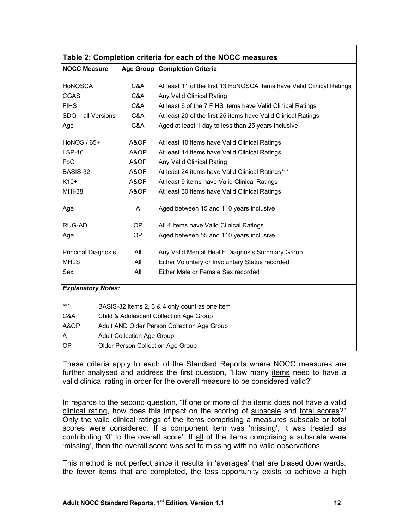| Table 2: Completion criteria for each of the NOCC measures |                                   |                                                                       |  |  |  |
|------------------------------------------------------------|-----------------------------------|-----------------------------------------------------------------------|--|--|--|
| <b>NOCC Measure</b>                                        |                                   | Age Group Completion Criteria                                         |  |  |  |
| <b>HONOSCA</b>                                             | C&A                               | At least 11 of the first 13 HoNOSCA items have Valid Clinical Ratings |  |  |  |
| <b>CGAS</b>                                                | C&A                               | Any Valid Clinical Rating                                             |  |  |  |
| <b>FIHS</b>                                                | C&A                               | At least 6 of the 7 FIHS items have Valid Clinical Ratings            |  |  |  |
|                                                            |                                   |                                                                       |  |  |  |
| SDQ - all Versions                                         | C&A                               | At least 20 of the first 25 items have Valid Clinical Ratings         |  |  |  |
| Age                                                        | C&A                               | Aged at least 1 day to less than 25 years inclusive                   |  |  |  |
| HoNOS / 65+                                                | A&OP                              | At least 10 items have Valid Clinical Ratings                         |  |  |  |
| <b>LSP-16</b>                                              | A&OP                              | At least 14 items have Valid Clinical Ratings                         |  |  |  |
| FoC                                                        | A&OP                              | Any Valid Clinical Rating                                             |  |  |  |
| BASIS-32                                                   | A&OP                              | At least 24 items have Valid Clinical Ratings***                      |  |  |  |
| $K10+$                                                     | A&OP                              | At least 9 items have Valid Clinical Ratings                          |  |  |  |
| <b>MHI-38</b>                                              | A&OP                              | At least 30 items have Valid Clinical Ratings                         |  |  |  |
| Age                                                        | A                                 | Aged between 15 and 110 years inclusive                               |  |  |  |
| RUG-ADL                                                    | 0P                                | All 4 items have Valid Clinical Ratings                               |  |  |  |
| Age                                                        | OP                                | Aged between 55 and 110 years inclusive                               |  |  |  |
| <b>Principal Diagnosis</b>                                 | All                               | Any Valid Mental Health Diagnosis Summary Group                       |  |  |  |
| <b>MHLS</b>                                                | All                               | Either Voluntary or Involuntary Status recorded                       |  |  |  |
| Sex                                                        | All                               | Either Male or Female Sex recorded                                    |  |  |  |
| <b>Explanatory Notes:</b>                                  |                                   |                                                                       |  |  |  |
| $***$                                                      |                                   | BASIS-32 items 2, 3 & 4 only count as one item                        |  |  |  |
| C&A                                                        |                                   | Child & Adolescent Collection Age Group                               |  |  |  |
| A&OP                                                       |                                   | Adult AND Older Person Collection Age Group                           |  |  |  |
| A                                                          | <b>Adult Collection Age Group</b> |                                                                       |  |  |  |
| OP                                                         |                                   | Older Person Collection Age Group                                     |  |  |  |

## **Table 2: Completion criteria for each of the NOCC measures**

These criteria apply to each of the Standard Reports where NOCC measures are further analysed and address the first question, "How many items need to have a valid clinical rating in order for the overall measure to be considered valid?"

In regards to the second question, "If one or more of the *items* does not have a valid clinical rating, how does this impact on the scoring of subscale and total scores?" Only the valid clinical ratings of the items comprising a measures subscale or total scores were considered. If a component item was 'missing', it was treated as contributing '0' to the overall score'. If all of the items comprising a subscale were 'missing', then the overall score was set to missing with no valid observations.

This method is not perfect since it results in 'averages' that are biased downwards: the fewer items that are completed, the less opportunity exists to achieve a high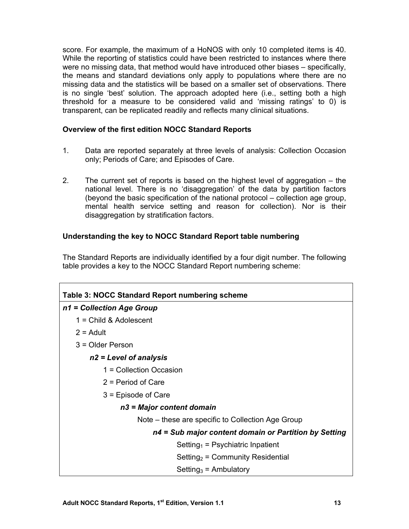score. For example, the maximum of a HoNOS with only 10 completed items is 40. While the reporting of statistics could have been restricted to instances where there were no missing data, that method would have introduced other biases – specifically, the means and standard deviations only apply to populations where there are no missing data and the statistics will be based on a smaller set of observations. There is no single 'best' solution. The approach adopted here (i.e., setting both a high threshold for a measure to be considered valid and 'missing ratings' to 0) is transparent, can be replicated readily and reflects many clinical situations.

## **Overview of the first edition NOCC Standard Reports**

- 1. Data are reported separately at three levels of analysis: Collection Occasion only; Periods of Care; and Episodes of Care.
- 2. The current set of reports is based on the highest level of aggregation the national level. There is no 'disaggregation' of the data by partition factors (beyond the basic specification of the national protocol – collection age group, mental health service setting and reason for collection). Nor is their disaggregation by stratification factors.

## **Understanding the key to NOCC Standard Report table numbering**

The Standard Reports are individually identified by a four digit number. The following table provides a key to the NOCC Standard Report numbering scheme:

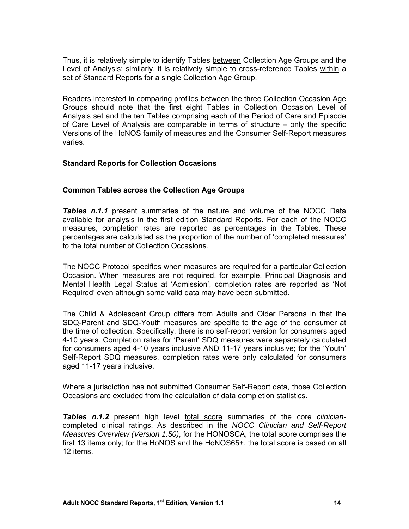Thus, it is relatively simple to identify Tables between Collection Age Groups and the Level of Analysis; similarly, it is relatively simple to cross-reference Tables within a set of Standard Reports for a single Collection Age Group.

Readers interested in comparing profiles between the three Collection Occasion Age Groups should note that the first eight Tables in Collection Occasion Level of Analysis set and the ten Tables comprising each of the Period of Care and Episode of Care Level of Analysis are comparable in terms of structure – only the specific Versions of the HoNOS family of measures and the Consumer Self-Report measures varies.

#### **Standard Reports for Collection Occasions**

#### **Common Tables across the Collection Age Groups**

*Tables n.1.1* present summaries of the nature and volume of the NOCC Data available for analysis in the first edition Standard Reports. For each of the NOCC measures, completion rates are reported as percentages in the Tables. These percentages are calculated as the proportion of the number of 'completed measures' to the total number of Collection Occasions.

The NOCC Protocol specifies when measures are required for a particular Collection Occasion. When measures are not required, for example, Principal Diagnosis and Mental Health Legal Status at 'Admission', completion rates are reported as 'Not Required' even although some valid data may have been submitted.

The Child & Adolescent Group differs from Adults and Older Persons in that the SDQ-Parent and SDQ-Youth measures are specific to the age of the consumer at the time of collection. Specifically, there is no self-report version for consumers aged 4-10 years. Completion rates for 'Parent' SDQ measures were separately calculated for consumers aged 4-10 years inclusive AND 11-17 years inclusive; for the 'Youth' Self-Report SDQ measures, completion rates were only calculated for consumers aged 11-17 years inclusive.

Where a jurisdiction has not submitted Consumer Self-Report data, those Collection Occasions are excluded from the calculation of data completion statistics.

*Tables n.1.2* present high level total score summaries of the core *clinician*completed clinical ratings. As described in the *NOCC Clinician and Self-Report Measures Overview (Version 1.50)*, for the HONOSCA, the total score comprises the first 13 items only; for the HoNOS and the HoNOS65+, the total score is based on all 12 items.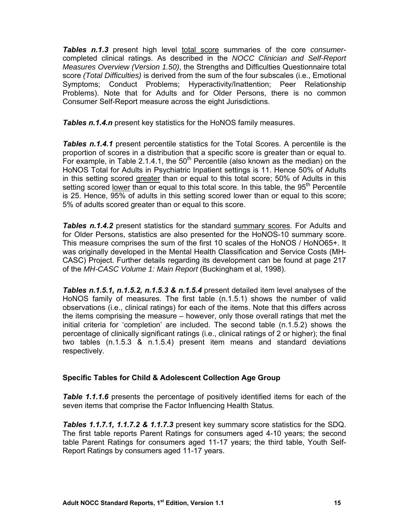**Tables n.1.3** present high level total score summaries of the core consumercompleted clinical ratings. As described in the *NOCC Clinician and Self-Report Measures Overview (Version 1.50)*, the Strengths and Difficulties Questionnaire total score *(Total Difficulties)* is derived from the sum of the four subscales (i.e., Emotional Symptoms; Conduct Problems; Hyperactivity/Inattention; Peer Relationship Problems). Note that for Adults and for Older Persons, there is no common Consumer Self-Report measure across the eight Jurisdictions.

**Tables n.1.4.n** present key statistics for the HoNOS family measures.

*Tables n.1.4.1* present percentile statistics for the Total Scores. A percentile is the proportion of scores in a distribution that a specific score is greater than or equal to. For example, in Table 2.1.4.1, the  $50<sup>th</sup>$  Percentile (also known as the median) on the HoNOS Total for Adults in Psychiatric Inpatient settings is 11. Hence 50% of Adults in this setting scored greater than or equal to this total score; 50% of Adults in this setting scored lower than or equal to this total score. In this table, the  $95<sup>th</sup>$  Percentile is 25. Hence, 95% of adults in this setting scored lower than or equal to this score; 5% of adults scored greater than or equal to this score.

**Tables n.1.4.2** present statistics for the standard summary scores. For Adults and for Older Persons, statistics are also presented for the HoNOS-10 summary score. This measure comprises the sum of the first 10 scales of the HoNOS / HoNO65+. It was originally developed in the Mental Health Classification and Service Costs (MH-CASC) Project. Further details regarding its development can be found at page 217 of the *MH-CASC Volume 1: Main Report* (Buckingham et al, 1998).

*Tables n.1.5.1, n.1.5.2, n.1.5.3 & n.1.5.4* present detailed item level analyses of the HoNOS family of measures. The first table (n.1.5.1) shows the number of valid observations (i.e., clinical ratings) for each of the items. Note that this differs across the items comprising the measure – however, only those overall ratings that met the initial criteria for 'completion' are included. The second table (n.1.5.2) shows the percentage of clinically significant ratings (i.e., clinical ratings of 2 or higher); the final two tables (n.1.5.3 & n.1.5.4) present item means and standard deviations respectively.

#### **Specific Tables for Child & Adolescent Collection Age Group**

*Table 1.1.1.6* presents the percentage of positively identified items for each of the seven items that comprise the Factor Influencing Health Status.

*Tables 1.1.7.1, 1.1.7.2 & 1.1.7.3* present key summary score statistics for the SDQ. The first table reports Parent Ratings for consumers aged 4-10 years; the second table Parent Ratings for consumers aged 11-17 years; the third table, Youth Self-Report Ratings by consumers aged 11-17 years.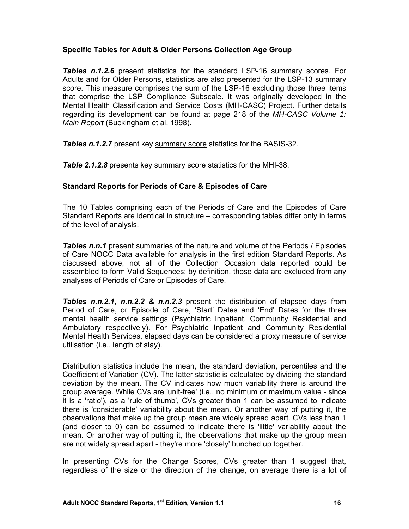## **Specific Tables for Adult & Older Persons Collection Age Group**

*Tables n.1.2.6* present statistics for the standard LSP-16 summary scores. For Adults and for Older Persons, statistics are also presented for the LSP-13 summary score. This measure comprises the sum of the LSP-16 excluding those three items that comprise the LSP Compliance Subscale. It was originally developed in the Mental Health Classification and Service Costs (MH-CASC) Project. Further details regarding its development can be found at page 218 of the *MH-CASC Volume 1: Main Report* (Buckingham et al, 1998).

**Tables n.1.2.7** present key summary score statistics for the BASIS-32.

**Table 2.1.2.8** presents key summary score statistics for the MHI-38.

#### **Standard Reports for Periods of Care & Episodes of Care**

The 10 Tables comprising each of the Periods of Care and the Episodes of Care Standard Reports are identical in structure – corresponding tables differ only in terms of the level of analysis.

**Tables n.n.1** present summaries of the nature and volume of the Periods / Episodes of Care NOCC Data available for analysis in the first edition Standard Reports. As discussed above, not all of the Collection Occasion data reported could be assembled to form Valid Sequences; by definition, those data are excluded from any analyses of Periods of Care or Episodes of Care.

*Tables n.n.2.1, n.n.2.2 & n.n.2.3* present the distribution of elapsed days from Period of Care, or Episode of Care, 'Start' Dates and 'End' Dates for the three mental health service settings (Psychiatric Inpatient, Community Residential and Ambulatory respectively). For Psychiatric Inpatient and Community Residential Mental Health Services, elapsed days can be considered a proxy measure of service utilisation (i.e., length of stay).

Distribution statistics include the mean, the standard deviation, percentiles and the Coefficient of Variation (CV). The latter statistic is calculated by dividing the standard deviation by the mean. The CV indicates how much variability there is around the group average. While CVs are 'unit-free' (i.e., no minimum or maximum value - since it is a 'ratio'), as a 'rule of thumb', CVs greater than 1 can be assumed to indicate there is 'considerable' variability about the mean. Or another way of putting it, the observations that make up the group mean are widely spread apart. CVs less than 1 (and closer to 0) can be assumed to indicate there is 'little' variability about the mean. Or another way of putting it, the observations that make up the group mean are not widely spread apart - they're more 'closely' bunched up together.

In presenting CVs for the Change Scores, CVs greater than 1 suggest that, regardless of the size or the direction of the change, on average there is a lot of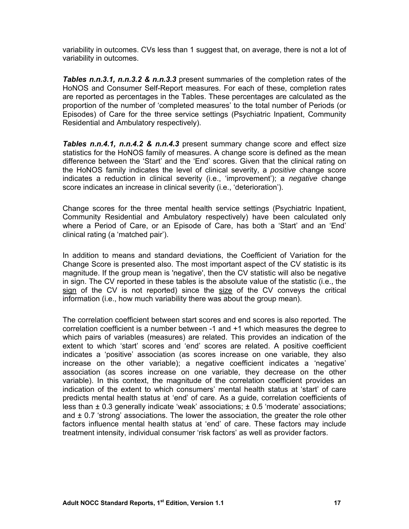variability in outcomes. CVs less than 1 suggest that, on average, there is not a lot of variability in outcomes.

*Tables n.n.3.1, n.n.3.2 & n.n.3.3* present summaries of the completion rates of the HoNOS and Consumer Self-Report measures. For each of these, completion rates are reported as percentages in the Tables. These percentages are calculated as the proportion of the number of 'completed measures' to the total number of Periods (or Episodes) of Care for the three service settings (Psychiatric Inpatient, Community Residential and Ambulatory respectively).

*Tables n.n.4.1, n.n.4.2 & n.n.4.3* present summary change score and effect size statistics for the HoNOS family of measures. A change score is defined as the mean difference between the 'Start' and the 'End' scores. Given that the clinical rating on the HoNOS family indicates the level of clinical severity, a *positive* change score indicates a reduction in clinical severity (i.e., 'improvement'); a *negative* change score indicates an increase in clinical severity (i.e., 'deterioration').

Change scores for the three mental health service settings (Psychiatric Inpatient, Community Residential and Ambulatory respectively) have been calculated only where a Period of Care, or an Episode of Care, has both a 'Start' and an 'End' clinical rating (a 'matched pair').

In addition to means and standard deviations, the Coefficient of Variation for the Change Score is presented also. The most important aspect of the CV statistic is its magnitude. If the group mean is 'negative', then the CV statistic will also be negative in sign. The CV reported in these tables is the absolute value of the statistic (i.e., the sign of the CV is not reported) since the size of the CV conveys the critical information (i.e., how much variability there was about the group mean).

The correlation coefficient between start scores and end scores is also reported. The correlation coefficient is a number between -1 and +1 which measures the degree to which pairs of variables (measures) are related. This provides an indication of the extent to which 'start' scores and 'end' scores are related. A positive coefficient indicates a 'positive' association (as scores increase on one variable, they also increase on the other variable); a negative coefficient indicates a 'negative' association (as scores increase on one variable, they decrease on the other variable). In this context, the magnitude of the correlation coefficient provides an indication of the extent to which consumers' mental health status at 'start' of care predicts mental health status at 'end' of care. As a guide, correlation coefficients of less than ± 0.3 generally indicate 'weak' associations; ± 0.5 'moderate' associations; and  $\pm$  0.7 'strong' associations. The lower the association, the greater the role other factors influence mental health status at 'end' of care. These factors may include treatment intensity, individual consumer 'risk factors' as well as provider factors.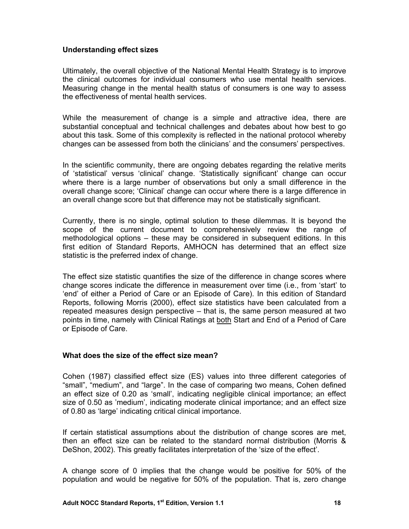#### **Understanding effect sizes**

Ultimately, the overall objective of the National Mental Health Strategy is to improve the clinical outcomes for individual consumers who use mental health services. Measuring change in the mental health status of consumers is one way to assess the effectiveness of mental health services.

While the measurement of change is a simple and attractive idea, there are substantial conceptual and technical challenges and debates about how best to go about this task. Some of this complexity is reflected in the national protocol whereby changes can be assessed from both the clinicians' and the consumers' perspectives.

In the scientific community, there are ongoing debates regarding the relative merits of 'statistical' versus 'clinical' change. 'Statistically significant' change can occur where there is a large number of observations but only a small difference in the overall change score; 'Clinical' change can occur where there is a large difference in an overall change score but that difference may not be statistically significant.

Currently, there is no single, optimal solution to these dilemmas. It is beyond the scope of the current document to comprehensively review the range of methodological options – these may be considered in subsequent editions. In this first edition of Standard Reports, AMHOCN has determined that an effect size statistic is the preferred index of change.

The effect size statistic quantifies the size of the difference in change scores where change scores indicate the difference in measurement over time (i.e., from 'start' to 'end' of either a Period of Care or an Episode of Care). In this edition of Standard Reports, following Morris (2000), effect size statistics have been calculated from a repeated measures design perspective – that is, the same person measured at two points in time, namely with Clinical Ratings at both Start and End of a Period of Care or Episode of Care.

#### **What does the size of the effect size mean?**

Cohen (1987) classified effect size (ES) values into three different categories of "small", "medium", and "large". In the case of comparing two means, Cohen defined an effect size of 0.20 as 'small', indicating negligible clinical importance; an effect size of 0.50 as 'medium', indicating moderate clinical importance; and an effect size of 0.80 as 'large' indicating critical clinical importance.

If certain statistical assumptions about the distribution of change scores are met, then an effect size can be related to the standard normal distribution (Morris & DeShon, 2002). This greatly facilitates interpretation of the 'size of the effect'.

A change score of 0 implies that the change would be positive for 50% of the population and would be negative for 50% of the population. That is, zero change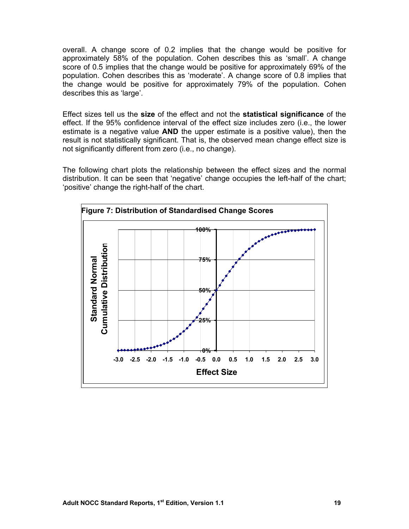overall. A change score of 0.2 implies that the change would be positive for approximately 58% of the population. Cohen describes this as 'small'. A change score of 0.5 implies that the change would be positive for approximately 69% of the population. Cohen describes this as 'moderate'. A change score of 0.8 implies that the change would be positive for approximately 79% of the population. Cohen describes this as 'large'.

Effect sizes tell us the **size** of the effect and not the **statistical significance** of the effect. If the 95% confidence interval of the effect size includes zero (i.e., the lower estimate is a negative value **AND** the upper estimate is a positive value), then the result is not statistically significant. That is, the observed mean change effect size is not significantly different from zero (i.e., no change).

The following chart plots the relationship between the effect sizes and the normal distribution. It can be seen that 'negative' change occupies the left-half of the chart; 'positive' change the right-half of the chart.

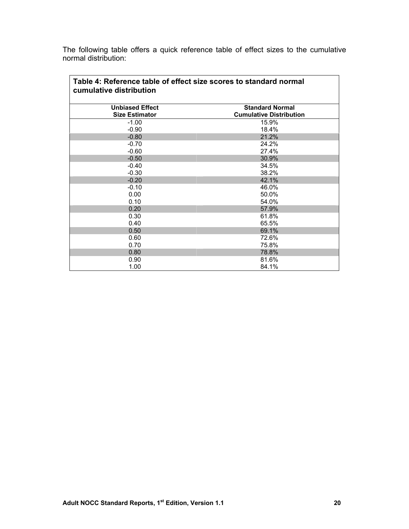The following table offers a quick reference table of effect sizes to the cumulative normal distribution:

| Table 4: Reference table of effect size scores to standard normal<br>cumulative distribution |                                                          |
|----------------------------------------------------------------------------------------------|----------------------------------------------------------|
| <b>Unbiased Effect</b>                                                                       | <b>Standard Normal</b><br><b>Cumulative Distribution</b> |
| <b>Size Estimator</b>                                                                        |                                                          |
| $-1.00$                                                                                      | 15.9%                                                    |
| $-0.90$                                                                                      | 18.4%                                                    |
| $-0.80$                                                                                      | 21.2%                                                    |
| $-0.70$                                                                                      | 24.2%                                                    |
| $-0.60$                                                                                      | 27.4%                                                    |
| $-0.50$                                                                                      | 30.9%                                                    |
| $-0.40$                                                                                      | 34.5%                                                    |
| $-0.30$                                                                                      | 38.2%                                                    |
| $-0.20$                                                                                      | 42.1%                                                    |
| $-0.10$                                                                                      | 46.0%                                                    |
| 0.00                                                                                         | 50.0%                                                    |
| 0.10                                                                                         | 54.0%                                                    |
| 0.20                                                                                         | 57.9%                                                    |
| 0.30                                                                                         | 61.8%                                                    |
| 0.40                                                                                         | 65.5%                                                    |
| 0.50                                                                                         | 69.1%                                                    |
| 0.60                                                                                         | 72.6%                                                    |
| 0.70                                                                                         | 75.8%                                                    |
| 0.80                                                                                         | 78.8%                                                    |
| 0.90                                                                                         | 81.6%                                                    |
| 1.00                                                                                         | 84.1%                                                    |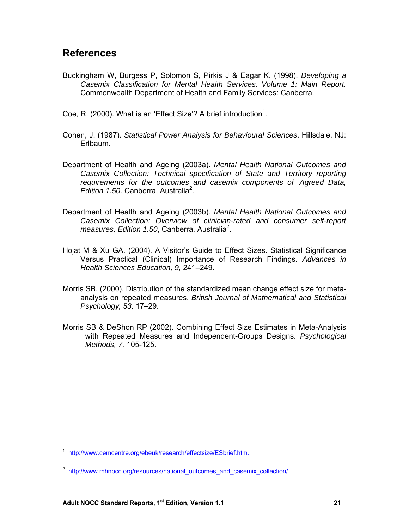# **References**

Buckingham W, Burgess P, Solomon S, Pirkis J & Eagar K. (1998). *Developing a Casemix Classification for Mental Health Services. Volume 1: Main Report.*  Commonwealth Department of Health and Family Services: Canberra.

Coe, R. (2000). What is an 'Effect Size'? A brief introduction<sup>1</sup>.

- Cohen, J. (1987). *Statistical Power Analysis for Behavioural Sciences*. Hillsdale, NJ: Erlbaum.
- Department of Health and Ageing (2003a). *Mental Health National Outcomes and Casemix Collection: Technical specification of State and Territory reporting requirements for the outcomes and casemix components of 'Agreed Data,*  Edition 1.50. Canberra, Australia<sup>2</sup>.
- Department of Health and Ageing (2003b). *Mental Health National Outcomes and Casemix Collection: Overview of clinician-rated and consumer self-report*  measures, Edition 1.50, Canberra, Australia<sup>2</sup>.
- Hojat M & Xu GA. (2004). A Visitor's Guide to Effect Sizes. Statistical Significance Versus Practical (Clinical) Importance of Research Findings. *Advances in Health Sciences Education, 9,* 241–249.
- Morris SB. (2000). Distribution of the standardized mean change effect size for metaanalysis on repeated measures. *British Journal of Mathematical and Statistical Psychology, 53,* 17–29.
- Morris SB & DeShon RP (2002). Combining Effect Size Estimates in Meta-Analysis with Repeated Measures and Independent-Groups Designs. *Psychological Methods, 7,* 105-125.

-

<sup>1</sup> http://www.cemcentre.org/ebeuk/research/effectsize/ESbrief.htm.

<sup>&</sup>lt;sup>2</sup> http://www.mhnocc.org/resources/national outcomes and casemix collection/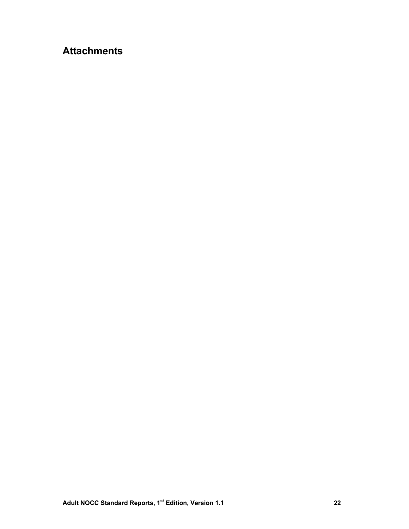# **Attachments**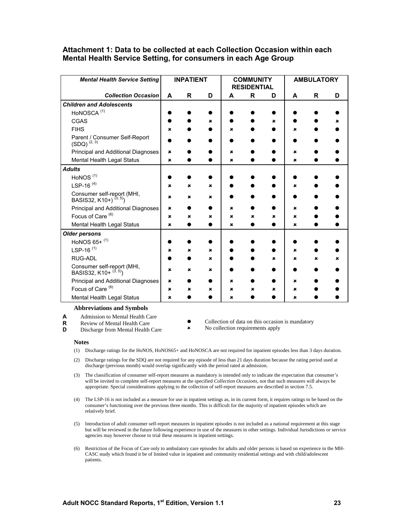#### **Attachment 1: Data to be collected at each Collection Occasion within each Mental Health Service Setting, for consumers in each Age Group**

| <b>Mental Health Service Setting</b>                                    | <b>INPATIENT</b> |   | <b>COMMUNITY</b><br><b>RESIDENTIAL</b> |   | <b>AMBULATORY</b> |   |             |   |   |
|-------------------------------------------------------------------------|------------------|---|----------------------------------------|---|-------------------|---|-------------|---|---|
| <b>Collection Occasion</b>                                              | A                | R | D                                      | A | R                 | D | A           | R | D |
| <b>Children and Adolescents</b>                                         |                  |   |                                        |   |                   |   |             |   |   |
| HoNOSCA <sup>(1)</sup>                                                  |                  |   |                                        |   |                   |   |             |   |   |
| CGAS                                                                    |                  |   | ×                                      |   |                   | x |             |   |   |
| <b>FIHS</b>                                                             | ×                |   |                                        | × |                   |   | ×           |   |   |
| Parent / Consumer Self-Report<br>$(SDQ)$ <sup><math>(2, 3)</math></sup> |                  |   |                                        |   |                   |   |             |   |   |
| Principal and Additional Diagnoses                                      | ×                |   |                                        | × |                   |   | ×           |   |   |
| Mental Health Legal Status                                              | ×                |   |                                        | × |                   |   | ×           |   |   |
| <b>Adults</b>                                                           |                  |   |                                        |   |                   |   |             |   |   |
| HoNOS <sup>(1)</sup>                                                    |                  |   |                                        |   |                   |   |             |   |   |
| LSP-16 $(4)$                                                            | ×                |   | ×                                      |   |                   |   | ×           |   |   |
| Consumer self-report (MHI,<br>BASIS32, K10+) <sup>(3, 5)</sup> )        | ×                | × | ×                                      |   |                   |   |             |   |   |
| Principal and Additional Diagnoses                                      | $\mathbf x$      |   |                                        | × |                   |   | ×           |   |   |
| Focus of Care <sup>(6)</sup>                                            | ×                | × | x                                      | × |                   | × | ×           |   |   |
| Mental Health Legal Status                                              | ×                |   |                                        | × |                   |   | ×           |   |   |
| <b>Older persons</b>                                                    |                  |   |                                        |   |                   |   |             |   |   |
| HoNOS 65+ (1)                                                           |                  |   |                                        |   |                   |   |             |   |   |
| LSP-16 $(1)$                                                            | ×                | × | x                                      |   |                   |   | x           |   |   |
| RUG-ADL                                                                 |                  |   | $\pmb{x}$                              |   |                   | x | $\mathbf x$ | × |   |
| Consumer self-report (MHI,<br>BASIS32, K10+ <sup>(3, 5)</sup> )         | ×                | x | ×                                      |   |                   |   |             |   |   |
| Principal and Additional Diagnoses                                      | ×                |   |                                        | × |                   |   | ×           |   |   |
| Focus of Care <sup>(6)</sup>                                            | ×                | × | ×                                      | × | ×                 | x | ×           |   |   |
| Mental Health Legal Status                                              | ×                |   |                                        | × |                   |   | ×           |   |   |

#### **Abbreviations and Symbols**

- **A** Admission to Mental Health Care<br>**R** Review of Mental Health Care **R** Review of Mental Health Care<br>**D** Discharge from Mental Health C
- $\bullet$  Collection of data on this occasion is mandatory
- Discharge from Mental Health Care
- 8 No collection requirements apply

#### **Notes**

- (1) Discharge ratings for the HoNOS, HoNOS65+ and HoNOSCA are not required for inpatient episodes less than 3 days duration.
- (2) Discharge ratings for the SDQ are not required for any episode of less than 21 days duration because the rating period used at discharge (previous month) would overlap significantly with the period rated at admission.
- (3) The classification of consumer self-report measures as mandatory is intended only to indicate the expectation that consumer's will be invited to complete self-report measures at the specified *Collection Occasions*, not that such measures will always be appropriate. Special considerations applying to the collection of self-report measures are described in section 7.5.
- (4) The LSP-16 is not included as a measure for use in inpatient settings as, in its current form, it requires ratings to be based on the consumer's functioning over the previous three months. This is difficult for the majority of inpatient episodes which are relatively brief.
- (5) Introduction of adult consumer self-report measures in inpatient episodes is not included as a national requirement at this stage but will be reviewed in the future following experience in use of the measures in other settings. Individual Jurisdictions or service agencies may however choose to trial these measures in inpatient settings.
- (6) Restriction of the Focus of Care only to ambulatory care episodes for adults and older persons is based on experience in the MH-CASC study which found it be of limited value in inpatient and community residential settings and with child/adolescent patients.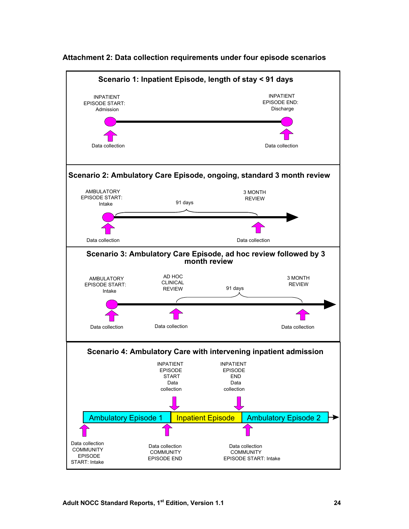

#### **Attachment 2: Data collection requirements under four episode scenarios**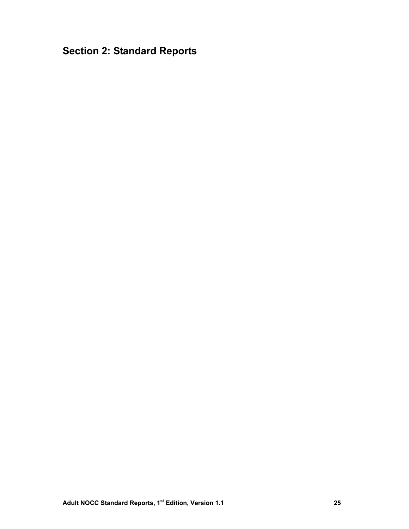# **Section 2: Standard Reports**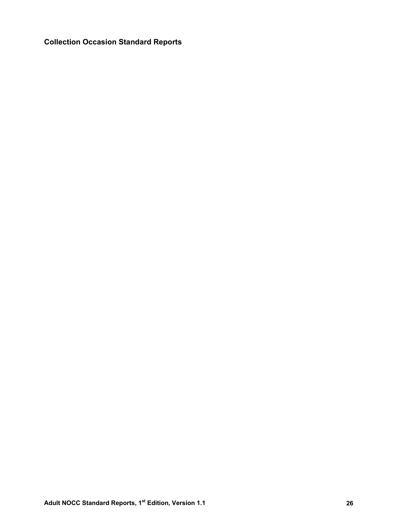**Collection Occasion Standard Reports**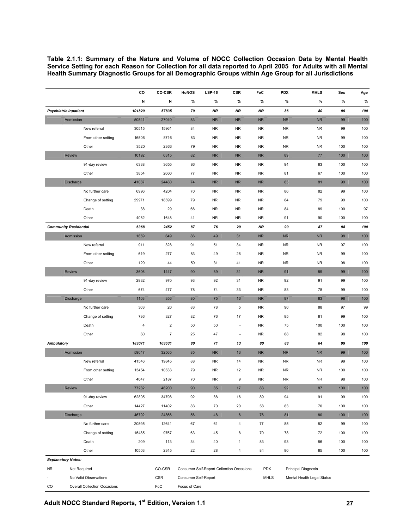**Table 2.1.1: Summary of the Nature and Volume of NOCC Collection Occasion Data by Mental Health Service Setting for each Reason for Collection for all data reported to April 2005 for Adults with all Mental Health Summary Diagnostic Groups for all Demographic Groups within Age Group for all Jurisdictions** 

|            |                              |                                     | co             | CO-CSR                  | <b>HoNOS</b>         | <b>LSP-16</b> | <b>CSR</b>                                | FoC        | <b>PDX</b>  | <b>MHLS</b>                | Sex | Age |
|------------|------------------------------|-------------------------------------|----------------|-------------------------|----------------------|---------------|-------------------------------------------|------------|-------------|----------------------------|-----|-----|
|            |                              |                                     | Ν              | N                       | %                    | %             | $\%$                                      | $\%$       | %           | %                          | %   | %   |
|            | <b>Psychiatric Inpatient</b> |                                     | 101820         | 57835                   | 79                   | <b>NR</b>     | <b>NR</b>                                 | <b>NR</b>  | 86          | 80                         | 99  | 100 |
|            | Admission                    |                                     | 50541          | 27040                   | 83                   | ${\sf NR}$    | ${\sf NR}$                                | ${\sf NR}$ | ${\sf NR}$  | ${\sf NR}$                 | 99  | 100 |
|            |                              | New referral                        | 30515          | 15961                   | 84                   | <b>NR</b>     | <b>NR</b>                                 | <b>NR</b>  | <b>NR</b>   | <b>NR</b>                  | 99  | 100 |
|            |                              | From other setting                  | 16506          | 8716                    | 83                   | <b>NR</b>     | <b>NR</b>                                 | <b>NR</b>  | <b>NR</b>   | <b>NR</b>                  | 99  | 100 |
|            |                              | Other                               | 3520           | 2363                    | 79                   | <b>NR</b>     | <b>NR</b>                                 | <b>NR</b>  | <b>NR</b>   | <b>NR</b>                  | 100 | 100 |
|            | <b>Review</b>                |                                     | 10192          | 6315                    | 82                   | <b>NR</b>     | <b>NR</b>                                 | <b>NR</b>  | 89          | $77$                       | 100 | 100 |
|            |                              | 91-day review                       | 6338           | 3655                    | 86                   | <b>NR</b>     | <b>NR</b>                                 | <b>NR</b>  | 94          | 83                         | 100 | 100 |
|            |                              | Other                               | 3854           | 2660                    | 77                   | <b>NR</b>     | <b>NR</b>                                 | <b>NR</b>  | 81          | 67                         | 100 | 100 |
|            | Discharge                    |                                     | 41087          | 24480                   | 74                   | NR            | ${\sf NR}$                                | ${\sf NR}$ | 85          | 81                         | 99  | 100 |
|            |                              | No further care                     | 6996           | 4204                    | 70                   | <b>NR</b>     | <b>NR</b>                                 | <b>NR</b>  | 86          | 82                         | 99  | 100 |
|            |                              | Change of setting                   | 29971          | 18599                   | 79                   | <b>NR</b>     | <b>NR</b>                                 | <b>NR</b>  | 84          | 79                         | 99  | 100 |
|            |                              | Death                               | 38             | 29                      | 66                   | <b>NR</b>     | <b>NR</b>                                 | <b>NR</b>  | 84          | 89                         | 100 | 97  |
|            |                              | Other                               | 4082           | 1648                    | 41                   | <b>NR</b>     | <b>NR</b>                                 | <b>NR</b>  | 91          | 90                         | 100 | 100 |
|            | <b>Community Residential</b> |                                     | 6368           | 2452                    | 87                   | 76            | 29                                        | <b>NR</b>  | 90          | 87                         | 98  | 100 |
|            | Admission                    |                                     | 1659           | 649                     | 86                   | 49            | 31                                        | ${\sf NR}$ | ${\sf NR}$  | ${\sf NR}$                 | 98  | 100 |
|            |                              | New referral                        | 911            | 328                     | 91                   | 51            | 34                                        | <b>NR</b>  | <b>NR</b>   | <b>NR</b>                  | 97  | 100 |
|            |                              | From other setting                  | 619            | 277                     | 83                   | 49            | 26                                        | <b>NR</b>  | <b>NR</b>   | <b>NR</b>                  | 99  | 100 |
|            |                              | Other                               | 129            | 44                      | 59                   | 31            | 41                                        | <b>NR</b>  | <b>NR</b>   | <b>NR</b>                  | 98  | 100 |
|            | Review                       |                                     | 3606           | 1447                    | 90                   | 89            | 31                                        | ${\sf NR}$ | 91          | 89                         | 99  | 100 |
|            |                              | 91-day review                       | 2932           | 970                     | 93                   | 92            | 31                                        | <b>NR</b>  | 92          | 91                         | 99  | 100 |
|            |                              | Other                               | 674            | 477                     | 78                   | 74            | 33                                        | <b>NR</b>  | 83          | 78                         | 99  | 100 |
|            | Discharge                    |                                     | 1103           | 356                     | 80                   | 75            | 16                                        | <b>NR</b>  | 87          | 83                         | 98  | 100 |
|            |                              | No further care                     | 303            | 20                      | 83                   | 78            | 5                                         | <b>NR</b>  | 90          | 88                         | 97  | 99  |
|            |                              | Change of setting                   | 736            | 327                     | 82                   | 76            | 17                                        | <b>NR</b>  | 85          | 81                         | 99  | 100 |
|            |                              | Death                               | $\overline{4}$ | $\overline{\mathbf{c}}$ | 50                   | 50            | ÷,                                        | <b>NR</b>  | 75          | 100                        | 100 | 100 |
|            |                              | Other                               | 60             | $\overline{7}$          | 25                   | 47            | $\overline{\phantom{a}}$                  | <b>NR</b>  | 88          | 82                         | 98  | 100 |
| Ambulatory |                              |                                     | 183071         | 103631                  | 80                   | 71            | 13                                        | 80         | 88          | 84                         | 99  | 100 |
|            | Admission                    |                                     | 59047          | 32565                   | 85                   | ${\sf NR}$    | 13                                        | NR         | ${\sf NR}$  | ${\sf NR}$                 | 99  | 100 |
|            |                              | New referral                        | 41546          | 19845                   | 88                   | <b>NR</b>     | 14                                        | <b>NR</b>  | <b>NR</b>   | <b>NR</b>                  | 99  | 100 |
|            |                              | From other setting                  | 13454          | 10533                   | 79                   | <b>NR</b>     | 12                                        | <b>NR</b>  | <b>NR</b>   | <b>NR</b>                  | 100 | 100 |
|            |                              | Other                               | 4047           | 2187                    | 70                   | <b>NR</b>     | 9                                         | <b>NR</b>  | <b>NR</b>   | <b>NR</b>                  | 98  | 100 |
|            | Review                       |                                     | 77232          | 46200                   | 90                   | 85            | $\frac{1}{2}$                             | 83         | 92          | 8/                         | 100 | 100 |
|            |                              | 91-day review                       | 62805          | 34798                   | 92                   | 88            | 16                                        | 89         | 94          | 91                         | 99  | 100 |
|            |                              | Other                               | 14427          | 11402                   | 83                   | 70            | 20                                        | 58         | 83          | 70                         | 100 | 100 |
|            | Discharge                    |                                     | 46792          | 24866                   | 56                   | 48            | $\bf 6$                                   | 76         | 81          | 80                         | 100 | 100 |
|            |                              | No further care                     | 20595          | 12641                   | 67                   | 61            | $\overline{\mathbf{4}}$                   | 77         | 85          | 82                         | 99  | 100 |
|            |                              | Change of setting                   | 15485          | 9767                    | 63                   | 45            | 8                                         | 70         | 78          | 72                         | 100 | 100 |
|            |                              | Death                               | 209            | 113                     | 34                   | 40            | 1                                         | 83         | 93          | 86                         | 100 | 100 |
|            |                              | Other                               | 10503          | 2345                    | 22                   | 28            | 4                                         | 84         | 80          | 85                         | 100 | 100 |
|            | <b>Explanatory Notes:</b>    |                                     |                |                         |                      |               |                                           |            |             |                            |     |     |
| <b>NR</b>  |                              | Not Required                        |                | CO-CSR                  |                      |               | Consumer Self-Report Collection Occasions | <b>PDX</b> |             | Principal Diagnosis        |     |     |
|            |                              | No Valid Observations               |                | <b>CSR</b>              | Consumer Self-Report |               |                                           |            | <b>MHLS</b> | Mental Health Legal Status |     |     |
| CO         |                              | <b>Overall Collection Occasions</b> |                | FoC                     | Focus of Care        |               |                                           |            |             |                            |     |     |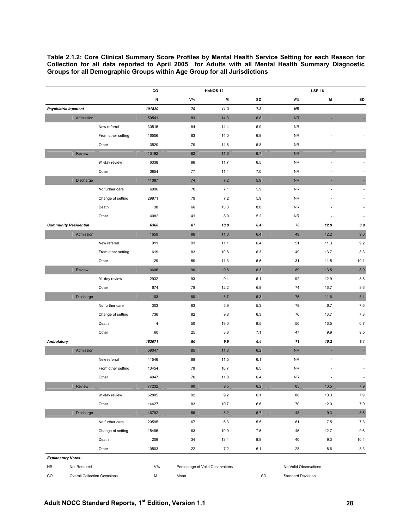**Table 2.1.2: Core Clinical Summary Score Profiles by Mental Health Service Setting for each Reason for Collection for all data reported to April 2005 for Adults with all Mental Health Summary Diagnostic Groups for all Demographic Groups within Age Group for all Jurisdictions** 

|                           |                                     |                    | CO         |      | <b>HoNOS-12</b>                  |         |                           | <b>LSP-16</b>  |                          |
|---------------------------|-------------------------------------|--------------------|------------|------|----------------------------------|---------|---------------------------|----------------|--------------------------|
|                           |                                     |                    | N          | V%   | M                                | SD      | V%                        | M              | SD                       |
|                           | <b>Psychiatric Inpatient</b>        |                    | 101820     | 79   | 11.3                             | 7.3     | NR                        | $\blacksquare$ | $\blacksquare$           |
|                           | Admission                           |                    | 50541      | 83   | 14.3                             | 6.8     | ${\sf NR}$                | ٠              | H.                       |
|                           |                                     | New referral       | 30515      | 84   | 14.4                             | 6.9     | <b>NR</b>                 |                | $\sim$                   |
|                           |                                     | From other setting | 16506      | 83   | 14.0                             | 6.8     | <b>NR</b>                 |                | ٠                        |
|                           |                                     | Other              | 3520       | 79   | 14.6                             | 6.8     | <b>NR</b>                 |                |                          |
|                           | <b>Review</b>                       |                    | 10192      | 82   | 11.6                             | 6.7     | ${\sf NR}$                | ٠              |                          |
|                           |                                     | 91-day review      | 6338       | 86   | 11.7                             | 6.5     | <b>NR</b>                 |                | $\overline{\phantom{a}}$ |
|                           |                                     | Other              | 3854       | $77$ | 11.4                             | 7.0     | <b>NR</b>                 |                |                          |
|                           | Discharge                           |                    | 41087      | 74   | 7.2                              | 5.9     | ${\sf NR}$                |                |                          |
|                           |                                     | No further care    | 6996       | 70   | 7.1                              | 5.9     | <b>NR</b>                 | ÷.             | $\sim$                   |
|                           |                                     | Change of setting  | 29971      | 79   | 7.2                              | 5.9     | <b>NR</b>                 |                |                          |
|                           |                                     | Death              | 38         | 66   | 15.3                             | 8.8     | <b>NR</b>                 |                |                          |
|                           |                                     | Other              | 4082       | 41   | 8.0                              | 5.2     | <b>NR</b>                 |                | ٠                        |
|                           | <b>Community Residential</b>        |                    | 6368       | 87   | 10.0                             | 6.4     | 76                        | 12.9           | 8.9                      |
|                           | Admission                           |                    | 1659       | 86   | 11.0                             | $6.4\,$ | 49                        | 12.2           | 9.0                      |
|                           |                                     | New referral       | 911        | 91   | 11.1                             | 6.4     | 51                        | 11.3           | 9.2                      |
|                           |                                     | From other setting | 619        | 83   | 10.8                             | 6.3     | 49                        | 13.7           | 8.3                      |
|                           |                                     | Other              | 129        | 59   | 11.3                             | 6.6     | 31                        | 11.5           | 10.1                     |
|                           | <b>Review</b>                       |                    | 3606       | 90   | 9.8                              | 6.3     | 89                        | 13.5           | 8.9                      |
|                           |                                     | 91-day review      | 2932       | 93   | 9.4                              | 6.1     | 92                        | 12.9           | 8.8                      |
|                           |                                     | Other              | 674        | 78   | 12.2                             | 6.8     | 74                        | 16.7           | 8.6                      |
|                           | <b>Discharge</b>                    |                    | 1103       | 80   | 8.7                              | 6.3     | 75                        | 11.6           | 8.4                      |
|                           |                                     | No further care    | 303        | 83   | 5.9                              | 5.3     | 78                        | 6.7            | 7.6                      |
|                           |                                     | Change of setting  | 736        | 82   | 9.8                              | 6.3     | 76                        | 13.7           | 7.8                      |
|                           |                                     | Death              | $\sqrt{4}$ | 50   | 19.0                             | 8.5     | 50                        | 16.5           | 0.7                      |
|                           |                                     | Other              | 60         | 25   | 8.8                              | 7.1     | 47                        | 9.9            | 9.5                      |
| Ambulatory                |                                     |                    | 183071     | 80   | 9.9                              | 6.4     | $\bf 71$                  | 10.2           | 8.1                      |
|                           | Admission                           |                    | 59047      | 85   | 11.3                             | 6.2     | ${\sf NR}$                | ×.             |                          |
|                           |                                     | New referral       | 41546      | 88   | 11.5                             | 6.1     | <b>NR</b>                 | ÷.             | $\sim$                   |
|                           |                                     | From other setting | 13454      | 79   | 10.7                             | 6.5     | <b>NR</b>                 |                |                          |
|                           |                                     | Other              | 4047       | 70   | 11.8                             | 6.4     | <b>NR</b>                 |                |                          |
|                           | Review                              |                    | 77232      | 90   | 9.5                              | 6.2     | 85                        | 10.5           | 7.9                      |
|                           |                                     | 91-day review      | 62805      | 92   | 9.2                              | 6.1     | 88                        | 10.3           | 7.9                      |
|                           |                                     | Other              | 14427      | 83   | 10.7                             | 6.6     | 70                        | 12.0           | 7.9                      |
|                           | Discharge                           |                    | 46792      | 56   | 8.2                              | 6.7     | 48                        | 9.3            | 8.6                      |
|                           |                                     | No further care    | 20595      | 67   | 6.3                              | 5.5     | 61                        | 7.5            | 7.3                      |
|                           |                                     | Change of setting  | 15485      | 63   | 10.9                             | 7.5     | 45                        | 12.7           | 9.6                      |
|                           |                                     | Death              | 209        | 34   | 13.4                             | 8.8     | 40                        | 9.3            | 10.4                     |
|                           |                                     | Other              | 10503      | 22   | 7.2                              | 6.1     | 28                        | 8.6            | 8.3                      |
| <b>Explanatory Notes:</b> |                                     |                    |            |      |                                  |         |                           |                |                          |
| <b>NR</b>                 | Not Required                        |                    | $V\%$      |      | Percentage of Valid Observations | ä,      | No Valid Observations     |                |                          |
| CO                        | <b>Overall Collection Occasions</b> |                    | М          | Mean |                                  | SD      | <b>Standard Deviation</b> |                |                          |
|                           |                                     |                    |            |      |                                  |         |                           |                |                          |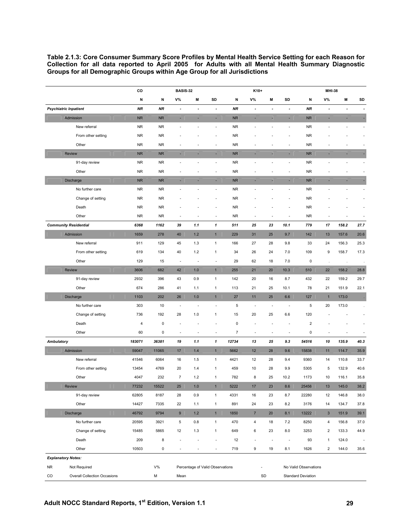**Table 2.1.3: Core Consumer Summary Score Profiles by Mental Health Service Setting for each Reason for Collection for all data reported to April 2005 for Adults with all Mental Health Summary Diagnostic Groups for all Demographic Groups within Age Group for all Jurisdictions** 

|            |                                     | co             | <b>BASIS-32</b>         |                                                                                         |                          |                          | K10+           |                |               |                         | <b>MHI-38</b>             |                         |                          |                          |
|------------|-------------------------------------|----------------|-------------------------|-----------------------------------------------------------------------------------------|--------------------------|--------------------------|----------------|----------------|---------------|-------------------------|---------------------------|-------------------------|--------------------------|--------------------------|
|            |                                     | N              | N<br>V%<br>M<br>SD<br>Ν |                                                                                         |                          |                          |                | V%             | M             | SD                      | N                         | $V\%$                   | M                        | SD                       |
|            | <b>Psychiatric Inpatient</b>        | NR             | <b>NR</b>               | $\overline{\phantom{a}}$                                                                | $\blacksquare$           | $\overline{\phantom{a}}$ | <b>NR</b>      | $\blacksquare$ | $\frac{1}{2}$ | $\blacksquare$          | NR                        | ٠                       | $\overline{\phantom{a}}$ | $\blacksquare$           |
|            | Admission                           | <b>NR</b>      | <b>NR</b>               | ×                                                                                       | ×                        | ÷,                       | <b>NR</b>      |                |               | ۳                       | <b>NR</b>                 | ÷,                      | ×                        | ٠                        |
|            | New referral                        | <b>NR</b>      | <b>NR</b>               |                                                                                         |                          | L,                       | <b>NR</b>      |                |               | Ĭ.                      | NR                        |                         |                          | $\overline{\phantom{a}}$ |
|            | From other setting                  | <b>NR</b>      | <b>NR</b>               |                                                                                         |                          | ä,                       | <b>NR</b>      |                |               |                         | <b>NR</b>                 |                         |                          | $\overline{\phantom{a}}$ |
|            | Other                               | <b>NR</b>      | <b>NR</b>               |                                                                                         |                          | ÷,                       | <b>NR</b>      |                |               |                         | <b>NR</b>                 |                         |                          | $\overline{\phantom{a}}$ |
|            | Review                              | <b>NR</b>      | <b>NR</b>               |                                                                                         |                          | ×                        | <b>NR</b>      |                |               | ٠                       | NR                        | ÷                       |                          | $\overline{\phantom{a}}$ |
|            | 91-day review                       | <b>NR</b>      | <b>NR</b>               |                                                                                         |                          | ÷,                       | <b>NR</b>      |                |               | L,                      | <b>NR</b>                 | í,                      |                          | ÷                        |
|            | Other                               | <b>NR</b>      | <b>NR</b>               | ٠                                                                                       |                          | $\frac{1}{2}$            | <b>NR</b>      |                |               | ÷                       | <b>NR</b>                 | í,                      |                          | $\overline{\phantom{a}}$ |
|            | Discharge                           | <b>NR</b>      | <b>NR</b>               | ı.                                                                                      |                          | ×                        | <b>NR</b>      |                |               | ۳                       | NR                        | ÷                       |                          | ۳                        |
|            | No further care                     | <b>NR</b>      | <b>NR</b>               |                                                                                         |                          | ÷,                       | <b>NR</b>      |                |               | ÷,                      | <b>NR</b>                 | ä,                      |                          | ÷                        |
|            | Change of setting                   | <b>NR</b>      | <b>NR</b>               |                                                                                         |                          |                          | <b>NR</b>      |                |               |                         | <b>NR</b>                 |                         |                          | ä,                       |
|            | Death                               | <b>NR</b>      | <b>NR</b>               |                                                                                         |                          | ä,                       | <b>NR</b>      |                |               |                         | <b>NR</b>                 |                         |                          | J.                       |
|            | Other                               | <b>NR</b>      | <b>NR</b>               |                                                                                         |                          | ä,                       | <b>NR</b>      |                |               | Ĭ.                      | <b>NR</b>                 | J.                      |                          | ٠                        |
|            | <b>Community Residential</b>        | 6368           | 1162                    | 39                                                                                      | 1.1                      | 1                        | 511            | 25             | 23            | 10.1                    | 779                       | $17$                    | 158.2                    | 27.7                     |
|            | Admission                           | 1659           | 278                     | 40                                                                                      | 1.2                      | $\mathbf{1}$             | 229            | 31             | 25            | 9.7                     | 142                       | 13                      | 157.6                    | 20.6                     |
|            | New referral                        | 911            | 129                     | 45                                                                                      | 1.3                      | $\mathbf{1}$             | 166            | 27             | 28            | 9.8                     | 33                        | 24                      | 156.3                    | 25.3                     |
|            | From other setting                  | 619            | 134                     | 40                                                                                      | 1.2                      | 1                        | 34             | 26             | 24            | 7.0                     | 109                       | 9                       | 158.7                    | 17.3                     |
|            | Other                               | 129            | 15                      | $\overline{\phantom{a}}$                                                                | $\overline{\phantom{a}}$ | ÷,                       | 29             | 62             | 18            | 7.0                     | 0                         | $\cdot$                 | $\cdot$                  | $\cdot$                  |
|            | Review                              | 3606           | 682                     | 42                                                                                      | 1.0                      | $\mathbf{1}$             | 255            | 21             | 20            | 10.3                    | 510                       | 22                      | 158.2                    | 28.8                     |
|            | 91-day review                       | 2932           | 396                     | 43                                                                                      | 0.9                      | 1                        | 142            | 20             | 16            | 8.7                     | 432                       | 22                      | 159.2                    | 29.7                     |
|            | Other                               | 674            | 286                     | 41                                                                                      | 1.1                      | 1                        | 113            | 21             | 25            | 10.1                    | 78                        | 21                      | 151.9                    | 22.1                     |
|            | Discharge                           | 1103           | 202                     | 26                                                                                      | 1.0                      | $\mathbf{1}$             | 27             | 11             | 25            | 6.6                     | 127                       | $\mathbf{1}$            | 173.0                    | H.                       |
|            | No further care                     | 303            | 10                      | $\overline{\phantom{a}}$                                                                | ÷,                       | ä,                       | 5              | ÷,             | ÷,            | ÷,                      | 5                         | 20                      | 173.0                    | $\sim$                   |
|            | Change of setting                   | 736            | 192                     | 28                                                                                      | 1.0                      | 1                        | 15             | 20             | 25            | 6.6                     | 120                       |                         |                          | ٠                        |
|            | Death                               | $\overline{4}$ | $\mathbf 0$             |                                                                                         |                          |                          | $\mathbf 0$    |                |               |                         | $\overline{\mathbf{c}}$   |                         |                          |                          |
|            | Other                               | 60             | $\pmb{0}$               | $\overline{\phantom{a}}$                                                                | ٠                        | ٠                        | $\overline{7}$ | ٠              | ٠             | ٠                       | 0                         | $\overline{a}$          |                          | ä,                       |
| Ambulatory |                                     | 183071         | 36381                   | 19                                                                                      | 1.1                      | $\mathbf{1}$             | 12734          | 13             | 25            | 9.3                     | 54516                     | 10                      | 135.9                    | 40.3                     |
|            | Admission                           | 59047          | 11065                   | 17                                                                                      | 1.4                      | $\mathbf{1}$             | 5662           | 12             | 28            | 9.6                     | 15838                     | 11                      | 114.7                    | 35.9                     |
|            | New referral                        | 41546          | 6064                    | 16                                                                                      | 1.5                      | 1                        | 4421           | 12             | 28            | 9.4                     | 9360                      | 14                      | 110.8                    | 33.7                     |
|            | From other setting                  | 13454          | 4769                    | 20                                                                                      | 1.4                      | 1                        | 459            | 10             | 28            | 9.9                     | 5305                      | 5                       | 132.9                    | 40.6                     |
|            | Other                               | 4047           | 232                     | $\overline{7}$                                                                          | $1.2$                    | $\mathbf{1}$             | 782            | 8              | 25            | 10.2                    | 1173                      | 10                      | 116.1                    | 35.8                     |
|            | Review                              | 77232          | 15522                   | 25                                                                                      | 1.0                      |                          | 5222           | $\frac{1}{2}$  | 23            | 8.6                     | 25456                     | 13                      | 145.0                    | 38.2                     |
|            | 91-day review                       | 62805          | 8187                    | 28                                                                                      | 0.9                      | $\mathbf{1}$             | 4331           | 16             | 23            | 8.7                     | 22280                     | 12                      | 146.8                    | 38.0                     |
|            | Other                               | 14427          | 7335                    | 22                                                                                      | 1.1                      | $\mathbf{1}$             | 891            | 24             | 23            | 8.2                     | 3176                      | 14                      | 134.7                    | 37.8                     |
|            | Discharge                           | 46792          | 9794                    | $\boldsymbol{9}$                                                                        | 1.2                      | $\mathbf{1}$             | 1850           | $\overline{7}$ | 20            | 8.1                     | 13222                     | $\mathbf{3}$            | 151.9                    | 39.1                     |
|            | No further care                     | 20595          | 3921                    | $\,$ 5 $\,$                                                                             | 0.8                      | $\mathbf{1}$             | 470            | $\overline{4}$ | 18            | 7.2                     | 8250                      | 4                       | 156.8                    | 37.0                     |
|            | Change of setting                   | 15485          | 5865                    | 12                                                                                      | 1.3                      | $\mathbf{1}$             | 649            | 6              | 23            | 8.0                     | 3253                      | $\overline{\mathbf{c}}$ | 133.3                    | 44.9                     |
|            | Death                               | 209            | 8                       | ÷,                                                                                      | $\overline{\phantom{a}}$ | ä,                       | 12             | ÷,             | ä,            | ÷,                      | 93                        | $\mathbf{1}$            | 124.0                    | $\overline{\phantom{a}}$ |
|            | Other                               | 10503          | $\pmb{0}$               | 719<br>$\overline{\phantom{a}}$<br>$\overline{\phantom{a}}$<br>$\overline{\phantom{a}}$ |                          | 9                        | 19             | 8.1            | 1626          | $\overline{\mathbf{c}}$ | 144.0                     | 35.6                    |                          |                          |
|            | <b>Explanatory Notes:</b>           |                |                         |                                                                                         |                          |                          |                |                |               |                         |                           |                         |                          |                          |
| <b>NR</b>  | Not Required                        |                | $V\%$                   | Percentage of Valid Observations                                                        |                          |                          | ÷.             |                |               | No Valid Observations   |                           |                         |                          |                          |
| CO         | <b>Overall Collection Occasions</b> |                | М                       | Mean                                                                                    |                          |                          |                |                | SD            |                         | <b>Standard Deviation</b> |                         |                          |                          |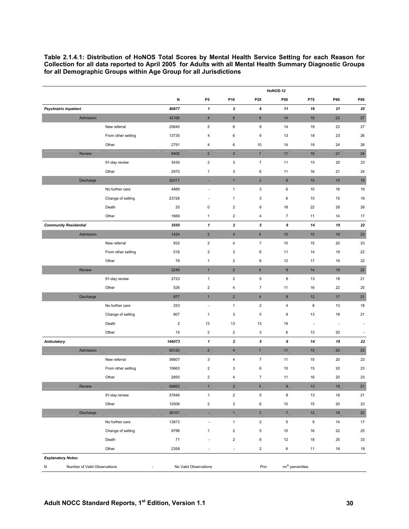**Table 2.1.4.1: Distribution of HoNOS Total Scores by Mental Health Service Setting for each Reason for Collection for all data reported to April 2005 for Adults with all Mental Health Summary Diagnostic Groups for all Demographic Groups within Age Group for all Jurisdictions** 

|                              |                              |                    |            |                          |                          |                          | <b>HoNOS-12</b>         |                              |                          |                          |
|------------------------------|------------------------------|--------------------|------------|--------------------------|--------------------------|--------------------------|-------------------------|------------------------------|--------------------------|--------------------------|
|                              |                              |                    | N          | P <sub>5</sub>           | P10                      | P25                      | P50                     | P75                          | P90                      | P95                      |
| <b>Psychiatric Inpatient</b> |                              |                    | 80877      | $\mathbf{1}$             | $\mathbf{z}$             | 6                        | 11                      | 16                           | 21                       | 25                       |
|                              | Admission                    |                    | 42166      | $\overline{4}$           | $\,$ 6 $\,$              | $\mathsf{9}$             | 14                      | 18                           | 23                       | $27\,$                   |
|                              |                              | New referral       | 25640      | $\sqrt{5}$               | 6                        | 9                        | 14                      | 19                           | 23                       | 27                       |
|                              |                              | From other setting | 13735      | 4                        | 6                        | 9                        | 13                      | 18                           | 23                       | 26                       |
|                              |                              | Other              | 2791       | 4                        | 6                        | 10                       | 14                      | 19                           | 24                       | 26                       |
|                              | Review                       |                    | 8400       | $\overline{2}$           | $\mathsf 3$              | $\sqrt{7}$               | 11                      | 16                           | 21                       | 24                       |
|                              |                              | 91-day review      | 5430       | $\sqrt{2}$               | 3                        | $\bf 7$                  | 11                      | 15                           | 20                       | 23                       |
|                              |                              | Other              | 2970       | $\mathbf{1}$             | 3                        | 6                        | 11                      | 16                           | 21                       | 24                       |
|                              | Discharge                    |                    | 30311      | ٠                        | $\mathbf{1}$             | $\mathbf{3}$             | $\,$ 6 $\,$             | $10$                         | 15                       | 19                       |
|                              |                              | No further care    | 4889       | $\overline{\phantom{a}}$ | $\mathbf{1}$             | $\mathsf 3$              | $\,6\,$                 | 10                           | 16                       | 19                       |
|                              |                              | Change of setting  | 23728      | $\overline{\phantom{a}}$ | $\mathbf{1}$             | 3                        | $\,6\,$                 | 10                           | 15                       | 19                       |
|                              |                              | Death              | 25         | $\pmb{0}$                | $\overline{2}$           | 8                        | 18                      | 22                           | 28                       | 28                       |
|                              |                              | Other              | 1669       | $\mathbf{1}$             | $\overline{2}$           | $\overline{4}$           | $\overline{7}$          | 11                           | 14                       | 17                       |
| <b>Community Residential</b> |                              |                    | 5550       | $\pmb{\mathcal{I}}$      | $\mathbf{2}$             | 5                        | 9                       | 14                           | 19                       | 22                       |
|                              | Admission                    |                    | 1424       | $\overline{2}$           | $\overline{\mathbf{4}}$  | $\,$ 6 $\,$              | 10                      | 15                           | 19                       | 23                       |
|                              |                              | New referral       | 832        | $\overline{2}$           | 4                        | $\overline{7}$           | 10                      | 15                           | 20                       | 23                       |
|                              |                              | From other setting | 516        | $\overline{c}$           | 3                        | 6                        | 11                      | 14                           | 19                       | 22                       |
|                              |                              | Other              | 76         | $\mathbf{1}$             | $\overline{2}$           | 6                        | 12                      | 17                           | 19                       | 22                       |
|                              | <b>Review</b>                |                    | 3249       | $\mathbf{1}$             | $\overline{2}$           | $\sqrt{5}$               | $\boldsymbol{9}$        | 14                           | 19                       | 22                       |
|                              |                              | 91-day review      | 2723       | $\mathbf{1}$             | $\overline{2}$           | $\,$ 5 $\,$              | 8                       | 13                           | 18                       | 21                       |
|                              |                              | Other              | 526        | $\sqrt{2}$               | 4                        | $\overline{\mathcal{I}}$ | 11                      | 16                           | 22                       | 25                       |
|                              | <b>Discharge</b>             |                    | 877        | $\mathbf{1}$             | $\overline{2}$           | $\overline{4}$           | $\boldsymbol{8}$        | 12                           | 17                       | 21                       |
|                              |                              | No further care    | 253        | ÷,                       | $\mathbf{1}$             | $\mathbf 2$              | $\overline{\mathbf{4}}$ | 8                            | 13                       | 18                       |
|                              |                              | Change of setting  | 607        | $\mathbf{1}$             | 3                        | $\,$ 5 $\,$              | 9                       | 13                           | 18                       | 21                       |
|                              |                              | Death              | $\sqrt{2}$ | 13                       | 13                       | 13                       | 19                      | $\overline{\phantom{a}}$     | $\overline{\phantom{a}}$ | $\overline{\phantom{a}}$ |
|                              |                              | Other              | 15         | $\overline{2}$           | $\overline{2}$           | 3                        | $\,6$                   | 13                           | 20                       | $\sim$                   |
| <b>Ambulatory</b>            |                              |                    | 146073     | $\pmb{\mathcal{I}}$      | $\boldsymbol{2}$         | 5                        | 9                       | 14                           | 19                       | 22                       |
|                              | Admission                    |                    | 50120      | $\overline{2}$           | $\overline{4}$           | $\overline{7}$           | 11                      | 15                           | 20                       | 23                       |
|                              |                              | New referral       | 36607      | 3                        | 4                        | $\bf 7$                  | 11                      | 15                           | 20                       | 23                       |
|                              |                              | From other setting | 10663      | $\overline{\mathbf{c}}$  | 3                        | 6                        | 10                      | 15                           | 20                       | 23                       |
|                              |                              | Other              | 2850       | $\overline{\mathbf{c}}$  | 4                        | $\overline{7}$           | 11                      | 16                           | 20                       | 23                       |
|                              | Review                       |                    | 69852      |                          | $\mathbf{z}$             | $\mathbf{p}$             | a                       | 13                           | 18                       | 21                       |
|                              |                              | 91-day review      | 57846      | $\mathbf{1}$             | $\overline{\mathbf{c}}$  | $\,$ 5 $\,$              | 8                       | 13                           | 18                       | 21                       |
|                              |                              | Other              | 12006      | $\mathbf 2$              | 3                        | 6                        | 10                      | 15                           | 20                       | 23                       |
|                              | Discharge                    |                    | 26101      | н                        | $\mathbf{1}$             | $\mathsf 3$              | $\overline{7}$          | 12                           | 18                       | 22                       |
|                              |                              | No further care    | 13873      | $\overline{\phantom{a}}$ | $\mathbf{1}$             | $\mathbf 2$              | $\sqrt{5}$              | 9                            | 14                       | 17                       |
|                              |                              | Change of setting  | 9799       | $\mathbf{1}$             | $\overline{2}$           | $\,$ 5 $\,$              | 10                      | 16                           | 22                       | 25                       |
|                              |                              | Death              | 71         | ÷.                       | $\overline{2}$           | 8                        | 12                      | 18                           | 25                       | 33                       |
|                              |                              | Other              | 2358       | $\overline{\phantom{a}}$ | $\overline{\phantom{a}}$ | $\mathbf 2$              | 6                       | 11                           | 16                       | 19                       |
| <b>Explanatory Notes:</b>    |                              |                    |            |                          |                          |                          |                         |                              |                          |                          |
| N                            | Number of Valid Observations |                    |            | No Valid Observations    |                          |                          | Pnn                     | nn <sup>th</sup> percentiles |                          |                          |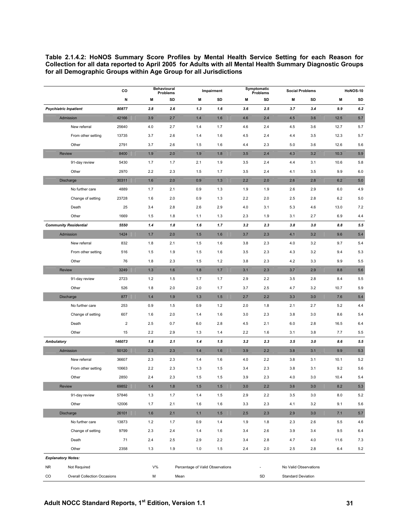**Table 2.1.4.2: HoNOS Summary Score Profiles by Mental Health Service Setting for each Reason for Collection for all data reported to April 2005 for Adults with all Mental Health Summary Diagnostic Groups for all Demographic Groups within Age Group for all Jurisdictions** 

|                   |                                     | CO             |                | <b>Behavioural</b><br>Problems |                                  | Impairment |     | Symptomatic<br>Problems | <b>Social Problems</b>    |     |      | HoNOS-10 |
|-------------------|-------------------------------------|----------------|----------------|--------------------------------|----------------------------------|------------|-----|-------------------------|---------------------------|-----|------|----------|
|                   |                                     | N              | M              | SD                             | M                                | SD         | M   | SD                      | M                         | SD  | M    | SD       |
|                   | <b>Psychiatric Inpatient</b>        | 80877          | 2.8            | 2.6                            | 1.3                              | 1.6        | 3.6 | 2.5                     | 3.7                       | 3.4 | 9.9  | 6.2      |
|                   | Admission                           | 42166          | 3.9            | 2.7                            | 1.4                              | 1.6        | 4.6 | 2.4                     | 4.5                       | 3.6 | 12.5 | 5.7      |
|                   | New referral                        | 25640          | 4.0            | 2.7                            | 1.4                              | 1.7        | 4.6 | 2.4                     | 4.5                       | 3.6 | 12.7 | 5.7      |
|                   | From other setting                  | 13735          | 3.7            | 2.6                            | 1.4                              | 1.6        | 4.5 | 2.4                     | 4.4                       | 3.5 | 12.3 | 5.7      |
|                   | Other                               | 2791           | 3.7            | 2.6                            | 1.5                              | 1.6        | 4.4 | 2.3                     | 5.0                       | 3.6 | 12.6 | 5.6      |
|                   | <b>Review</b>                       | 8400           | 1.9            | 2.0                            | 1.9                              | 1.8        | 3.5 | 2.4                     | 4.3                       | 3.2 | 10.3 | 5.9      |
|                   | 91-day review                       | 5430           | 1.7            | 1.7                            | 2.1                              | 1.9        | 3.5 | 2.4                     | 4.4                       | 3.1 | 10.6 | 5.8      |
|                   | Other                               | 2970           | 2.2            | 2.3                            | 1.5                              | 1.7        | 3.5 | 2.4                     | 4.1                       | 3.5 | 9.9  | 6.0      |
|                   | Discharge                           | 30311          | 1.6            | 2.0                            | 0.9                              | 1.3        | 2.2 | 2.0                     | 2.6                       | 2.8 | 6.2  | 5.0      |
|                   | No further care                     | 4889           | 1.7            | 2.1                            | 0.9                              | 1.3        | 1.9 | 1.9                     | 2.6                       | 2.9 | 6.0  | 4.9      |
|                   | Change of setting                   | 23728          | 1.6            | 2.0                            | 0.9                              | 1.3        | 2.2 | 2.0                     | 2.5                       | 2.8 | 6.2  | 5.0      |
|                   | Death                               | 25             | 3.4            | 2.8                            | 2.6                              | 2.9        | 4.0 | 3.1                     | 5.3                       | 4.6 | 13.0 | 7.2      |
|                   | Other                               | 1669           | 1.5            | 1.8                            | 1.1                              | 1.3        | 2.3 | 1.9                     | 3.1                       | 2.7 | 6.9  | 4.4      |
|                   | <b>Community Residential</b>        | 5550           | 1.4            | 1.8                            | 1.6                              | 1.7        | 3.2 | 2.3                     | 3.8                       | 3.0 | 8.8  | 5.5      |
|                   | Admission                           | 1424           | 1.7            | 2.0                            | 1.5                              | 1.6        | 3.7 | 2.3                     | 4.1                       | 3.2 | 9.6  | 5.4      |
|                   | New referral                        | 832            | 1.8            | 2.1                            | 1.5                              | 1.6        | 3.8 | 2.3                     | 4.0                       | 3.2 | 9.7  | 5.4      |
|                   | From other setting                  | 516            | 1.5            | 1.9                            | 1.5                              | 1.6        | 3.5 | 2.3                     | 4.3                       | 3.2 | 9.4  | 5.3      |
|                   | Other                               | 76             | 1.8            | 2.3                            | 1.5                              | 1.2        | 3.8 | 2.3                     | 4.2                       | 3.3 | 9.9  | 5.5      |
|                   | <b>Review</b>                       | 3249           | 1.3            | 1.6                            | 1.8                              | 1.7        | 3.1 | 2.3                     | 3.7                       | 2.9 | 8.8  | 5.6      |
|                   | 91-day review                       | 2723           | $1.2$          | 1.5                            | 1.7                              | 1.7        | 2.9 | 2.2                     | 3.5                       | 2.8 | 8.4  | 5.5      |
|                   | Other                               | 526            | 1.8            | 2.0                            | 2.0                              | 1.7        | 3.7 | 2.5                     | 4.7                       | 3.2 | 10.7 | 5.9      |
|                   | Discharge                           | 877            | 1.4            | 1.9                            | 1.3                              | 1.5        | 2.7 | 2.2                     | 3.3                       | 3.0 | 7.6  | 5.4      |
|                   | No further care                     | 253            | 0.9            | 1.5                            | 0.9                              | 1.2        | 2.0 | 1.8                     | 2.1                       | 2.7 | 5.2  | 4.4      |
|                   | Change of setting                   | 607            | 1.6            | 2.0                            | 1.4                              | 1.6        | 3.0 | 2.3                     | 3.8                       | 3.0 | 8.6  | 5.4      |
|                   | Death                               | $\overline{2}$ | 2.5            | 0.7                            | 6.0                              | 2.8        | 4.5 | 2.1                     | 6.0                       | 2.8 | 16.5 | 6.4      |
|                   | Other                               | 15             | 2.2            | 2.9                            | 1.3                              | 1.4        | 2.2 | 1.6                     | 3.1                       | 3.8 | 7.7  | 5.5      |
| <b>Ambulatory</b> |                                     | 146073         | 1.8            | 2.1                            | 1.4                              | 1.5        | 3.2 | 2.3                     | 3.5                       | 3.0 | 8.6  | 5.5      |
|                   | Admission                           | 50120          | 2.3            | 2.3                            | 1.4                              | 1.6        | 3.9 | 2.2                     | 3.8                       | 3.1 | 9.9  | 5.3      |
|                   | New referral                        | 36607          | 2.3            | 2.3                            | 1.4                              | 1.6        | 4.0 | 2.2                     | 3.8                       | 3.1 | 10.1 | 5.2      |
|                   | From other setting                  | 10663          | 2.2            | 2.3                            | 1.3                              | 1.5        | 3.4 | 2.3                     | 3.8                       | 3.1 | 9.2  | 5.6      |
|                   | Other                               | 2850           | 2.4            | 2.3                            | 1.5                              | 1.5        | 3.9 | 2.3                     | 4.0                       | 3.0 | 10.4 | 5.4      |
|                   | Review                              | 69852          | 1.4            | 1.8                            | 1.5                              | 1.5        | 3.0 | 2.2                     | 3.6                       | 3.0 | 8.2  | 5.3      |
|                   | 91-day review                       | 57846          | $1.3$          | 1.7                            | 1.4                              | 1.5        | 2.9 | 2.2                     | 3.5                       | 3.0 | 8.0  | $5.2\,$  |
|                   | Other                               | 12006          | 1.7            | 2.1                            | 1.6                              | 1.6        | 3.3 | 2.3                     | 4.1                       | 3.2 | 9.1  | 5.6      |
|                   | Discharge                           | 26101          | 1.6            | 2.1                            | $1.1$                            | 1.5        | 2.5 | 2.3                     | 2.9                       | 3.0 | 7.1  | $5.7$    |
|                   | No further care                     | 13873          | 1.2            | 1.7                            | 0.9                              | 1.4        | 1.9 | 1.8                     | 2.3                       | 2.6 | 5.5  | 4.6      |
|                   | Change of setting                   | 9799           | 2.3            | $2.4\,$                        | 1.4                              | 1.6        | 3.4 | 2.6                     | 3.9                       | 3.4 | 9.5  | 6.4      |
|                   | Death                               | 71             | 2.4            | 2.5                            | 2.9                              | 2.2        | 3.4 | 2.8                     | 4.7                       | 4.0 | 11.6 | 7.3      |
|                   | Other                               | 2358           | 1.3            | 1.9                            | 1.0                              | 1.5        | 2.4 | 2.0                     | 2.5                       | 2.8 | 6.4  | 5.2      |
|                   | <b>Explanatory Notes:</b>           |                |                |                                |                                  |            |     |                         |                           |     |      |          |
| <b>NR</b>         | Not Required                        |                | $\mathsf{V}\%$ |                                | Percentage of Valid Observations |            |     |                         | No Valid Observations     |     |      |          |
| CO                | <b>Overall Collection Occasions</b> |                | М              | Mean                           |                                  |            |     | SD                      | <b>Standard Deviation</b> |     |      |          |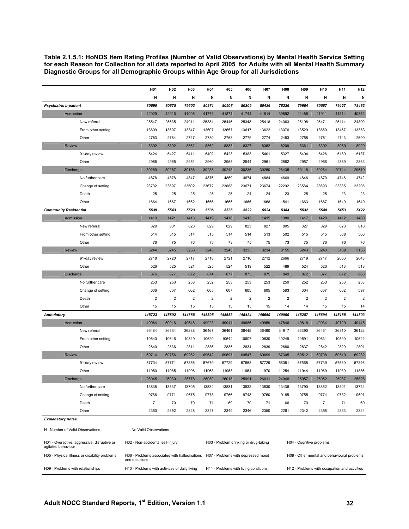**Table 2.1.5.1: HoNOS Item Rating Profiles (Number of Valid Observations) by Mental Health Service Setting for each Reason for Collection for all data reported to April 2005 for Adults with all Mental Health Summary Diagnostic Groups for all Demographic Groups within Age Group for all Jurisdictions** 

|                                                                   | H <sub>01</sub>                                                | H <sub>02</sub> | H <sub>0</sub> 3 | H <sub>04</sub> | H <sub>05</sub> | H <sub>06</sub>                       | H <sub>07</sub> | H08                     | H <sub>09</sub>         | H <sub>10</sub>          | H11                                         | H12            |
|-------------------------------------------------------------------|----------------------------------------------------------------|-----------------|------------------|-----------------|-----------------|---------------------------------------|-----------------|-------------------------|-------------------------|--------------------------|---------------------------------------------|----------------|
|                                                                   | N                                                              | Ν               | N                | N               | N               | N                                     | Ν               | N                       | N                       | Ν                        | N                                           | N              |
| <b>Psychiatric Inpatient</b>                                      | 80690                                                          | 80675           | 79503            | 80371           | 80507           | 80306                                 | 80426           | 76236                   | 79964                   | 80567                    | 79127                                       | 78482          |
| Admission                                                         | 42029                                                          | 42016           | 41005            | 41771           | 41871           | 41744                                 | 41814           | 39592                   | 41485                   | 41911                    | 41314                                       | 40852          |
| New referral                                                      | 25547                                                          | 25535           | 24911            | 25384           | 25446           | 25348                                 | 25418           | 24063                   | 25198                   | 25471                    | 25114                                       | 24809          |
| From other setting                                                | 13699                                                          | 13697           | 13347            | 13607           | 13657           | 13617                                 | 13622           | 13076                   | 13529                   | 13659                    | 13457                                       | 13353          |
| Other                                                             | 2783                                                           | 2784            | 2747             | 2780            | 2768            | 2779                                  | 2774            | 2453                    | 2758                    | 2781                     | 2743                                        | 2690           |
| <b>Review</b>                                                     | 8392                                                           | 8392            | 8362             | 8362            | 8388            | 8327                                  | 8362            | 8209                    | 8361                    | 8392                     | 8069                                        | 8020           |
| 91-day review                                                     | 5424                                                           | 5427            | 5411             | 5402            | 5423            | 5383                                  | 5401            | 5327                    | 5404                    | 5426                     | 5180                                        | 5137           |
| Other                                                             | 2968                                                           | 2965            | 2951             | 2960            | 2965            | 2944                                  | 2961            | 2882                    | 2957                    | 2966                     | 2889                                        | 2883           |
| <b>Discharge</b>                                                  | 30269                                                          | 30267           | 30136            | 30238           | 30248           | 30235                                 | 30250           | 28435                   | 30118                   | 30264                    | 29744                                       | 29610          |
| No further care                                                   | 4878                                                           | 4878            | 4847             | 4876            | 4869            | 4874                                  | 4884            | 4669                    | 4846                    | 4879                     | 4746                                        | 4742           |
| Change of setting                                                 | 23702                                                          | 23697           | 23602            | 23672           | 23688           | 23671                                 | 23674           | 22202                   | 23584                   | 23693                    | 23335                                       | 23205          |
| Death                                                             | 25                                                             | 25              | 25               | 25              | 25              | 24                                    | 24              | 23                      | 25                      | 25                       | 23                                          | 23             |
| Other                                                             | 1664                                                           | 1667            | 1662             | 1665            | 1666            | 1666                                  | 1668            | 1541                    | 1663                    | 1667                     | 1640                                        | 1640           |
| <b>Community Residential</b>                                      | 5539                                                           | 5543            | 5523             | 5536            | 5538            | 5522                                  | 5524            | 5384                    | 5532                    | 5540                     | 5453                                        | 5422           |
| Admission                                                         | 1419                                                           | 1421            | 1413             | 1419            | 1416            | 1412                                  | 1415            | 1380                    | 1417                    | 1420                     | 1412                                        | 1400           |
| New referral                                                      | 829                                                            | 831             | 823              | 829             | 829             | 823                                   | 827             | 805                     | 827                     | 829                      | 828                                         | 818            |
| From other setting                                                | 514                                                            | 515             | 514              | 515             | 514             | 514                                   | 513             | 502                     | 515                     | 515                      | 508                                         | 506            |
| Other                                                             | 76                                                             | 75              | 76               | 75              | 73              | 75                                    | 75              | 73                      | 75                      | 76                       | 76                                          | 76             |
| <b>Review</b>                                                     | 3244                                                           | 3245            | 3238             | 3243            | 3245            | 3235                                  | 3234            | 3155                    | 3243                    | 3243                     | 3169                                        | 3156           |
| 91-day review                                                     | 2718                                                           | 2720            | 2717             | 2718            | 2721            | 2716                                  | 2712            | 2666                    | 2719                    | 2717                     | 2656                                        | 2643           |
| Other                                                             | 526                                                            | 525             | 521              | 525             | 524             | 519                                   | 522             | 489                     | 524                     | 526                      | 513                                         | 513            |
| <b>Discharge</b><br>No further care                               | 876<br>253                                                     | 877<br>253      | 872<br>253       | 874<br>252      | 877<br>253      | 875<br>253                            | 875<br>253      | 849<br>250              | 872<br>252              | 877<br>253               | 872<br>253                                  | 866<br>253     |
| Change of setting                                                 | 606                                                            | 607             | 602              | 605             | 607             | 605                                   | 605             | 583                     | 604                     | 607                      | 602                                         | 597            |
| Death                                                             | $\overline{\mathbf{c}}$                                        | $\overline{2}$  | $\overline{2}$   | $\overline{2}$  | $\overline{2}$  | $\overline{\mathbf{c}}$               | $\overline{2}$  | $\overline{\mathbf{c}}$ | $\overline{\mathbf{c}}$ | $\overline{2}$           | $\overline{2}$                              | $\overline{2}$ |
| Other                                                             | 15                                                             | 15              | 15               | 15              | 15              | 15                                    | 15              | 14                      | 14                      | 15                       | 15                                          | 14             |
| Ambulatory                                                        | 145723                                                         | 145802          | 144688           | 145595          | 145653          | 145424                                | 145669          | 140099                  | 145287                  | 145694                   | 145185                                      | 144503         |
| Admission                                                         | 49964                                                          | 50016           | 49648            | 49923           | 49941           | 49886                                 | 49959           | 47846                   | 49818                   | 49934                    | 49729                                       | 49445          |
| New referral                                                      | 36484                                                          | 36534           | 36288            | 36467           | 36461           | 36445                                 | 36490           | 34917                   | 36390                   | 36461                    | 36310                                       | 36122          |
| From other setting                                                | 10640                                                          | 10646           | 10549            | 10620           | 10644           | 10607                                 | 10630           | 10249                   | 10591                   | 10631                    | 10590                                       | 10522          |
| Other                                                             | 2840                                                           | 2836            | 2811             | 2836            | 2836            | 2834                                  | 2839            | 2680                    | 2837                    | 2842                     | 2829                                        | 2801           |
| <b>Review</b>                                                     | 69714                                                          | 69756           | 69262            | 69642           | 69697           | 69547                                 | 69699           | 67305                   | 69512                   | 69708                    | 69519                                       | 69232          |
| 91-day review                                                     | 57734                                                          | 57771           | 57356            | 57679           | 57729           | 57583                                 | 57729           | 56051                   | 57568                   | 57739                    | 57580                                       | 57346          |
| Other                                                             | 11980                                                          | 11985           | 11906            | 11963           | 11968           | 11964                                 | 11970           | 11254                   | 11944                   | 11969                    | 11939                                       | 11886          |
| <b>Discharge</b>                                                  | 26045                                                          | 26030           | 25778            | 26030           | 26015           | 25991                                 | 26011           | 24948                   | 25957                   | 26052                    | 25937                                       | 25826          |
| No further care                                                   | 13838                                                          | 13837           | 13705            | 13834           | 13831           | 13832                                 | 13830           | 13436                   | 13790                   | 13852                    | 13801                                       | 13742          |
| Change of setting                                                 | 9786                                                           | 9771            | 9675             | 9778            | 9766            | 9743                                  | 9760            | 9185                    | 9755                    | 9774                     | 9732                                        | 9691           |
| Death                                                             | 71                                                             | 70              | 70               | 71              | 69              | 70                                    | 71              | 66                      | 70                      | 71                       | 71                                          | 69             |
| Other                                                             | 2350                                                           | 2352            | 2328             | 2347            | 2349            | 2346                                  | 2350            | 2261                    | 2342                    | 2355                     | 2333                                        | 2324           |
| <b>Explanatory notes</b>                                          |                                                                |                 |                  |                 |                 |                                       |                 |                         |                         |                          |                                             |                |
| N Number of Valid Observations                                    | No Valid Observations<br>ä,                                    |                 |                  |                 |                 |                                       |                 |                         |                         |                          |                                             |                |
| H01 - Overactive, aggressive, disruptive or<br>agitated behaviour | H02 - Non-accidental self-injury                               |                 |                  |                 |                 | H03 - Problem drinking or drug-taking |                 |                         |                         | H04 - Cognitive problems |                                             |                |
| H05 - Physical illness or disability problems                     | H06 - Problems associated with hallucinations<br>and delusions |                 |                  |                 |                 | H07 - Problems with depressed mood    |                 |                         |                         |                          | H08 - Other mental and behavioural problems |                |

H09 - Problems with relationships H10 - Problems with activities of daily living H11 - Problems with living conditions H12 - Problems with occupation and activities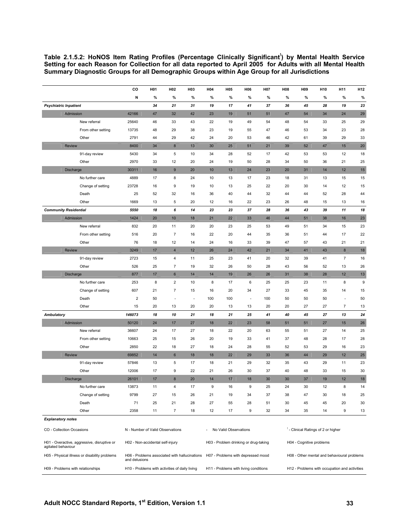**Table 2.1.5.2: HoNOS Item Rating Profiles (Percentage Clinically Significant! ) by Mental Health Service Setting for each Reason for Collection for all data reported to April 2005 for Adults with all Mental Health Summary Diagnostic Groups for all Demographic Groups within Age Group for all Jurisdictions** 

|                                   |                                               | CO             | H <sub>0</sub> 1                 | H02                                            | H <sub>0</sub> 3                              | H04                   | H <sub>05</sub>                       | H06            | H07 | H08                                            | H09                                           | H <sub>10</sub> | H11              | H12 |
|-----------------------------------|-----------------------------------------------|----------------|----------------------------------|------------------------------------------------|-----------------------------------------------|-----------------------|---------------------------------------|----------------|-----|------------------------------------------------|-----------------------------------------------|-----------------|------------------|-----|
|                                   |                                               | Ν              | %                                | %                                              | %                                             | %                     | %                                     | %              | %   | %                                              | %                                             | %               | %                | %   |
| <b>Psychiatric Inpatient</b>      |                                               |                | 34                               | 21                                             | 31                                            | 19                    | 17                                    | 41             | 37  | 36                                             | 45                                            | 28              | 19               | 23  |
| Admission                         |                                               | 42166          | 47                               | 32                                             | 42                                            | 23                    | 19                                    | 51             | 51  | 47                                             | 54                                            | 34              | 24               | 29  |
|                                   | New referral                                  | 25640          | 46                               | 33                                             | 43                                            | 22                    | 19                                    | 49             | 54  | 48                                             | 54                                            | 33              | 25               | 29  |
|                                   | From other setting                            | 13735          | 48                               | 29                                             | 38                                            | 23                    | 19                                    | 55             | 47  | 46                                             | 53                                            | 34              | 23               | 28  |
|                                   | Other                                         | 2791           | 44                               | 29                                             | 42                                            | 24                    | 20                                    | 53             | 46  | 42                                             | 61                                            | 39              | 29               | 33  |
| Review                            |                                               | 8400           | 34                               | $\bf 8$                                        | 13                                            | 30                    | 25                                    | 51             | 21  | 39                                             | 52                                            | 47              | 15               | 20  |
|                                   | 91-day review                                 | 5430           | 34                               | 5                                              | 10                                            | 34                    | 28                                    | 52             | 17  | 42                                             | 53                                            | 53              | 12               | 18  |
|                                   | Other                                         | 2970           | 33                               | 12                                             | 20                                            | 24                    | 19                                    | 50             | 28  | 34                                             | 50                                            | 36              | 21               | 25  |
| <b>Discharge</b>                  |                                               | 30311          | 16                               | $\boldsymbol{9}$                               | 20                                            | 10                    | 13                                    | 24             | 23  | 20                                             | 31                                            | 14              | 12               | 15  |
|                                   | No further care                               | 4889           | 17                               | 8                                              | 24                                            | 10                    | 13                                    | 17             | 23  | 18                                             | 31                                            | 13              | 15               | 15  |
|                                   | Change of setting                             | 23728          | 16                               | 9                                              | 19                                            | 10                    | 13                                    | 25             | 22  | 20                                             | 30                                            | 14              | 12               | 15  |
|                                   | Death                                         | 25             | 52                               | 32                                             | 16                                            | 36                    | 40                                    | 44             | 32  | 44                                             | 44                                            | 52              | 28               | 44  |
|                                   | Other                                         | 1669           | 13                               | 5                                              | 20                                            | 12                    | 16                                    | 22             | 23  | 26                                             | 48                                            | 15              | 13               | 16  |
| <b>Community Residential</b>      |                                               | 5550           | 18                               | 6                                              | 14                                            | 23                    | 23                                    | 37             | 28  | 36                                             | 43                                            | 39              | 11               | 18  |
| Admission                         |                                               | 1424           | 20                               | 10                                             | 18                                            | 21                    | 22                                    | 33             | 46  | 44                                             | 51                                            | 38              | 16               | 23  |
|                                   | New referral                                  | 832            | 20                               | 11                                             | 20                                            | 20                    | 23                                    | 25             | 53  | 49                                             | 51                                            | 34              | 15               | 23  |
|                                   | From other setting                            | 516            | 20                               | $\overline{7}$                                 | 16                                            | 22                    | 20                                    | 44             | 35  | 36                                             | 51                                            | 44              | 17               | 22  |
|                                   | Other                                         | 76             | 18                               | 12                                             | 14                                            | 24                    | 16                                    | 33             | 39  | 47                                             | 57                                            | 43              | 21               | 21  |
| <b>Review</b>                     |                                               | 3249           | 17                               | $\overline{4}$                                 | 12                                            | 26                    | 24                                    | 42             | 21  | 34                                             | 41                                            | 43              | $\boldsymbol{8}$ | 18  |
|                                   | 91-day review<br>Other                        |                | 15                               | 4                                              | 11                                            | 25                    | 23                                    | 41             | 20  | 32                                             | 39                                            | 41              | $\overline{7}$   | 16  |
|                                   |                                               |                | 25                               | $\overline{7}$                                 | 19                                            | 32                    | 26                                    | 50             | 28  | 43                                             | 56                                            | 52              | 13               | 26  |
| <b>Discharge</b>                  |                                               | 877            | 17                               | $6\phantom{1}$                                 | 14                                            | 14                    | 19                                    | 26             | 26  | 31                                             | 38                                            | 28              | 12               | 13  |
|                                   | No further care                               | 253            | 8                                | $\overline{2}$                                 | 10                                            | 8                     | 17                                    | 6              | 25  | 25                                             | 23                                            | 11              | 8                | 9   |
|                                   | Change of setting                             | 607            | 21                               | $\overline{7}$                                 | 15                                            | 16                    | 20                                    | 34             | 27  | 33                                             | 45                                            | 35              | 14               | 15  |
|                                   | Death                                         | $\overline{2}$ | 50                               |                                                | ÷,                                            | 100                   | 100                                   | $\overline{a}$ | 100 | 50                                             | 50                                            | 50              | ÷                | 50  |
|                                   | Other                                         | 15             | 20                               | 13                                             | 20                                            | 20                    | 13                                    | 13             | 20  | 20                                             | 27                                            | 27              | $\overline{7}$   | 13  |
| Ambulatory                        |                                               | 146073         | 18                               | 10                                             | 21                                            | 18                    | 21                                    | 25             | 41  | 40                                             | 45                                            | 27              | 13               | 24  |
| Admission                         |                                               | 50120          | 24                               | 17                                             | 27                                            | 18                    | 22                                    | 23             | 58  | 51                                             | 51                                            | 27              | 15               | 26  |
|                                   | New referral                                  | 36607          | 24                               | 17                                             | 27                                            | 18                    | 22                                    | 20             | 63  | 55                                             | 51                                            | 27              | 14               | 25  |
|                                   | From other setting                            | 10663          | 25                               | 15                                             | 26                                            | 20                    | 19                                    | 33             | 41  | 37                                             | 48                                            | 28              | 17               | 28  |
|                                   | Other                                         | 2850           | 22                               | 18                                             | 27                                            | 18                    | 24                                    | 28             | 55  | 52                                             | 53                                            | 29              | 16               | 23  |
| <b>Review</b>                     |                                               | 69852          | 14                               | $6\phantom{1}$                                 | 18                                            | 18                    | 22                                    | 29             | 33  | 36                                             | 44                                            | 29              | 12               | 25  |
|                                   | 91-day review                                 | 57846          | 13                               | 5                                              | 17                                            | 18                    | 21                                    | 29             | 32  | 35                                             | 43                                            | 29              | 11               | 23  |
|                                   | Other                                         | 12006          | 17                               | 9                                              | 22                                            | 21                    | 26                                    | 30             | 37  | 40                                             | 48                                            | 33              | 15               | 30  |
| Discharge                         |                                               | 26101          | 17                               | 8                                              | 20                                            | 14                    | 17                                    | 18             | 30  | 30                                             | 37                                            | 19              | 12               | 18  |
|                                   | No further care                               | 13873          | 11                               | 4                                              | 17                                            | 9                     | 16                                    | 9              | 25  | 24                                             | 30                                            | 12              | 8                | 14  |
|                                   | Change of setting                             | 9799           | 27                               | 15                                             | 26                                            | 21                    | 19                                    | 34             | 37  | 38                                             | 47                                            | 30              | 18               | 25  |
|                                   | Death                                         | 71             | 25                               | 21                                             | 28                                            | 27                    | 55                                    | 28             | 51  | 30                                             | 45                                            | 45              | 20               | 30  |
|                                   | Other                                         | 2358           | 11                               | $\overline{7}$                                 | 18                                            | 12                    | 17                                    | 9              | 32  | 34                                             | 35                                            | 14              | 9                | 13  |
| <b>Explanatory notes</b>          |                                               |                |                                  |                                                |                                               |                       |                                       |                |     |                                                |                                               |                 |                  |     |
| CO - Collection Occasions         |                                               |                | N - Number of Valid Observations |                                                | $\overline{\phantom{a}}$                      | No Valid Observations |                                       |                |     | <sup>1</sup> - Clinical Ratings of 2 or higher |                                               |                 |                  |     |
| agitated behaviour                | H01 - Overactive, aggressive, disruptive or   |                |                                  | H02 - Non-accidental self-injury               |                                               |                       | H03 - Problem drinking or drug-taking |                |     |                                                | H04 - Cognitive problems                      |                 |                  |     |
|                                   | H05 - Physical illness or disability problems | and delusions  |                                  |                                                | H06 - Problems associated with hallucinations |                       | H07 - Problems with depressed mood    |                |     |                                                | H08 - Other mental and behavioural problems   |                 |                  |     |
| H09 - Problems with relationships |                                               |                |                                  | H10 - Problems with activities of daily living |                                               |                       | H11 - Problems with living conditions |                |     |                                                | H12 - Problems with occupation and activities |                 |                  |     |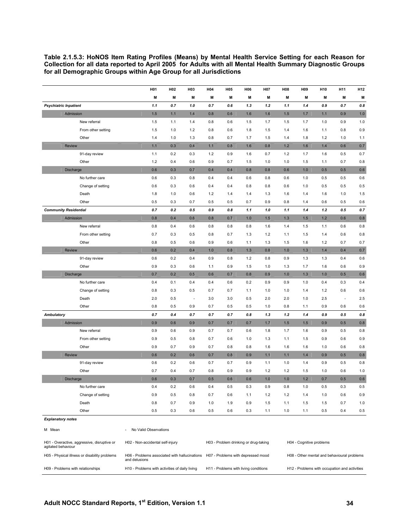**Table 2.1.5.3: HoNOS Item Rating Profiles (Means) by Mental Health Service Setting for each Reason for Collection for all data reported to April 2005 for Adults with all Mental Health Summary Diagnostic Groups for all Demographic Groups within Age Group for all Jurisdictions** 

|                                                                   | H <sub>0</sub> 1                                                                 | H <sub>02</sub> | H <sub>0</sub> 3 | H <sub>04</sub> | H <sub>05</sub> | H <sub>06</sub>                       | H <sub>07</sub> | H08 | H <sub>09</sub>          | H <sub>10</sub>                             | H11                      | H12     |
|-------------------------------------------------------------------|----------------------------------------------------------------------------------|-----------------|------------------|-----------------|-----------------|---------------------------------------|-----------------|-----|--------------------------|---------------------------------------------|--------------------------|---------|
|                                                                   | M                                                                                | M               | M                | M               | M               | M                                     | M               | M   | M                        | M                                           | M                        | M       |
| <b>Psychiatric Inpatient</b>                                      | 1.1                                                                              | 0.7             | 1.0              | 0.7             | 0.6             | 1.3                                   | 1.2             | 1.1 | 1.4                      | 0.9                                         | 0.7                      | 0.8     |
| Admission                                                         | 1.5                                                                              | 1.1             | 1.4              | 0.8             | 0.6             | 1.6                                   | 1.6             | 1.5 | 1.7                      | $1.1$                                       | 0.9                      | 1.0     |
| New referral                                                      | 1.5                                                                              | 1.1             | 1.4              | 0.8             | 0.6             | 1.5                                   | 1.7             | 1.5 | 1.7                      | 1.0                                         | 0.9                      | 1.0     |
| From other setting                                                | 1.5                                                                              | 1.0             | 1.2              | 0.8             | 0.6             | 1.8                                   | 1.5             | 1.4 | 1.6                      | 1.1                                         | 0.8                      | 0.9     |
| Other                                                             | 1.4                                                                              | 1.0             | 1.3              | 0.8             | 0.7             | 1.7                                   | 1.5             | 1.4 | 1.8                      | 1.2                                         | 1.0                      | 1.1     |
| <b>Review</b>                                                     | $1.1$                                                                            | 0.3             | 0.4              | 1.1             | 0.8             | 1.6                                   | 0.8             | 1.2 | 1.6                      | 1.4                                         | 0.6                      | 0.7     |
| 91-day review                                                     | 1.1                                                                              | 0.2             | 0.3              | 1.2             | 0.9             | 1.6                                   | 0.7             | 1.2 | 1.7                      | 1.6                                         | 0.5                      | 0.7     |
| Other                                                             | 1.2                                                                              | 0.4             | 0.6              | 0.9             | 0.7             | 1.5                                   | 1.0             | 1.0 | 1.5                      | 1.1                                         | 0.7                      | 0.8     |
| <b>Discharge</b>                                                  | 0.6                                                                              | 0.3             | 0.7              | 0.4             | 0.4             | 0.8                                   | 0.8             | 0.6 | 1.0                      | 0.5                                         | 0.5                      | 0.6     |
| No further care                                                   | 0.6                                                                              | 0.3             | 0.8              | 0.4             | 0.4             | 0.6                                   | 0.8             | 0.6 | 1.0                      | 0.5                                         | 0.5                      | 0.6     |
| Change of setting                                                 | 0.6                                                                              | 0.3             | 0.6              | 0.4             | 0.4             | 0.8                                   | 0.8             | 0.6 | 1.0                      | 0.5                                         | 0.5                      | 0.5     |
| Death                                                             | 1.8                                                                              | 1.0             | 0.6              | 1.2             | 1.4             | 1.4                                   | 1.3             | 1.6 | 1.4                      | 1.6                                         | 1.0                      | 1.5     |
| Other                                                             | 0.5                                                                              | 0.3             | 0.7              | 0.5             | 0.5             | 0.7                                   | 0.9             | 0.8 | 1.4                      | 0.6                                         | 0.5                      | 0.6     |
| <b>Community Residential</b>                                      | 0.7                                                                              | 0.2             | 0.5              | 0.9             | 0.8             | 1.1                                   | 1.0             | 1.1 | 1.4                      | 1.2                                         | 0.5                      | 0.7     |
| Admission                                                         | 0.8                                                                              | 0.4             | 0.6              | 0.8             | 0.7             | 1.0                                   | 1.5             | 1.3 | 1.5                      | 1.2                                         | 0.6                      | 0.8     |
| New referral                                                      | 0.8                                                                              | 0.4             | 0.6              | 0.8             | 0.8             | 0.8                                   | 1.6             | 1.4 | 1.5                      | 1.1                                         | 0.6                      | 0.8     |
| From other setting                                                | 0.7                                                                              | 0.3             | 0.5              | 0.8             | 0.7             | 1.3                                   | $1.2$           | 1.1 | 1.5                      | 1.4                                         | 0.6                      | 0.8     |
| Other                                                             | 0.8                                                                              | 0.5             | 0.6              | 0.9             | 0.6             | 1.1                                   | 1.3             | 1.5 | 1.6                      | 1.2                                         | 0.7                      | 0.7     |
| Review                                                            | 0.6                                                                              | 0.2             | 0.4              | 1.0             | 0.8             | 1.3                                   | 0.8             | 1.0 | 1.3                      | 1.4                                         | 0.4                      | 0.7     |
| 91-day review                                                     | 0.6                                                                              | 0.2             | 0.4              | 0.9             | 0.8             | $1.2$                                 | 0.8             | 0.9 | 1.3                      | 1.3                                         | 0.4                      | 0.6     |
| Other                                                             | 0.9                                                                              | 0.3             | 0.6              | 1.1             | 0.9             | 1.5                                   | 1.0             | 1.3 | 1.7                      | 1.6                                         | 0.6                      | 0.9     |
| Discharge                                                         | 0.7                                                                              | 0.2             | 0.5              | 0.6             | 0.7             | 0.8                                   | 0.9             | 1.0 | 1.3                      | 1.0                                         | 0.5                      | 0.6     |
| No further care                                                   | 0.4                                                                              | 0.1             | 0.4              | 0.4             | 0.6             | 0.2                                   | 0.9             | 0.9 | 1.0                      | 0.4                                         | 0.3                      | 0.4     |
| Change of setting                                                 | 0.8                                                                              | 0.3             | 0.5              | 0.7             | 0.7             | 1.1                                   | 1.0             | 1.0 | 1.4                      | 1.2                                         | 0.6                      | 0.6     |
| Death                                                             | 2.0                                                                              | 0.5             | $\overline{a}$   | 3.0             | 3.0             | 0.5                                   | 2.0             | 2.0 | 1.0                      | 2.5                                         | $\overline{\phantom{a}}$ | 2.5     |
| Other                                                             | 0.8                                                                              | 0.5             | 0.9              | 0.7             | 0.5             | 0.5                                   | 1.0             | 0.8 | 1.1                      | 0.9                                         | 0.6                      | 0.6     |
| Ambulatory                                                        | 0.7                                                                              | 0.4             | 0.7              | 0.7             | 0.7             | 0.8                                   | 1.3             | 1.2 | 1.4                      | 0.9                                         | 0.5                      | $0.8\,$ |
| Admission                                                         | 0.9                                                                              | 0.6             | 0.9              | 0.7             | 0.7             | 0.7                                   | 1.7             | 1.5 | 1.5                      | 0.9                                         | 0.5                      | 0.8     |
| New referral                                                      | 0.9                                                                              | 0.6             | 0.9              | 0.7             | 0.7             | 0.6                                   | 1.8             | 1.7 | 1.6                      | 0.9                                         | 0.5                      | 0.8     |
| From other setting                                                | 0.9                                                                              | 0.5             | 0.8              | 0.7             | 0.6             | 1.0                                   | 1.3             | 1.1 | 1.5                      | 0.9                                         | 0.6                      | 0.9     |
| Other                                                             | 0.9                                                                              | 0.7             | 0.9              | 0.7             | 0.8             | 0.8                                   | 1.6             | 1.6 | 1.6                      | 1.0                                         | 0.6                      | 0.8     |
| <b>Review</b>                                                     | 0.6                                                                              | 0.2             | 0.6              | 0.7             | 0.8             | 0.9                                   | 1.1             | 1.1 | 1.4                      | 0.9                                         | 0.5                      | 0.8     |
| 91-day review                                                     | 0.6                                                                              | 0.2             | 0.6              | 0.7             | 0.7             | 0.9                                   | 1.1             | 1.0 | 1.4                      | 0.9                                         | 0.5                      | 0.8     |
| Other                                                             | 0.7                                                                              | 0.4             | 0.7              | 0.8             | 0.9             | 0.9                                   | 1.2             | 1.2 | 1.5                      | 1.0                                         | 0.6                      | 1.0     |
| Discharge                                                         | 0.6                                                                              | 0.3             | 0.7              | 0.5             | 0.6             | 0.6                                   | 1.0             | 1.0 | 1.2                      | 0.7                                         | 0.5                      | 0.6     |
| No further care                                                   | 0.4                                                                              | 0.2             | 0.6              | 0.4             | 0.5             | 0.3                                   | 0.9             | 0.8 | 1.0                      | 0.5                                         | 0.3                      | 0.5     |
| Change of setting                                                 | 0.9                                                                              | 0.5             | 0.8              | 0.7             | 0.6             | 1.1                                   | 1.2             | 1.2 | 1.4                      | 1.0                                         | 0.6                      | 0.9     |
| Death                                                             | 0.8                                                                              | 0.7             | 0.9              | 1.0             | 1.9             | 0.9                                   | 1.5             | 1.1 | 1.5                      | 1.5                                         | 0.7                      | 1.0     |
| Other                                                             | 0.5                                                                              | 0.3             | 0.6              | 0.5             | 0.6             | 0.3                                   | 1.1             | 1.0 | 1.1                      | 0.5                                         | 0.4                      | 0.5     |
| <b>Explanatory notes</b>                                          |                                                                                  |                 |                  |                 |                 |                                       |                 |     |                          |                                             |                          |         |
| M Mean                                                            | No Valid Observations<br>÷,                                                      |                 |                  |                 |                 |                                       |                 |     |                          |                                             |                          |         |
| H01 - Overactive, aggressive, disruptive or<br>agitated behaviour | H02 - Non-accidental self-injury                                                 |                 |                  |                 |                 | H03 - Problem drinking or drug-taking |                 |     | H04 - Cognitive problems |                                             |                          |         |
| H05 - Physical illness or disability problems                     | H06 - Problems associated with hallucinations H07 - Problems with depressed mood |                 |                  |                 |                 |                                       |                 |     |                          | H08 - Other mental and behavioural problems |                          |         |

H10 - Problems with activities of daily living H11 - Problems with living conditions H12 - Problems with occupation and activities

H09 - Problems with relationships

and delusions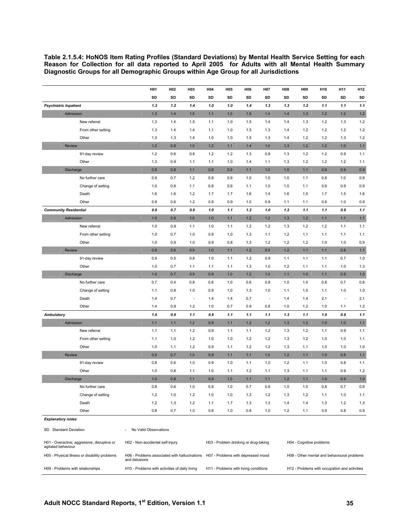**Table 2.1.5.4: HoNOS Item Rating Profiles (Standard Deviations) by Mental Health Service Setting for each Reason for Collection for all data reported to April 2005 for Adults with all Mental Health Summary Diagnostic Groups for all Demographic Groups within Age Group for all Jurisdictions** 

|                                                                   | H01                                               | H02 | H03            | H <sub>04</sub> | H <sub>05</sub> | H06                                   | H07                      | H08 | H <sub>09</sub>          | H <sub>10</sub> | H11                      | H12   |
|-------------------------------------------------------------------|---------------------------------------------------|-----|----------------|-----------------|-----------------|---------------------------------------|--------------------------|-----|--------------------------|-----------------|--------------------------|-------|
|                                                                   | SD                                                | SD  | SD             | SD              | SD              | SD                                    | SD                       | SD  | SD                       | SD              | SD                       | SD    |
| <b>Psychiatric Inpatient</b>                                      | 1.3                                               | 1.2 | 1.4            | 1.0             | 1.0             | 1.4                                   | 1.3                      | 1.3 | 1.2                      | 1.1             | 1.1                      | 1.1   |
| Admission                                                         | 1.3                                               | 1.4 | 1.5            | $1.1$           | 1.0             | 1.5                                   | 1.4                      | 1.4 | 1.3                      | 1.2             | 1.2                      | 1.2   |
| New referral                                                      | 1.3                                               | 1.4 | 1.5            | 1.1             | 1.0             | 1.5                                   | 1.4                      | 1.4 | 1.3                      | 1.2             | 1.3                      | 1.2   |
| From other setting                                                | 1.3                                               | 1.4 | 1.4            | 1.1             | 1.0             | 1.5                                   | 1.3                      | 1.4 | 1.2                      | 1.2             | 1.2                      | 1.2   |
| Other                                                             | 1.3                                               | 1.3 | 1.4            | 1.0             | 1.0             | 1.5                                   | 1.3                      | 1.4 | $1.2$                    | 1.2             | 1.3                      | 1.2   |
| <b>Review</b>                                                     | 1.2                                               | 0.8 | 1.0            | 1.2             | 1.1             | 1.4                                   | 1.0                      | 1.3 | 1.2                      | 1.2             | 1.0                      | $1.1$ |
| 91-day review                                                     | 1.2                                               | 0.6 | 0.8            | $1.2$           | 1.2             | 1.3                                   | 0.9                      | 1.3 | $1.2$                    | 1.2             | 0.9                      | 1.1   |
| Other                                                             | 1.3                                               | 0.9 | 1.1            | 1.1             | 1.0             | 1.4                                   | 1.1                      | 1.3 | 1.2                      | 1.2             | 1.2                      | 1.1   |
| <b>Discharge</b>                                                  | 0.9                                               | 0.8 | 1.1            | 0.8             | 0.9             | $1.1$                                 | 1.0                      | 1.0 | $1.1$                    | 0.9             | 0.9                      | 0.9   |
| No further care                                                   | 0.9                                               | 0.7 | 1.2            | 0.8             | 0.9             | 1.0                                   | 1.0                      | 1.0 | 1.1                      | 0.8             | 1.0                      | 0.9   |
| Change of setting                                                 | 1.0                                               | 0.8 | 1.1            | 0.8             | 0.9             | 1.1                                   | 1.0                      | 1.0 | 1.1                      | 0.9             | 0.9                      | 0.9   |
| Death                                                             | 1.6                                               | 1.6 | 1.2            | 1.7             | 1.7             | 1.6                                   | 1.4                      | 1.6 | 1.5                      | 1.7             | 1.5                      | 1.6   |
| Other                                                             | 0.9                                               | 0.6 | 1.2            | 0.8             | 0.9             | 1.0                                   | 0.9                      | 1.1 | 1.1                      | 0.8             | 1.0                      | 0.9   |
| <b>Community Residential</b>                                      | 0.9                                               | 0.7 | 0.9            | 1.0             | 1.1             | 1.2                                   | 1.0                      | 1.2 | 1.1                      | 1.1             | 0.9                      | 1.1   |
| Admission                                                         | 1.0                                               | 0.8 | 1.0            | 1.0             | 1.1             | 1.2                                   | 1.2                      | 1.3 | 1.2                      | 1.1             | 1.1                      | $1.1$ |
| New referral                                                      | 1.0                                               | 0.9 | 1.1            | 1.0             | 1.1             | 1.2                                   | 1.2                      | 1.3 | 1.2                      | 1.2             | 1.1                      | 1.1   |
| From other setting                                                | 1.0                                               | 0.7 | 1.0            | 0.9             | 1.0             | 1.3                                   | 1.1                      | 1.2 | 1.1                      | 1.1             | 1.1                      | 1.1   |
| Other                                                             | 1.0                                               | 0.9 | 1.0            | 0.9             | 0.8             | 1.3                                   | 1.2                      | 1.2 | 1.2                      | 1.0             | 1.0                      | 0.9   |
| <b>Review</b>                                                     | 0.9                                               | 0.6 | 0.9            | 1.0             | 1.1             | 1.2                                   | 0.9                      | 1.2 | 1.1                      | 1.1             | 0.8                      | $1.1$ |
| 91-day review                                                     | 0.9                                               | 0.5 | 0.8            | 1.0             | 1.1             | $1.2$                                 | 0.9                      | 1.1 | 1.1                      | 1.1             | 0.7                      | 1.0   |
| Other                                                             | 1.0                                               | 0.7 | 1.1            | 1.1             | 1.1             | 1.3                                   | 1.0                      | 1.2 | 1.1                      | 1.1             | 1.0                      | 1.3   |
| <b>Discharge</b>                                                  | 1.0                                               | 0.7 | 0.9            | 0.9             | 1.0             | 1.2                                   | 1.0                      | 1.1 | 1.0                      | 1.1             | 0.9                      | 1.0   |
| No further care                                                   | 0.7                                               | 0.4 | 0.8            | 0.6             | 1.0             | 0.6                                   | 0.9                      | 1.0 | 1.0                      | 0.8             | 0.7                      | 0.8   |
| Change of setting                                                 | 1.1                                               | 0.8 | 1.0            | 0.9             | 1.0             | 1.3                                   | 1.0                      | 1.1 | 1.0                      | 1.1             | 1.0                      | 1.0   |
| Death                                                             | 1.4                                               | 0.7 | $\overline{a}$ | 1.4             | 1.4             | 0.7                                   | $\overline{\phantom{a}}$ | 1.4 | 1.4                      | 2.1             | $\overline{\phantom{a}}$ | 2.1   |
| Other                                                             | 1.4                                               | 0.9 | 1.2            | 1.0             | 0.7             | 0.9                                   | 0.8                      | 1.0 | $1.2$                    | 1.0             | 1.1                      | 1.2   |
| Ambulatory                                                        | 1.0                                               | 0.9 | 1.1            | 0.9             | 1.1             | 1.1                                   | 1.1                      | 1.3 | 1.1                      | 1.0             | 0.9                      | 1.1   |
| Admission                                                         | 1.1                                               | 1.1 | 1.2            | 0.9             | 1.1             | 1.2                                   | 1.2                      | 1.3 | 1.2                      | 1.0             | 1.0                      | $1.1$ |
| New referral                                                      | 1.1                                               | 1.1 | 1.2            | 0.9             | 1.1             | 1.1                                   | 1.2                      | 1.3 | $1.2$                    | 1.1             | 0.9                      | 1.1   |
| From other setting                                                | 1.1                                               | 1.0 | 1.2            | 1.0             | 1.0             | 1.2                                   | 1.2                      | 1.3 | $1.2$                    | 1.0             | 1.0                      | 1.1   |
| Other                                                             | 1.0                                               | 1.1 | 1.2            | 0.9             | 1.1             | 1.2                                   | 1.2                      | 1.3 | 1.1                      | 1.0             | 1.0                      | 1.0   |
| <b>Review</b>                                                     | 0.9                                               | 0.7 | 1.0            | 0.9             | 1.1             | $1.1$                                 | 1.0                      | 1.2 | 1.1                      | 1.0             | 0.8                      | 1.1   |
| 91-day review                                                     | 0.8                                               | 0.6 | 1.0            | 0.9             | 1.0             | 1.1                                   | 1.0                      | 1.2 | 1.1                      | 1.0             | 0.8                      | 1.1   |
| Other                                                             | 1.0                                               | 0.8 | 1.1            | 1.0             | 1.1             | 1.2                                   | 1.1                      | 1.3 | 1.1                      | 1.1             | 0.9                      | 1.2   |
| Discharge                                                         | 1.0                                               | 0.8 | 1.1            | 0.9             | 1.0             | 1.1                                   | 1.1                      | 1.2 | 1.1                      | 1.0             | 0.9                      | 1.0   |
| No further care                                                   | 0.8                                               | 0.6 | 1.0            | 0.8             | 1.0             | 0.7                                   | 0.9                      | 1.0 | 1.0                      | 0.8             | 0.7                      | 0.9   |
| Change of setting                                                 | 1.2                                               | 1.0 | 1.2            | 1.0             | 1.0             | 1.3                                   | 1.2                      | 1.3 | 1.2                      | 1.1             | 1.0                      | 1.1   |
| Death                                                             | 1.2                                               | 1.3 | 1.2            | 1.1             | 1.7             | 1.3                                   | 1.3                      | 1.4 | 1.4                      | 1.3             | 1.2                      | 1.3   |
| Other                                                             | 0.8                                               | 0.7 | 1.0            | 0.8             | 1.0             | 0.8                                   | 1.0                      | 1.2 | 1.1                      | 0.9             | 0.8                      | 0.9   |
| <b>Explanatory notes</b>                                          |                                                   |     |                |                 |                 |                                       |                          |     |                          |                 |                          |       |
| SD Standard Deviation                                             | No Valid Observations<br>$\overline{\phantom{a}}$ |     |                |                 |                 |                                       |                          |     |                          |                 |                          |       |
| H01 - Overactive, aggressive, disruptive or<br>agitated behaviour | H02 - Non-accidental self-injury                  |     |                |                 |                 | H03 - Problem drinking or drug-taking |                          |     | H04 - Cognitive problems |                 |                          |       |

H09 - Problems with relationships H10 - Problems with activities of daily living H11 - Problems with living conditions H12 - Problems with occupation and activities

and delusions

H05 - Physical illness or disability problems H06 - Problems associated with hallucinations H07 - Problems with depressed mood

H08 - Other mental and behavioural problems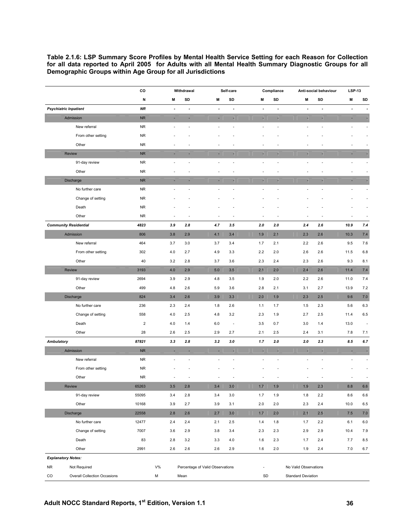#### **Table 2.1.6: LSP Summary Score Profiles by Mental Health Service Setting for each Reason for Collection for all data reported to April 2005 for Adults with all Mental Health Summary Diagnostic Groups for all Demographic Groups within Age Group for all Jurisdictions**

|                   |                                     | co         |         | Withdrawal |                                  | Self-care                |                          | Compliance     | Anti-social behaviour     |                | <b>LSP-13</b> |                          |
|-------------------|-------------------------------------|------------|---------|------------|----------------------------------|--------------------------|--------------------------|----------------|---------------------------|----------------|---------------|--------------------------|
|                   |                                     | N          | M       | SD         | M                                | SD                       | М                        | SD             | M<br>SD                   |                | M             | SD                       |
|                   | <b>Psychiatric Inpatient</b>        | <b>NR</b>  |         |            | ٠                                | $\overline{a}$           | $\blacksquare$           | $\blacksquare$ | $\frac{1}{2}$             | $\overline{a}$ |               | $\blacksquare$           |
|                   | Admission                           | NR         | - 11    | ٠          | ×                                | ×,                       | ×                        | ×              | ÷                         | ٠              | H             |                          |
|                   | New referral                        | <b>NR</b>  |         |            |                                  |                          | $\overline{\phantom{a}}$ |                | í,                        |                |               | ä,                       |
|                   | From other setting                  | <b>NR</b>  |         |            |                                  |                          |                          |                |                           |                |               |                          |
|                   | Other                               | <b>NR</b>  |         |            |                                  |                          |                          |                |                           |                |               | ٠                        |
|                   | Review                              | NR         | - 1     |            |                                  |                          | ×                        |                |                           |                | ×,            | ×.                       |
|                   | 91-day review                       | <b>NR</b>  |         |            |                                  |                          |                          |                |                           |                |               | ٠                        |
|                   | Other                               | <b>NR</b>  |         |            |                                  |                          |                          |                |                           |                |               | $\overline{\phantom{a}}$ |
|                   | Discharge                           | ${\sf NR}$ | - 1     | ٠          |                                  |                          |                          |                |                           |                |               | ÷.                       |
|                   | No further care                     | <b>NR</b>  |         |            |                                  |                          |                          |                |                           |                |               | $\overline{\phantom{a}}$ |
|                   | Change of setting                   | <b>NR</b>  |         |            |                                  |                          |                          |                |                           |                |               | ä,                       |
|                   | Death                               | <b>NR</b>  |         |            |                                  |                          |                          |                |                           |                |               |                          |
|                   | Other                               | <b>NR</b>  |         |            |                                  |                          |                          |                |                           |                |               |                          |
|                   | <b>Community Residential</b>        | 4823       | 3.9     | 2.8        | 4.7                              | 3.5                      | 2.0                      | $2.0\,$        | 2.4<br>2.6                |                | 10.9          | 7.4                      |
|                   | Admission                           | 806        | 3.8     | 2.9        | 4.1                              | 3.4                      | 1.9                      | 2.1            | 2.3<br>2.6                |                | 10.3          | $7.4$                    |
|                   | New referral                        | 464        | 3.7     | 3.0        | 3.7                              | 3.4                      | 1.7                      | 2.1            | 2.2<br>2.6                |                | 9.5           | 7.6                      |
|                   | From other setting                  | 302        | 4.0     | 2.7        | 4.9                              | 3.3                      | 2.2                      | 2.0            | 2.6<br>2.6                |                | 11.5          | 6.8                      |
|                   | Other                               | 40         | 3.2     | 2.8        | 3.7                              | 3.6                      | 2.3                      | 2.4            | 2.3<br>2.6                |                | 9.3           | 8.1                      |
|                   | Review                              | 3193       | 4.0     | 2.9        | 5.0                              | 3.5                      | 2.1                      | 2.0            | 2.4<br>2.6                |                | 11.4          | 7.4                      |
|                   | 91-day review                       | 2694       | 3.9     | 2.9        | 4.8                              | 3.5                      | 1.9                      | 2.0            | 2.2<br>2.6                |                | 11.0          | 7.4                      |
|                   | Other                               | 499        | 4.8     | 2.6        | 5.9                              | 3.6                      | 2.8                      | 2.1            | 2.7<br>3.1                |                | 13.9          | 7.2                      |
|                   | Discharge                           | 824        | 3.4     | 2.6        | 3.9                              | 3.3                      | 2.0                      | 1.9            | 2.3<br>2.5                |                | 9.6           | $7.0$                    |
|                   | No further care                     | 236        | 2.3     | 2.4        | 1.8                              | 2.6                      | 1.1                      | 1.7            | 2.3<br>1.5                |                | 5.6           | 6.3                      |
|                   | Change of setting                   | 558        | 4.0     | 2.5        | 4.8                              | 3.2                      | 2.3                      | 1.9            | 2.7<br>2.5                |                | 11.4          | 6.5                      |
|                   | Death                               | $\sqrt{2}$ | 4.0     | 1.4        | 6.0                              | $\overline{\phantom{a}}$ | 3.5                      | 0.7            | 3.0<br>1.4                |                | 13.0          | ÷,                       |
|                   | Other                               | 28         | 2.6     | 2.5        | 2.9                              | 2.7                      | 2.1                      | 2.5            | 2.4<br>3.1                |                | 7.8           | 7.1                      |
| <b>Ambulatory</b> |                                     | 87821      | 3.3     | 2.8        | 3.2                              | 3.0                      | 1.7                      | 2.0            | $2.0\,$<br>2.3            |                | 8.5           | 6.7                      |
|                   | Admission                           | ${\sf NR}$ |         |            |                                  |                          | ×                        |                | ÷                         |                |               |                          |
|                   | New referral                        | <b>NR</b>  |         |            |                                  |                          |                          |                |                           |                |               | ÷,                       |
|                   | From other setting                  | <b>NR</b>  |         |            |                                  |                          |                          |                |                           |                |               |                          |
|                   | Other                               | <b>NR</b>  |         |            |                                  |                          |                          |                |                           |                |               |                          |
|                   | <b>Review</b>                       | 65263      | 3.5     | 2.8        | 3.4                              | 3.0                      | 1.7                      | 1.9            | 1.9<br>2.3                |                | 8.8           | 6.6                      |
|                   | 91-day review                       | 55095      | 3.4     | 2.8        | 3.4                              | 3.0                      | 1.7                      | 1.9            | 1.8<br>2.2                |                | 8.6           | 6.6                      |
|                   | Other                               | 10168      | 3.9     | 2.7        | 3.9                              | 3.1                      | 2.0                      | 2.0            | $2.4\,$<br>2.3            |                | 10.0          | 6.5                      |
|                   | Discharge                           | 22558      | 2.8     | 2.6        | 2.7                              | 3.0                      | $1.7$                    | 2.0            | 2.1<br>2.5                |                | 7.5           | $7.0$                    |
|                   | No further care                     | 12477      | $2.4\,$ | 2.4        | 2.1                              | 2.5                      | 1.4                      | 1.8            | 1.7<br>$2.2\,$            |                | 6.1           | $6.0\,$                  |
|                   | Change of setting                   | 7007       | 3.6     | 2.9        | 3.8                              | 3.4                      | 2.3                      | 2.3            | 2.9<br>2.9                |                | 10.4          | 7.9                      |
|                   | Death                               | 83         | 2.8     | 3.2        | 3.3                              | 4.0                      | 1.6                      | 2.3            | 1.7<br>$2.4\,$            |                | 7.7           | 8.5                      |
|                   | Other                               | 2991       | 2.6     | 2.6        | 2.6                              | 2.9                      | 1.6                      | 2.0            | 1.9<br>2.4                |                | $7.0\,$       | 6.7                      |
|                   | <b>Explanatory Notes:</b>           |            |         |            |                                  |                          |                          |                |                           |                |               |                          |
| <b>NR</b>         | Not Required                        |            | $V\%$   |            | Percentage of Valid Observations |                          | L,                       |                | No Valid Observations     |                |               |                          |
| CO                | <b>Overall Collection Occasions</b> |            | М       | Mean       |                                  |                          | SD                       |                | <b>Standard Deviation</b> |                |               |                          |
|                   |                                     |            |         |            |                                  |                          |                          |                |                           |                |               |                          |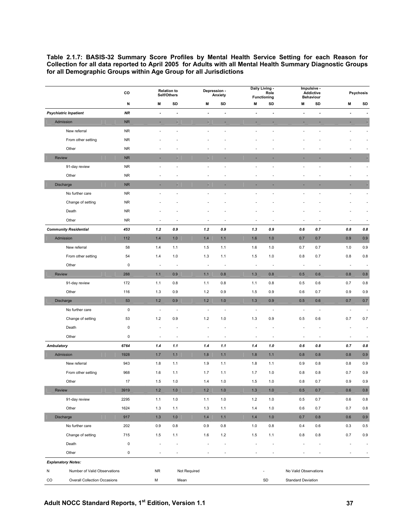**Table 2.1.7: BASIS-32 Summary Score Profiles by Mental Health Service Setting for each Reason for Collection for all data reported to April 2005 for Adults with all Mental Health Summary Diagnostic Groups for all Demographic Groups within Age Group for all Jurisdictions** 

|            |                                     | CO          |                          | <b>Relation to</b><br>Self/Others |                          | Depression -<br>Anxiety  | Daily Living -<br>Functioning | Role                     | Impulsive -<br><b>Addictive</b><br>Behaviour |                          |                          | Psychosis                |
|------------|-------------------------------------|-------------|--------------------------|-----------------------------------|--------------------------|--------------------------|-------------------------------|--------------------------|----------------------------------------------|--------------------------|--------------------------|--------------------------|
|            |                                     | N           | M                        | SD                                | M                        | SD                       | M                             | SD                       | M                                            | SD                       | M                        | SD                       |
|            | <b>Psychiatric Inpatient</b>        | <b>NR</b>   | $\tilde{\phantom{a}}$    | $\overline{\phantom{a}}$          | $\overline{a}$           | $\overline{a}$           | $\overline{a}$                | $\overline{a}$           | $\overline{\phantom{a}}$                     | $\overline{a}$           | $\overline{\phantom{a}}$ | $\blacksquare$           |
|            | Admission                           | <b>NR</b>   | н                        |                                   |                          |                          |                               |                          | н                                            | н                        | H                        | ٠                        |
|            | New referral                        | <b>NR</b>   |                          |                                   |                          |                          |                               |                          |                                              |                          | ä,                       | $\overline{\phantom{a}}$ |
|            | From other setting                  | <b>NR</b>   |                          |                                   |                          |                          |                               |                          |                                              |                          |                          | ٠                        |
|            | Other                               | <b>NR</b>   |                          |                                   |                          |                          |                               |                          |                                              |                          |                          | $\sim$                   |
|            | Review                              | <b>NR</b>   |                          |                                   |                          |                          |                               |                          |                                              |                          | H                        | $\overline{\phantom{a}}$ |
|            | 91-day review                       | NR.         |                          |                                   |                          | í,                       |                               |                          | ٠                                            | L,                       | Ĭ.                       | $\overline{\phantom{a}}$ |
|            | Other                               | <b>NR</b>   |                          |                                   |                          |                          |                               |                          |                                              |                          |                          | $\overline{\phantom{a}}$ |
|            | Discharge                           | <b>NR</b>   |                          | н                                 | н                        | ۳                        |                               |                          | н                                            | H                        | н                        | ٠                        |
|            | No further care                     | <b>NR</b>   |                          |                                   |                          |                          |                               |                          |                                              |                          |                          | $\overline{\phantom{a}}$ |
|            | Change of setting                   | NR          |                          |                                   |                          |                          |                               |                          |                                              |                          |                          |                          |
|            | Death                               | <b>NR</b>   |                          |                                   |                          |                          |                               |                          |                                              |                          |                          | $\overline{\phantom{a}}$ |
|            | Other                               | NR          | ٠                        |                                   |                          |                          | ÷                             |                          |                                              |                          | ٠                        | $\overline{\phantom{a}}$ |
|            | <b>Community Residential</b>        | 453         | 1.2                      | 0.9                               | 1.2                      | 0.9                      | 1.3                           | 0.9                      | $0.6\,$                                      | $0.7\,$                  | $0.8\,$                  | $0.8\,$                  |
|            | Admission                           | 112         | 1.4                      | 1.0                               | 1.4                      | 1.1                      | 1.6                           | 1.0                      | 0.7                                          | 0.7                      | 0.9                      | 0.9                      |
|            | New referral                        | 58          | 1.4                      | 1.1                               | 1.5                      | 1.1                      | 1.6                           | 1.0                      | 0.7                                          | 0.7                      | 1.0                      | 0.9                      |
|            | From other setting                  | 54          | 1.4                      | 1.0                               | 1.3                      | 1.1                      | 1.5                           | 1.0                      | 0.8                                          | 0.7                      | 0.8                      | 0.8                      |
|            | Other                               | $\pmb{0}$   | $\overline{\phantom{a}}$ | $\overline{\phantom{a}}$          | $\overline{\phantom{a}}$ | $\overline{\phantom{a}}$ | $\overline{\phantom{a}}$      | $\overline{\phantom{a}}$ | $\overline{\phantom{a}}$                     | $\overline{\phantom{a}}$ | $\overline{\phantom{a}}$ | $\overline{\phantom{a}}$ |
|            | Review                              | 288         | $1.1$                    | 0.9                               | 1.1                      | 0.8                      | 1.3                           | 0.8                      | 0.5                                          | 0.6                      | 0.8                      | 0.8                      |
|            | 91-day review                       | 172         | 1.1                      | 0.8                               | 1.1                      | 0.8                      | 1.1                           | 0.8                      | 0.5                                          | 0.6                      | 0.7                      | 0.8                      |
|            | Other                               | 116         | 1.3                      | 0.9                               | 1.2                      | 0.9                      | 1.5                           | 0.9                      | 0.6                                          | 0.7                      | 0.9                      | 0.9                      |
|            | Discharge                           | 53          | 1.2                      | 0.9                               | 1.2                      | 1.0                      | 1.3                           | 0.9                      | 0.5                                          | 0.6                      | 0.7                      | 0.7                      |
|            | No further care                     | $\pmb{0}$   |                          | Ĭ.                                |                          | Ĭ.                       |                               | ÷,                       |                                              | L,                       | Ĭ.                       |                          |
|            | Change of setting                   | 53          | $1.2$                    | 0.9                               | 1.2                      | 1.0                      | 1.3                           | 0.9                      | 0.5                                          | 0.6                      | 0.7                      | 0.7                      |
|            | Death                               | 0           |                          |                                   |                          |                          |                               |                          |                                              |                          |                          | $\overline{a}$           |
|            | Other                               | 0           | $\overline{a}$           | ÷                                 | $\overline{\phantom{a}}$ | ÷                        | ÷,                            | ÷                        | $\overline{a}$                               | ÷                        | $\overline{a}$           | $\overline{\phantom{a}}$ |
| Ambulatory |                                     | 6764        | 1.4                      | 1.1                               | 1.4                      | 1.1                      | 1.4                           | $1.0$                    | $0.6\,$                                      | $0.8\,$                  | $0.7\,$                  | $\it 0.8$                |
|            | Admission                           | 1928        | 1.7                      | 1.1                               | 1.8                      | 1.1                      | 1.8                           | 1.1                      | 0.8                                          | 0.8                      | 0.8                      | 0.9                      |
|            | New referral                        | 943         | 1.8                      | 1.1                               | 1.9                      | 1.1                      | 1.8                           | 1.1                      | 0.9                                          | 0.8                      | 0.8                      | 0.9                      |
|            | From other setting                  | 968         | 1.6                      | 1.1                               | 1.7                      | 1.1                      | 1.7                           | 1.0                      | 0.8                                          | 0.8                      | 0.7                      | 0.9                      |
|            | Other                               | 17          | 1.5                      | 1.0                               | 1.4                      | 1.0                      | 1.5                           | 1.0                      | 0.8                                          | 0.7                      | 0.9                      | 0.9                      |
|            | Review                              | 3919        | 1.2                      | 1.0                               | 1.2                      | 1.0                      | 1.3                           | 1.0                      | 0.5                                          | 0.7                      | 0.6                      | 0.8                      |
|            | 91-day review                       | 2295        | 1.1                      | 1.0                               | 1.1                      | 1.0                      | 1.2                           | 1.0                      | 0.5                                          | 0.7                      | 0.6                      | 0.8                      |
|            | Other                               | 1624        | 1.3                      | 1.1                               | 1.3                      | 1.1                      | 1.4                           | 1.0                      | 0.6                                          | 0.7                      | 0.7                      | 0.8                      |
|            | Discharge                           | 917         | 1.3                      | 1.0                               | 1.4                      | 1.1                      | 1.4                           | 1.0                      | 0.7                                          | 0.8                      | 0.6                      | 0.9                      |
|            | No further care                     | 202         | 0.9                      | 0.8                               | 0.9                      | 0.8                      | 1.0                           | 0.8                      | 0.4                                          | 0.6                      | 0.3                      | 0.5                      |
|            | Change of setting                   | 715         | 1.5                      | 1.1                               | 1.6                      | 1.2                      | 1.5                           | 1.1                      | 0.8                                          | 0.8                      | 0.7                      | 0.9                      |
|            | Death                               | 0           | $\overline{\phantom{a}}$ | ÷,                                | $\overline{a}$           | ÷,                       | ÷,                            | $\overline{a}$           | ÷,                                           | ÷,                       | $\overline{\phantom{a}}$ | $\overline{\phantom{a}}$ |
|            | Other                               | $\mathsf 0$ | $\overline{\phantom{a}}$ | ÷,                                | $\overline{\phantom{a}}$ | $\overline{\phantom{a}}$ | $\overline{\phantom{a}}$      | ä,                       | $\overline{\phantom{a}}$                     | ÷,                       | $\overline{\phantom{a}}$ | $\overline{\phantom{a}}$ |
|            | <b>Explanatory Notes:</b>           |             |                          |                                   |                          |                          |                               |                          |                                              |                          |                          |                          |
| N          | Number of Valid Observations        |             | <b>NR</b>                |                                   | Not Required             |                          | $\overline{\phantom{a}}$      |                          | No Valid Observations                        |                          |                          |                          |
| CO         | <b>Overall Collection Occasions</b> |             | М                        | Mean                              |                          |                          | SD                            |                          | <b>Standard Deviation</b>                    |                          |                          |                          |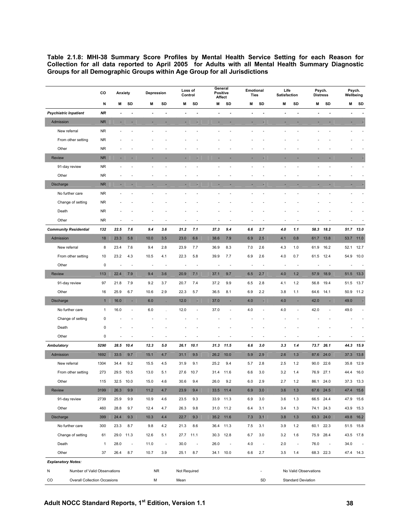**Table 2.1.8: MHI-38 Summary Score Profiles by Mental Health Service Setting for each Reason for Collection for all data reported to April 2005 for Adults with all Mental Health Summary Diagnostic Groups for all Demographic Groups within Age Group for all Jurisdictions** 

|                                    | CO           | Anxiety |                          | Depression               |                          |              | Loss of<br>Control       | General<br><b>Positive</b><br>Affect |                          | Emotional<br>Ties     |                          | Life<br>Satisfaction     |                          |                           | Psych.<br><b>Distress</b> |                | Psych.<br>Wellbeing      |
|------------------------------------|--------------|---------|--------------------------|--------------------------|--------------------------|--------------|--------------------------|--------------------------------------|--------------------------|-----------------------|--------------------------|--------------------------|--------------------------|---------------------------|---------------------------|----------------|--------------------------|
|                                    | N            | M       | SD                       | M                        | SD                       | M            | SD                       | M                                    | SD                       | M                     | SD                       | M                        | SD                       | M                         | SD                        | M              | SD                       |
| <b>Psychiatric Inpatient</b>       | <b>NR</b>    | ÷,      |                          | $\overline{\phantom{a}}$ | ×.                       |              | ÷                        | $\overline{\phantom{a}}$             | í.                       | $\tilde{\phantom{a}}$ | $\overline{\phantom{a}}$ | $\overline{\phantom{a}}$ | $\overline{\phantom{a}}$ | ä,                        | $\overline{\phantom{a}}$  | $\overline{a}$ |                          |
| Admission                          | <b>NR</b>    |         |                          |                          |                          |              |                          |                                      |                          |                       |                          |                          |                          |                           |                           |                |                          |
| New referral                       | <b>NR</b>    |         |                          |                          |                          |              |                          |                                      |                          |                       |                          |                          |                          |                           |                           |                |                          |
| From other setting                 | <b>NR</b>    |         |                          |                          |                          |              |                          |                                      |                          |                       |                          |                          |                          |                           |                           |                |                          |
| Other                              | <b>NR</b>    |         |                          |                          |                          |              |                          |                                      |                          |                       |                          |                          |                          |                           |                           |                |                          |
| <b>Review</b>                      | <b>NR</b>    |         |                          |                          |                          |              |                          |                                      |                          |                       |                          |                          |                          |                           |                           |                |                          |
| 91-day review                      | <b>NR</b>    |         |                          |                          |                          |              |                          |                                      |                          |                       |                          |                          |                          |                           |                           |                |                          |
| Other                              | <b>NR</b>    |         |                          |                          |                          |              |                          |                                      |                          |                       |                          |                          |                          |                           |                           |                |                          |
| <b>Discharge</b>                   | ${\sf NR}$   | ٠       |                          | ۰                        | ×                        |              |                          |                                      | ٠                        | ×                     |                          | ٠                        |                          | ×                         |                           |                |                          |
| No further care                    | <b>NR</b>    |         |                          |                          |                          |              |                          |                                      |                          |                       |                          |                          |                          |                           |                           |                |                          |
| Change of setting                  | NR.          |         |                          |                          |                          |              |                          |                                      |                          |                       |                          |                          |                          |                           |                           |                |                          |
| Death                              | <b>NR</b>    |         |                          |                          |                          |              |                          |                                      |                          |                       |                          |                          |                          |                           |                           |                |                          |
| Other                              | <b>NR</b>    |         |                          |                          |                          |              |                          |                                      |                          |                       |                          |                          |                          |                           |                           |                |                          |
| <b>Community Residential</b>       | 132          | 22.5    | 7.6                      | 9.4                      | 3.6                      | 21.2         | 7.1                      | 37.3                                 | 9.4                      | 6.6                   | 2.7                      | 4.0                      | 1.1                      | 58.3                      | 18.2                      | 51.7           | 13.0                     |
| Admission                          | 18           | 23.3    | 5.8                      | 10.0                     | 3.5                      | 23.0         | 6.6                      | 38.6                                 | 7.9                      | 6.9                   | 2.5                      | 4.1                      | 0.8                      | 61.7                      | 13.8                      | 53.7           | 11.0                     |
| New referral                       | 8            | 23.4    | 7.6                      | 9.4                      | 2.8                      | 23.9         | 7.7                      | 36.9                                 | 8.3                      | 7.0                   | 2.6                      | 4.3                      | 1.0                      | 61.9                      | 16.2                      | 52.1           | 12.7                     |
| From other setting                 | 10           | 23.2    | 4.3                      | 10.5                     | 4.1                      | 22.3         | 5.8                      | 39.9                                 | 7.7                      | 6.9                   | 2.6                      | 4.0                      | 0.7                      | 61.5                      | 12.4                      | 54.9           | 10.0                     |
| Other                              | 0            | Ĭ.      | $\overline{\phantom{a}}$ | ÷,                       | $\overline{a}$           | ٠            | ÷,                       | ٠                                    | Ĭ.                       | ٠                     | Ĭ.                       | Ĭ.                       | ÷,                       |                           | $\overline{\phantom{a}}$  |                |                          |
| <b>Review</b>                      | 113          | 22.4    | 7.9                      | 9.4                      | 3.6                      | 20.9         | 7.1                      | 37.1                                 | 9.7                      | 6.5                   | 2.7                      | 4.0                      | 1.2                      | 57.9                      | 18.9                      | 51.5           | 13.3                     |
| 91-day review                      | 97           | 21.8    | 7.9                      | 9.2                      | 3.7                      | 20.7         | 7.4                      | 37.2                                 | 9.9                      | 6.5                   | 2.8                      | 4.1                      | 1.2                      | 56.8                      | 19.4                      | 51.5           | 13.7                     |
| Other                              | 16           | 25.9    | 6.7                      | 10.6                     | 2.9                      | 22.3         | 5.7                      | 36.5                                 | 8.1                      | 6.9                   | 2.2                      | 3.8                      | 1.1                      | 64.6                      | 14.1                      | 50.9           | 11.2                     |
| Discharge                          | $\mathbf{1}$ | 16.0    | н                        | 6.0                      | ×.                       | 12.0         | ٠                        | 37.0                                 | ÷                        | 4.0                   | ÷                        | 4.0                      | ×                        | 42.0                      | ٠                         | 49.0           |                          |
| No further care                    | 1            | 16.0    | $\overline{\phantom{a}}$ | 6.0                      | J.                       | 12.0         | J.                       | 37.0                                 | J.                       | 4.0                   | Î.                       | 4.0                      | ÷                        | 42.0                      | ÷                         | 49.0           | ÷                        |
| Change of setting                  | 0            |         |                          |                          |                          |              |                          |                                      |                          |                       |                          |                          |                          |                           |                           |                |                          |
| Death                              | 0            |         |                          |                          |                          |              |                          |                                      |                          |                       |                          |                          |                          |                           |                           |                |                          |
| Other                              | 0            |         |                          |                          |                          |              |                          |                                      |                          |                       |                          |                          |                          |                           |                           |                |                          |
| <b>Ambulatory</b>                  | 5290         |         | 28.5 10.4                | 12.3                     | 5.0                      | 26.1         | 10.1                     | 31.3                                 | 11.5                     | 6.6                   | 3.0                      | 3.3                      | 1.4                      |                           | 73.7 26.1                 | 44.3           | 15.9                     |
| Admission                          | 1692         | 33.5    | 9.7                      | 15.1                     | 4.7                      | 31.1         | 9.5                      | 26.2                                 | 10.0                     | 5.9                   | 2.9                      | 2.6                      | 1.3                      |                           | 87.6 24.0                 | 37.3           | 13.8                     |
| New referral                       | 1304         | 34.4    | 9.2                      | 15.5                     | 4.5                      | 31.9         | 9.1                      | 25.2                                 | 9.4                      | 5.7                   | 2.8                      | 2.5                      | 1.2                      | 90.0                      | 22.6                      | 35.8           | 12.9                     |
| From other setting                 | 273          | 29.5    | 10.5                     | 13.0                     | 5.1                      | 27.6         | 10.7                     | 31.4                                 | 11.6                     | 6.6                   | 3.0                      | 3.2                      | 1.4                      | 76.9                      | 27.1                      | 44.4           | 16.0                     |
| Other                              | 115          | 32.5    | 10.0                     | 15.0                     | 4.6                      | 30.6         | 9.4                      | 26.0                                 | 9.2                      | 6.0                   | 2.9                      | 2.7                      | 1.2                      | 86.1                      | 24.0                      | 37.3           | 13.3                     |
| Review                             | 3199         | 26.3    | 9.9                      | 11.2                     | 4.7                      | 23.9         | 9.4                      | 33.5                                 | 11.4                     | 6.9                   | 3.0                      | 3.6                      | 1.3                      |                           | 67.6 24.5                 | 47.4           | 15.6                     |
| 91-day review                      | 2739         | 25.9    | 9.9                      | 10.9                     | 4.6                      | 23.5         | 9.3                      | 33.9                                 | 11.3                     | 6.9                   | 3.0                      | 3.6                      | 1.3                      |                           | 66.5 24.4                 | 47.9           | 15.6                     |
| Other                              | 460          | 28.8    | 9.7                      | 12.4                     | 4.7                      | 26.3         | 9.8                      | 31.0                                 | 11.2                     | 6.4                   | 3.1                      | 3.4                      | 1.3                      | 74.1                      | 24.3                      | 43.9           | 15.3                     |
| <b>Discharge</b>                   | 399          | 24.4    | 9.3                      | 10.3                     | 4.4                      | 22.7         | 9.3                      | 35.2                                 | 11.6                     | 7.3                   | 3.1                      | 3.8                      | 1.3                      |                           | 63.3 24.0                 | 49.8           | 16.2                     |
| No further care                    | 300          | 23.3    | 8.7                      | 9.8                      | 4.2                      | 21.3         | 8.6                      | 36.4                                 | 11.3                     | 7.5                   | 3.1                      | 3.9                      | 1.2                      | 60.1                      | 22.3                      |                | 51.5 15.8                |
| Change of setting                  | 61           | 29.0    | 11.3                     | 12.6                     | 5.1                      | 27.7         | 11.1                     | 30.3                                 | 12.8                     | 6.7                   | 3.0                      | 3.2                      | 1.6                      | 75.9                      | 28.4                      |                | 43.5 17.8                |
| Death                              | $\mathbf{1}$ | 28.0    | $\overline{\phantom{a}}$ | 11.0                     | $\overline{\phantom{a}}$ | 30.0         | $\overline{\phantom{a}}$ | 26.0                                 | $\overline{\phantom{a}}$ | 4.0                   | $\overline{\phantom{a}}$ | 2.0                      | $\overline{\phantom{a}}$ | 76.0                      | $\overline{\phantom{a}}$  | 34.0           | $\overline{\phantom{a}}$ |
| Other                              | 37           | 26.4    | 8.7                      | 10.7                     | 3.9                      | 25.1         | 8.7                      | 34.1                                 | 10.0                     | 6.6                   | 2.7                      | 3.5                      | 1.4                      |                           | 68.3 22.3                 |                | 47.4 14.3                |
| <b>Explanatory Notes:</b>          |              |         |                          |                          |                          |              |                          |                                      |                          |                       |                          |                          |                          |                           |                           |                |                          |
| Number of Valid Observations<br>Ν  |              |         |                          |                          | <b>NR</b>                | Not Required |                          |                                      |                          |                       | $\overline{\phantom{a}}$ |                          |                          | No Valid Observations     |                           |                |                          |
| CO<br>Overall Collection Occasions |              |         |                          | м                        |                          | Mean         |                          |                                      |                          |                       | SD                       |                          |                          | <b>Standard Deviation</b> |                           |                |                          |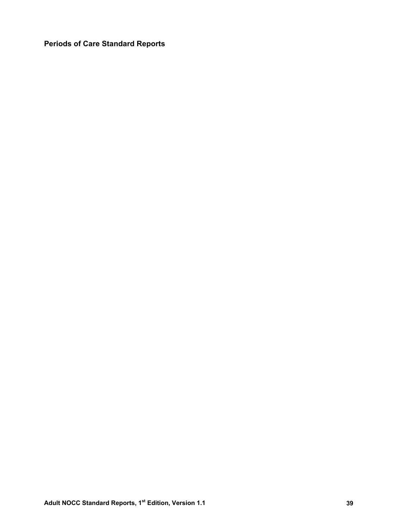**Periods of Care Standard Reports**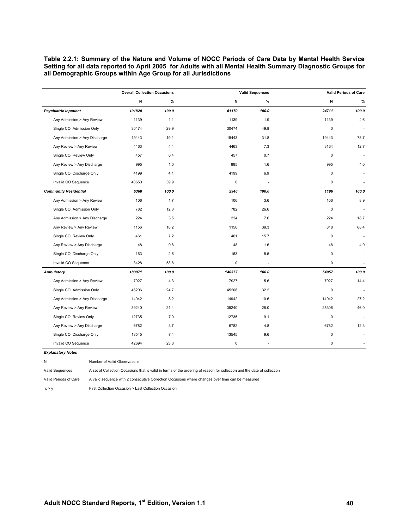**Table 2.2.1: Summary of the Nature and Volume of NOCC Periods of Care Data by Mental Health Service Setting for all data reported to April 2005 for Adults with all Mental Health Summary Diagnostic Groups for all Demographic Groups within Age Group for all Jurisdictions** 

|                                   |        | <b>Overall Collection Occasions</b> |             | <b>Valid Sequences</b> |             | <b>Valid Periods of Care</b> |
|-----------------------------------|--------|-------------------------------------|-------------|------------------------|-------------|------------------------------|
|                                   | Ν      | %                                   | N           | %                      | N           | $\%$                         |
| <b>Psychiatric Inpatient</b>      | 101820 | 100.0                               | 61170       | 100.0                  | 24711       | 100.0                        |
| Any Admission > Any Review        | 1139   | 1.1                                 | 1139        | 1.9                    | 1139        | 4.6                          |
| Single CO: Admission Only         | 30474  | 29.9                                | 30474       | 49.8                   | $\pmb{0}$   |                              |
| Any Admission > Any Discharge     | 19443  | 19.1                                | 19443       | 31.8                   | 19443       | 78.7                         |
| Any Review > Any Review           | 4463   | 4.4                                 | 4463        | 7.3                    | 3134        | 12.7                         |
| Single CO: Review Only            | 457    | 0.4                                 | 457         | 0.7                    | $\mathbf 0$ | J.                           |
| Any Review > Any Discharge        | 995    | 1.0                                 | 995         | 1.6                    | 995         | 4.0                          |
| Single CO: Discharge Only         | 4199   | 4.1                                 | 4199        | 6.9                    | 0           |                              |
| Invalid CO Sequence               | 40650  | 39.9                                | $\mathbf 0$ | ÷,                     | $\mathbf 0$ | ä,                           |
| <b>Community Residential</b>      | 6368   | 100.0                               | 2940        | 100.0                  | 1196        | 100.0                        |
| Any Admission > Any Review        | 106    | 1.7                                 | 106         | 3.6                    | 106         | 8.9                          |
| Single CO: Admission Only         | 782    | 12.3                                | 782         | 26.6                   | $\mathbf 0$ |                              |
| Any Admission > Any Discharge     | 224    | 3.5                                 | 224         | 7.6                    | 224         | 18.7                         |
| Any Review > Any Review           | 1156   | 18.2                                | 1156        | 39.3                   | 818         | 68.4                         |
| Single CO: Review Only            | 461    | 7.2                                 | 461         | 15.7                   | $\mathbf 0$ |                              |
| Any Review > Any Discharge        | 48     | 0.8                                 | 48          | 1.6                    | 48          | 4.0                          |
| Single CO: Discharge Only         | 163    | 2.6                                 | 163         | 5.5                    | $\mathbf 0$ |                              |
| Invalid CO Sequence               | 3428   | 53.8                                | 0           |                        | 0           |                              |
| Ambulatory                        | 183071 | 100.0                               | 140377      | 100.0                  | 54957       | 100.0                        |
| Any Admission > Any Review        | 7927   | 4.3                                 | 7927        | 5.6                    | 7927        | 14.4                         |
| Single CO: Admission Only         | 45206  | 24.7                                | 45206       | 32.2                   | 0           | J.                           |
| Any Admission > Any Discharge     | 14942  | 8.2                                 | 14942       | 10.6                   | 14942       | 27.2                         |
| Any Review > Any Review           | 39240  | 21.4                                | 39240       | 28.0                   | 25306       | 46.0                         |
| Single CO: Review Only            | 12735  | 7.0                                 | 12735       | 9.1                    | $\mathbf 0$ |                              |
| Any Review > Any Discharge        | 6782   | 3.7                                 | 6782        | 4.8                    | 6782        | 12.3                         |
| Single CO: Discharge Only         | 13545  | 7.4                                 | 13545       | 9.6                    | 0           |                              |
| Invalid CO Sequence               | 42694  | 23.3                                | 0           | ÷,                     | $\pmb{0}$   |                              |
| <b>Explanatory Notes</b>          |        |                                     |             |                        |             |                              |
| Number of Valid Observations<br>Ν |        |                                     |             |                        |             |                              |

| Valid Sequences       | A set of Collection Occasions that is valid in terms of the ordering of reason for collection and the date of collection |
|-----------------------|--------------------------------------------------------------------------------------------------------------------------|
| Valid Periods of Care | A valid sequence with 2 consecutive Collection Occasions where changes over time can be measured                         |

x > y First Collection Occasion > Last Collection Occasion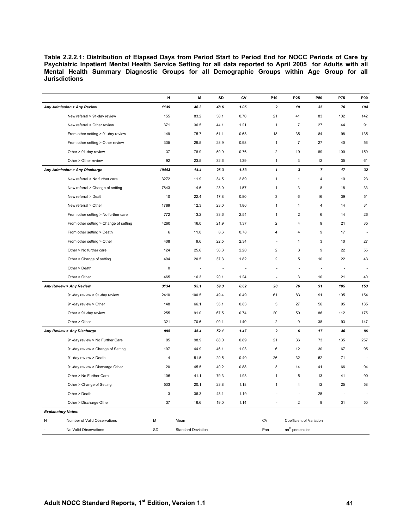**Table 2.2.2.1: Distribution of Elapsed Days from Period Start to Period End for NOCC Periods of Care by Psychiatric Inpatient Mental Health Service Setting for all data reported to April 2005 for Adults with all Mental Health Summary Diagnostic Groups for all Demographic Groups within Age Group for all Jurisdictions** 

|   |                                        | N     | M                         | SD             | CV   | P10            | P25                          | P50                      | P75 | P90                      |
|---|----------------------------------------|-------|---------------------------|----------------|------|----------------|------------------------------|--------------------------|-----|--------------------------|
|   | Any Admission > Any Review             | 1139  | 46.3                      | 48.6           | 1.05 | $\overline{2}$ | 10                           | 35                       | 70  | 104                      |
|   | New referral > 91-day review           | 155   | 83.2                      | 58.1           | 0.70 | 21             | 41                           | 83                       | 102 | 142                      |
|   | New referral > Other review            | 371   | 36.5                      | 44.1           | 1.21 | $\mathbf{1}$   | $\overline{7}$               | 27                       | 44  | 91                       |
|   | From other setting > 91-day review     | 149   | 75.7                      | 51.1           | 0.68 | 18             | 35                           | 84                       | 98  | 135                      |
|   | From other setting > Other review      | 335   | 29.5                      | 28.9           | 0.98 | $\mathbf{1}$   | $\overline{7}$               | 27                       | 40  | 56                       |
|   | Other > 91-day review                  | 37    | 78.9                      | 59.9           | 0.76 | $\overline{2}$ | 19                           | 89                       | 100 | 159                      |
|   | Other > Other review                   | 92    | 23.5                      | 32.6           | 1.39 | $\mathbf{1}$   | 3                            | 12                       | 35  | 61                       |
|   | Any Admission > Any Discharge          | 19443 | 14.4                      | 26.3           | 1.83 | $\mathbf{1}$   | 3                            | $\overline{7}$           | 17  | 32                       |
|   | New referral > No further care         | 3272  | 11.9                      | 34.5           | 2.89 | $\mathbf{1}$   | $\mathbf{1}$                 | $\overline{4}$           | 10  | 23                       |
|   | New referral > Change of setting       | 7843  | 14.6                      | 23.0           | 1.57 | $\overline{1}$ | 3                            | 8                        | 18  | 33                       |
|   | New referral > Death                   | 10    | 22.4                      | 17.8           | 0.80 | 3              | 6                            | 16                       | 39  | 51                       |
|   | New referral > Other                   | 1789  | 12.3                      | 23.0           | 1.86 | $\mathbf{1}$   | $\mathbf{1}$                 | $\overline{\mathbf{4}}$  | 14  | 31                       |
|   | From other setting > No further care   | 772   | 13.2                      | 33.6           | 2.54 | $\mathbf{1}$   | $\overline{\mathbf{c}}$      | 6                        | 14  | 26                       |
|   | From other setting > Change of setting | 4260  | 16.0                      | 21.9           | 1.37 | $\overline{2}$ | $\overline{4}$               | 9                        | 21  | 35                       |
|   | From other setting > Death             | 6     | 11.0                      | 8.6            | 0.78 | $\overline{4}$ | $\overline{4}$               | 9                        | 17  |                          |
|   | From other setting > Other             | 408   | 9.6                       | 22.5           | 2.34 |                | $\mathbf{1}$                 | 3                        | 10  | 27                       |
|   | Other > No further care                | 124   | 25.6                      | 56.3           | 2.20 | $\overline{2}$ | 3                            | 9                        | 22  | 55                       |
|   | Other > Change of setting              | 494   | 20.5                      | 37.3           | 1.82 | $\overline{2}$ | $\overline{5}$               | 10                       | 22  | 43                       |
|   | Other > Death                          | 0     | ÷,                        | $\overline{a}$ | ÷,   |                | L,                           | ÷,                       | ×,  | $\overline{\phantom{a}}$ |
|   | Other > Other                          | 465   | 16.3                      | 20.1           | 1.24 | ÷,             | 3                            | 10                       | 21  | 40                       |
|   | Any Review > Any Review                | 3134  | 95.1                      | 59.3           | 0.62 | 28             | 76                           | 91                       | 105 | 153                      |
|   | 91-day review > 91-day review          | 2410  | 100.5                     | 49.4           | 0.49 | 61             | 83                           | 91                       | 105 | 154                      |
|   | 91-day review > Other                  | 148   | 66.1                      | 55.1           | 0.83 | 5              | 27                           | 56                       | 95  | 135                      |
|   | Other > 91-day review                  | 255   | 91.0                      | 67.5           | 0.74 | 20             | 50                           | 86                       | 112 | 175                      |
|   | Other > Other                          | 321   | 70.6                      | 99.1           | 1.40 | $\overline{2}$ | 9                            | 38                       | 93  | 147                      |
|   | Any Review > Any Discharge             | 995   | 35.4                      | 52.1           | 1.47 | $\overline{2}$ | 6                            | 17                       | 46  | 86                       |
|   | 91-day review > No Further Care        | 95    | 98.9                      | 88.0           | 0.89 | 21             | 36                           | 73                       | 135 | 257                      |
|   | 91-day review > Change of Setting      | 197   | 44.9                      | 46.1           | 1.03 | 6              | 12                           | 30                       | 67  | 95                       |
|   | 91-day review > Death                  | 4     | 51.5                      | 20.5           | 0.40 | 26             | 32                           | 52                       | 71  |                          |
|   | 91-day review > Discharge Other        | 20    | 45.5                      | 40.2           | 0.88 | 3              | 14                           | 41                       | 66  | 94                       |
|   | Other > No Further Care                | 106   | 41.1                      | 79.3           | 1.93 | $\overline{1}$ | 5                            | 13                       | 41  | 90                       |
|   | Other > Change of Setting              | 533   | 20.1                      | 23.8           | 1.18 | $\mathbf{1}$   | $\overline{4}$               | 12                       | 25  | 58                       |
|   | Other > Death                          | 3     | 36.3                      | 43.1           | 1.19 |                |                              | 25                       |     |                          |
|   | Other > Discharge Other                | 37    | 16.6                      | 19.0           | 1.14 |                | $\overline{2}$               | 8                        | 31  | 50                       |
|   | <b>Explanatory Notes:</b>              |       |                           |                |      |                |                              |                          |     |                          |
| Ν | Number of Valid Observations           | М     | Mean                      |                |      | CV             |                              | Coefficient of Variation |     |                          |
|   | No Valid Observations                  | SD    | <b>Standard Deviation</b> |                |      | Pnn            | nn <sup>th</sup> percentiles |                          |     |                          |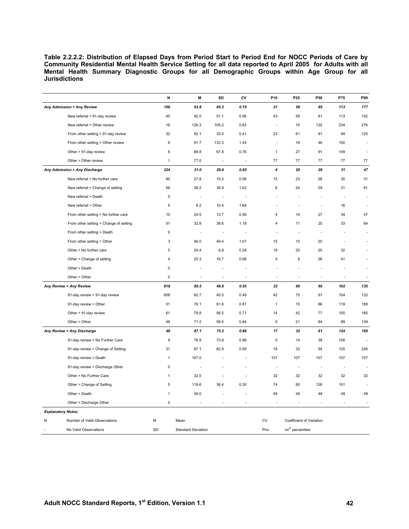**Table 2.2.2.2: Distribution of Elapsed Days from Period Start to Period End for NOCC Periods of Care by Community Residential Mental Health Service Setting for all data reported to April 2005 for Adults with all Mental Health Summary Diagnostic Groups for all Demographic Groups within Age Group for all Jurisdictions** 

|   |                                        | N            | M                         | SD                       | CV                       | P10            | P <sub>25</sub>              | P <sub>50</sub>          | P75                      | P90 |
|---|----------------------------------------|--------------|---------------------------|--------------------------|--------------------------|----------------|------------------------------|--------------------------|--------------------------|-----|
|   | Any Admission > Any Review             | 106          | 93.8                      | 65.3                     | 0.70                     | 21             | 58                           | 85                       | 113                      | 177 |
|   | New referral > 91-day review           | 45           | 92.0                      | 51.1                     | 0.56                     | 43             | 59                           | 81                       | 113                      | 152 |
|   | New referral > Other review            | 16           | 126.3                     | 105.2                    | 0.83                     | ÷,             | 15                           | 135                      | 234                      | 276 |
|   | From other setting > 91-day review     | 32           | 82.1                      | 33.5                     | 0.41                     | 23             | 61                           | 91                       | 94                       | 120 |
|   | From other setting > Other review      | 6            | 91.7                      | 132.3                    | 1.44                     | ÷,             | 16                           | 46                       | 150                      | ÷.  |
|   | Other > 91-day review                  | 6            | 88.8                      | 67.8                     | 0.76                     | $\mathbf{1}$   | 27                           | 91                       | 149                      | J.  |
|   | Other > Other review                   | $\mathbf{1}$ | 77.0                      | $\sim$                   | $\overline{\phantom{a}}$ | 77             | 77                           | 77                       | 77                       | 77  |
|   | Any Admission > Any Discharge          | 224          | 31.0                      | 29.6                     | 0.95                     | 6              | 20                           | 28                       | 31                       | 47  |
|   | New referral > No further care         | 90           | 27.8                      | 15.5                     | 0.56                     | 15             | 23                           | 28                       | 30                       | 31  |
|   | New referral > Change of setting       | 56           | 38.2                      | 38.9                     | 1.02                     | 6              | 24                           | 29                       | 31                       | 81  |
|   | New referral > Death                   | $\mathsf 0$  | $\overline{\phantom{a}}$  | $\sim$                   | ×,                       |                |                              |                          | $\overline{a}$           |     |
|   | New referral > Other                   | 5            | 6.2                       | 10.4                     | 1.68                     | J.             | $\overline{\phantom{a}}$     | ÷.                       | 16                       |     |
|   | From other setting > No further care   | 10           | 24.5                      | 13.7                     | 0.56                     | $\overline{4}$ | 14                           | 27                       | 34                       | 47  |
|   | From other setting > Change of setting | 51           | 32.8                      | 38.6                     | 1.18                     | 4              | 11                           | 25                       | 33                       | 64  |
|   | From other setting > Death             | $\mathsf 0$  | $\overline{a}$            | $\overline{\phantom{a}}$ |                          | ÷.             | $\overline{a}$               |                          | ÷.                       |     |
|   | From other setting > Other             | 3            | 46.0                      | 49.4                     | 1.07                     | 15             | 15                           | 20                       | $\overline{\phantom{a}}$ |     |
|   | Other > No further care                | 5            | 24.4                      | 6.9                      | 0.28                     | 19             | 20                           | 20                       | 32                       |     |
|   | Other > Change of setting              | 4            | 25.3                      | 16.7                     | 0.66                     | 5              | 9                            | 26                       | 41                       |     |
|   | Other > Death                          | $\pmb{0}$    |                           | ÷.                       |                          | ÷.             |                              |                          |                          | ÷.  |
|   | Other > Other                          | $\mathsf 0$  | $\overline{\phantom{a}}$  | i,                       | $\overline{\phantom{a}}$ | ÷,             | ÷,                           | ÷.                       | ä,                       | ÷,  |
|   | Any Review > Any Review                | 818          | 89.5                      | 48.8                     | 0.55                     | 32             | 69                           | 90                       | 102                      | 135 |
|   | 91-day review > 91-day review          | 658          | 92.7                      | 45.5                     | 0.49                     | 42             | 75                           | 91                       | 104                      | 132 |
|   | 91-day review > Other                  | 51           | 76.1                      | 61.8                     | 0.81                     | $\mathbf{1}$   | 15                           | 86                       | 119                      | 189 |
|   | Other > 91-day review                  | 61           | 79.8                      | 56.5                     | 0.71                     | 14             | 42                           | 77                       | 100                      | 165 |
|   | Other > Other                          | 48           | 71.2                      | 59.5                     | 0.84                     | 5              | 21                           | 84                       | 89                       | 139 |
|   | Any Review > Any Discharge             | 48           | 87.1                      | 75.2                     | 0.86                     | 17             | 32                           | 61                       | 124                      | 195 |
|   | 91-day review > No Further Care        | 9            | 76.9                      | 73.9                     | 0.96                     | 5              | 14                           | 39                       | 156                      |     |
|   | 91-day review > Change of Setting      | 31           | 87.1                      | 82.9                     | 0.95                     | 18             | 33                           | 54                       | 120                      | 246 |
|   | 91-day review > Death                  | $\mathbf{1}$ | 107.0                     |                          |                          | 107            | 107                          | 107                      | 107                      | 107 |
|   | 91-day review > Discharge Other        | $\pmb{0}$    |                           |                          |                          | ÷.             | $\overline{a}$               | ÷.                       | ÷,                       |     |
|   | Other > No Further Care                | $\mathbf{1}$ | 32.0                      |                          |                          | 32             | 32                           | 32                       | 32                       | 32  |
|   | Other > Change of Setting              | 5            | 119.6                     | 36.4                     | 0.30                     | 74             | 85                           | 126                      | 151                      |     |
|   | Other > Death                          | $\mathbf{1}$ | 49.0                      |                          |                          | 49             | 49                           | 49                       | 49                       | 49  |
|   | Other > Discharge Other                | $\pmb{0}$    |                           |                          |                          |                |                              |                          |                          |     |
|   | <b>Explanatory Notes:</b>              |              |                           |                          |                          |                |                              |                          |                          |     |
| N | Number of Valid Observations           | М            | Mean                      |                          |                          | CV             |                              | Coefficient of Variation |                          |     |
|   | No Valid Observations                  | SD           | <b>Standard Deviation</b> |                          |                          | Pnn            | nn <sup>th</sup> percentiles |                          |                          |     |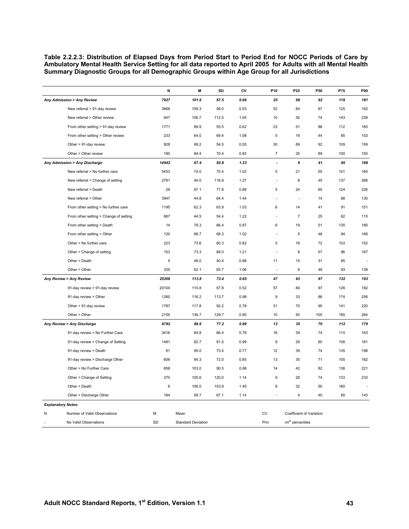**Table 2.2.2.3: Distribution of Elapsed Days from Period Start to Period End for NOCC Periods of Care by Ambulatory Mental Health Service Setting for all data reported to April 2005 for Adults with all Mental Health Summary Diagnostic Groups for all Demographic Groups within Age Group for all Jurisdictions** 

|                                        |    | N     | M                         | SD    | CV   | P10                      | P <sub>25</sub>                       | P50                      | P75 | P90                      |
|----------------------------------------|----|-------|---------------------------|-------|------|--------------------------|---------------------------------------|--------------------------|-----|--------------------------|
| Any Admission > Any Review             |    | 7927  | 101.6                     | 67.5  | 0.66 | 25                       | 68                                    | 92                       | 119 | 181                      |
| New referral > 91-day review           |    | 3868  | 109.3                     | 58.0  | 0.53 | 52                       | 84                                    | 97                       | 125 | 182                      |
| New referral > Other review            |    | 947   | 106.7                     | 112.5 | 1.05 | 10                       | 30                                    | 74                       | 143 | 238                      |
| From other setting > 91-day review     |    | 1771  | 89.9                      | 55.5  | 0.62 | 23                       | 51                                    | 88                       | 112 | 160                      |
| From other setting > Other review      |    | 233   | 64.0                      | 69.4  | 1.08 | 5                        | 19                                    | 44                       | 85  | 153                      |
| Other > 91-day review                  |    | 928   | 99.2                      | 54.5  | 0.55 | 30                       | 89                                    | 92                       | 109 | 159                      |
| Other > Other review                   |    | 180   | 84.4                      | 70.4  | 0.83 | $\overline{7}$           | 25                                    | 89                       | 100 | 193                      |
| Any Admission > Any Discharge          |    | 14942 | 67.4                      | 82.8  | 1.23 | ÷.                       | 8                                     | 41                       | 95  | 168                      |
| New referral > No further care         |    | 5453  | 74.0                      | 75.4  | 1.02 | 5                        | 21                                    | 55                       | 101 | 165                      |
| New referral > Change of setting       |    | 2781  | 94.0                      | 118.9 | 1.27 | J.                       | 8                                     | 45                       | 137 | 268                      |
| New referral > Death                   |    | 29    | 87.1                      | 77.8  | 0.89 | 5                        | 24                                    | 65                       | 124 | 226                      |
| New referral > Other                   |    | 3947  | 44.8                      | 64.4  | 1.44 | ÷,                       | $\overline{\phantom{a}}$              | 14                       | 68  | 130                      |
| From other setting > No further care   |    | 1195  | 62.3                      | 63.9  | 1.03 | 6                        | 14                                    | 41                       | 91  | 151                      |
| From other setting > Change of setting |    | 687   | 44.5                      | 54.4  | 1.22 | J.                       | $\overline{\mathbf{7}}$               | 25                       | 62  | 115                      |
| From other setting > Death             |    | 14    | 76.3                      | 66.4  | 0.87 | 6                        | 19                                    | 51                       | 135 | 180                      |
| From other setting > Other             |    | 120   | 66.7                      | 68.3  | 1.02 | J.                       | 5                                     | 48                       | 94  | 166                      |
| Other > No further care                |    | 223   | 73.6                      | 60.3  | 0.82 | 5                        | 16                                    | 72                       | 103 | 152                      |
| Other > Change of setting              |    | 153   | 73.3                      | 89.0  | 1.21 | J.                       | 8                                     | 57                       | 96  | 167                      |
| Other > Death                          |    | 5     | 46.0                      | 40.4  | 0.88 | 11                       | 15                                    | 31                       | 85  | $\overline{\phantom{a}}$ |
| Other > Other                          |    | 335   | 62.1                      | 65.7  | 1.06 | $\overline{\phantom{a}}$ | 6                                     | 49                       | 93  | 138                      |
| Any Review > Any Review                |    | 25306 | 113.8                     | 73.4  | 0.65 | 47                       | 83                                    | 97                       | 132 | 193                      |
| 91-day review > 91-day review          |    | 20104 | 110.8                     | 57.8  | 0.52 | 57                       | 84                                    | 97                       | 126 | 182                      |
| 91-day review > Other                  |    | 1260  | 116.2                     | 113.7 | 0.98 | 9                        | 33                                    | 86                       | 174 | 256                      |
| Other > 91-day review                  |    | 1787  | 117.8                     | 92.2  | 0.78 | 31                       | 70                                    | 95                       | 141 | 220                      |
| Other > Other                          |    | 2155  | 136.7                     | 129.7 | 0.95 | 10                       | 50                                    | 105                      | 185 | 264                      |
| Any Review > Any Discharge             |    | 6782  | 86.6                      | 77.2  | 0.89 | 13                       | 35                                    | 70                       | 112 | 179                      |
| 91-day review > No Further Care        |    | 3416  | 84.8                      | 66.4  | 0.78 | 16                       | 39                                    | 74                       | 110 | 163                      |
| 91-day review > Change of Setting      |    | 1481  | 82.7                      | 81.5  | 0.99 | 9                        | 29                                    | 60                       | 108 | 181                      |
| 91-day review > Death                  |    | 61    | 95.0                      | 73.4  | 0.77 | 12                       | 39                                    | 74                       | 135 | 196                      |
| 91-day review > Discharge Other        |    | 606   | 84.3                      | 72.0  | 0.85 | 13                       | 35                                    | 71                       | 105 | 182                      |
| Other > No Further Care                |    | 658   | 103.0                     | 90.5  | 0.88 | 14                       | 42                                    | 82                       | 138 | 221                      |
| Other > Change of Setting              |    | 370   | 105.6                     | 120.0 | 1.14 | 9                        | 28                                    | 74                       | 133 | 233                      |
| Other > Death                          |    | 6     | 106.0                     | 153.9 | 1.45 | 6                        | 32                                    | 50                       | 160 |                          |
| Other > Discharge Other                |    | 184   | 58.7                      | 67.1  | 1.14 | $\overline{\phantom{a}}$ | $\overline{\mathbf{4}}$               | 40                       | 85  | 143                      |
| <b>Explanatory Notes:</b>              |    |       |                           |       |      |                          |                                       |                          |     |                          |
| Number of Valid Observations<br>N      | M  |       | Mean                      |       |      | <b>CV</b>                |                                       | Coefficient of Variation |     |                          |
| No Valid Observations                  | SD |       | <b>Standard Deviation</b> |       |      | Pnn                      | $\mathsf{nn}^\mathsf{th}$ percentiles |                          |     |                          |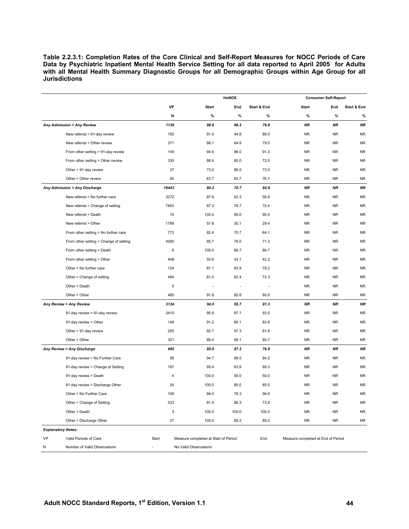**Table 2.2.3.1: Completion Rates of the Core Clinical and Self-Report Measures for NOCC Periods of Care Data by Psychiatric Inpatient Mental Health Service Setting for all data reported to April 2005 for Adults with all Mental Health Summary Diagnostic Groups for all Demographic Groups within Age Group for all Jurisdictions** 

|           |                                        |             |                                      | HoNOS |             | <b>Consumer Self-Report</b>        |           |                        |
|-----------|----------------------------------------|-------------|--------------------------------------|-------|-------------|------------------------------------|-----------|------------------------|
|           |                                        | VP          | <b>Start</b>                         | End   | Start & End | <b>Start</b>                       | End       | <b>Start &amp; End</b> |
|           |                                        | N           | %                                    | $\%$  | %           | $\%$                               | $\%$      | $\%$                   |
|           | Any Admission > Any Review             | 1139        | 88.6                                 | 86.2  | 79.8        | <b>NR</b>                          | <b>NR</b> | <b>NR</b>              |
|           | New referral > 91-day review           | 155         | 91.0                                 | 94.8  | 89.0        | <b>NR</b>                          | <b>NR</b> | <b>NR</b>              |
|           | New referral > Other review            | 371         | 88.1                                 | 84.9  | 79.5        | <b>NR</b>                          | <b>NR</b> | <b>NR</b>              |
|           | From other setting > 91-day review     | 149         | 94.6                                 | 96.0  | 91.3        | <b>NR</b>                          | <b>NR</b> | <b>NR</b>              |
|           | From other setting > Other review      | 335         | 88.4                                 | 80.0  | 72.5        | <b>NR</b>                          | <b>NR</b> | <b>NR</b>              |
|           | Other > 91-day review                  | 37          | 73.0                                 | 86.5  | 73.0        | <b>NR</b>                          | <b>NR</b> | <b>NR</b>              |
|           | Other > Other review                   | 92          | 83.7                                 | 83.7  | 76.1        | <b>NR</b>                          | <b>NR</b> | <b>NR</b>              |
|           | Any Admission > Any Discharge          | 19443       | 84.2                                 | 70.7  | 64.9        | <b>NR</b>                          | <b>NR</b> | <b>NR</b>              |
|           | New referral > No further care         | 3272        | 87.6                                 | 63.3  | 56.8        | <b>NR</b>                          | <b>NR</b> | <b>NR</b>              |
|           | New referral > Change of setting       | 7843        | 87.3                                 | 78.7  | 72.4        | <b>NR</b>                          | <b>NR</b> | <b>NR</b>              |
|           | New referral > Death                   | 10          | 100.0                                | 90.0  | 90.0        | <b>NR</b>                          | <b>NR</b> | <b>NR</b>              |
|           | New referral > Other                   | 1789        | 57.6                                 | 30.1  | 29.4        | <b>NR</b>                          | <b>NR</b> | <b>NR</b>              |
|           | From other setting > No further care   | 772         | 82.4                                 | 70.7  | 64.1        | <b>NR</b>                          | <b>NR</b> | <b>NR</b>              |
|           | From other setting > Change of setting | 4260        | 85.7                                 | 78.0  | 71.3        | <b>NR</b>                          | <b>NR</b> | <b>NR</b>              |
|           | From other setting > Death             | 6           | 100.0                                | 66.7  | 66.7        | <b>NR</b>                          | <b>NR</b> | <b>NR</b>              |
|           | From other setting > Other             | 408         | 93.6                                 | 43.1  | 42.2        | <b>NR</b>                          | <b>NR</b> | <b>NR</b>              |
|           | Other > No further care                | 124         | 87.1                                 | 83.9  | 78.2        | <b>NR</b>                          | <b>NR</b> | <b>NR</b>              |
|           | Other > Change of setting              | 494         | 81.0                                 | 82.4  | 72.3        | <b>NR</b>                          | <b>NR</b> | <b>NR</b>              |
|           | Other > Death                          | $\mathsf 0$ |                                      |       |             | <b>NR</b>                          | <b>NR</b> | <b>NR</b>              |
|           | Other > Other                          | 465         | 91.8                                 | 82.8  | 80.6        | <b>NR</b>                          | <b>NR</b> | <b>NR</b>              |
|           | Any Review > Any Review                | 3134        | 94.0                                 | 95.7  | 91.3        | <b>NR</b>                          | <b>NR</b> | <b>NR</b>              |
|           | 91-day review > 91-day review          | 2410        | 95.9                                 | 97.1  | 93.5        | <b>NR</b>                          | <b>NR</b> | <b>NR</b>              |
|           | 91-day review > Other                  | 148         | 91.2                                 | 85.1  | 83.8        | <b>NR</b>                          | <b>NR</b> | <b>NR</b>              |
|           | Other > 91-day review                  | 255         | 82.7                                 | 97.3  | 81.6        | <b>NR</b>                          | <b>NR</b> | <b>NR</b>              |
|           | Other > Other                          | 321         | 89.4                                 | 89.1  | 85.7        | <b>NR</b>                          | <b>NR</b> | <b>NR</b>              |
|           | Any Review > Any Discharge             | 995         | 85.0                                 | 87.2  | 76.9        | <b>NR</b>                          | NR        | <b>NR</b>              |
|           | 91-day review > No Further Care        | 95          | 94.7                                 | 89.5  | 84.2        | <b>NR</b>                          | <b>NR</b> | <b>NR</b>              |
|           | 91-day review > Change of Setting      | 197         | 95.4                                 | 93.9  | 89.3        | <b>NR</b>                          | <b>NR</b> | <b>NR</b>              |
|           | 91-day review > Death                  | 4           | 100.0                                | 50.0  | 50.0        | <b>NR</b>                          | <b>NR</b> | <b>NR</b>              |
|           | 91-day review > Discharge Other        | 20          | 100.0                                | 85.0  | 85.0        | <b>NR</b>                          | <b>NR</b> | <b>NR</b>              |
|           | Other > No Further Care                | 106         | 66.0                                 | 78.3  | 56.6        | <b>NR</b>                          | <b>NR</b> | <b>NR</b>              |
|           | Other > Change of Setting              | 533         | 81.4                                 | 86.3  | 73.9        | <b>NR</b>                          | <b>NR</b> | <b>NR</b>              |
|           | Other > Death                          | 3           | 100.0                                | 100.0 | 100.0       | <b>NR</b>                          | <b>NR</b> | <b>NR</b>              |
|           | Other > Discharge Other                | 37          | 100.0                                | 89.2  | 89.2        | <b>NR</b>                          | <b>NR</b> | <b>NR</b>              |
|           | <b>Explanatory Notes:</b>              |             |                                      |       |             |                                    |           |                        |
| <b>VP</b> | Valid Periods of Care                  | Start       | Measure completed at Start of Period |       | End         | Measure completed at End of Period |           |                        |
| N         | Number of Valid Observations           |             | No Valid Observations                |       |             |                                    |           |                        |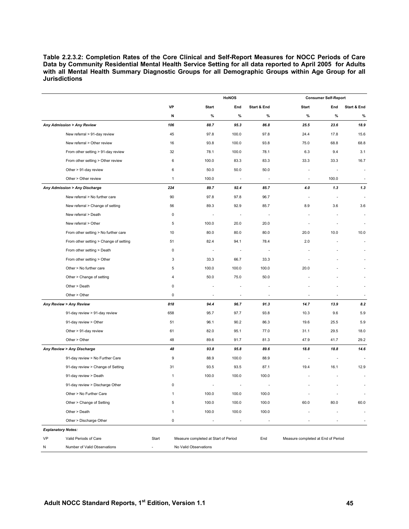**Table 2.2.3.2: Completion Rates of the Core Clinical and Self-Report Measures for NOCC Periods of Care Data by Community Residential Mental Health Service Setting for all data reported to April 2005 for Adults**  with all Mental Health Summary Diagnostic Groups for all Demographic Groups within Age Group for all **Jurisdictions** 

|                               |                                        |                                                                                            |                          | HoNOS                    |                          | <b>Consumer Self-Report</b> |       |                          |  |
|-------------------------------|----------------------------------------|--------------------------------------------------------------------------------------------|--------------------------|--------------------------|--------------------------|-----------------------------|-------|--------------------------|--|
|                               |                                        | VP                                                                                         | <b>Start</b>             | End                      | <b>Start &amp; End</b>   | Start                       | End   | <b>Start &amp; End</b>   |  |
|                               |                                        | N                                                                                          | $\%$                     | %                        | $\%$                     | %                           | $\%$  | $\%$                     |  |
| Any Admission > Any Review    |                                        | 106                                                                                        | 88.7                     | 95.3                     | 86.8                     | 25.5                        | 23.6  | 18.9                     |  |
|                               | New referral > 91-day review           | 45                                                                                         | 97.8                     | 100.0                    | 97.8                     | 24.4                        | 17.8  | 15.6                     |  |
|                               | New referral > Other review            | 16                                                                                         | 93.8                     | 100.0                    | 93.8                     | 75.0                        | 68.8  | 68.8                     |  |
|                               | From other setting > 91-day review     | 32                                                                                         | 78.1                     | 100.0                    | 78.1                     | 6.3                         | 9.4   | 3.1                      |  |
|                               | From other setting > Other review      | 6                                                                                          | 100.0                    | 83.3                     | 83.3                     | 33.3                        | 33.3  | 16.7                     |  |
|                               | Other > 91-day review                  | 6                                                                                          | 50.0                     | 50.0                     | 50.0                     | ٠                           |       | ÷,                       |  |
|                               | Other > Other review                   | $\mathbf{1}$                                                                               | 100.0                    | $\sim$                   | ÷.                       | $\overline{\phantom{a}}$    | 100.0 | ÷.                       |  |
| Any Admission > Any Discharge |                                        | 224                                                                                        | 89.7                     | 92.4                     | 85.7                     | 4.0                         | 1.3   | 1.3                      |  |
|                               | New referral > No further care         | 90                                                                                         | 97.8                     | 97.8                     | 96.7                     | ÷,                          |       |                          |  |
|                               | New referral > Change of setting       | 56                                                                                         | 89.3                     | 92.9                     | 85.7                     | 8.9                         | 3.6   | 3.6                      |  |
|                               | New referral > Death                   | 0                                                                                          | $\overline{\phantom{a}}$ | ٠                        |                          |                             |       |                          |  |
|                               | New referral > Other                   | 5                                                                                          | 100.0                    | 20.0                     | 20.0                     | ä,                          |       |                          |  |
|                               | From other setting > No further care   | 10                                                                                         | 80.0                     | 80.0                     | 80.0                     | 20.0                        | 10.0  | 10.0                     |  |
|                               | From other setting > Change of setting | 51                                                                                         | 82.4                     | 94.1                     | 78.4                     | 2.0                         |       |                          |  |
|                               | From other setting > Death             | 0                                                                                          | $\overline{\phantom{a}}$ |                          |                          |                             |       |                          |  |
|                               | From other setting > Other             | 3                                                                                          | 33.3                     | 66.7                     | 33.3                     |                             |       |                          |  |
|                               | Other > No further care                | 5                                                                                          | 100.0                    | 100.0                    | 100.0                    | 20.0                        |       |                          |  |
|                               | Other > Change of setting              | 4                                                                                          | 50.0                     | 75.0                     | 50.0                     |                             |       |                          |  |
| Other > Death                 |                                        | 0                                                                                          |                          |                          |                          |                             |       |                          |  |
| Other > Other                 |                                        | $\mathsf 0$                                                                                | $\overline{\phantom{a}}$ |                          |                          | $\overline{\phantom{a}}$    |       |                          |  |
| Any Review > Any Review       |                                        | 818                                                                                        | 94.4                     | 96.7                     | 91.3                     | 14.7                        | 13.9  | 8.2                      |  |
|                               | 91-day review > 91-day review          | 658                                                                                        | 95.7                     | 97.7                     | 93.8                     | 10.3                        | 9.6   | 5.9                      |  |
|                               | 91-day review > Other                  | 51                                                                                         | 96.1                     | 90.2                     | 86.3                     | 19.6                        | 25.5  | 5.9                      |  |
|                               | Other > 91-day review                  | 61                                                                                         | 82.0                     | 95.1                     | 77.0                     | 31.1                        | 29.5  | 18.0                     |  |
| Other > Other                 |                                        | 48                                                                                         | 89.6                     | 91.7                     | 81.3                     | 47.9                        | 41.7  | 29.2                     |  |
| Any Review > Any Discharge    |                                        | 48                                                                                         | 93.8                     | 95.8                     | 89.6                     | 18.8                        | 18.8  | 14.6                     |  |
|                               | 91-day review > No Further Care        | 9                                                                                          | 88.9                     | 100.0                    | 88.9                     | $\overline{\phantom{a}}$    |       |                          |  |
|                               | 91-day review > Change of Setting      | 31                                                                                         | 93.5                     | 93.5                     | 87.1                     | 19.4                        | 16.1  | 12.9                     |  |
|                               | 91-day review > Death                  | 1                                                                                          | 100.0                    | 100.0                    | 100.0                    |                             |       |                          |  |
|                               | 91-day review > Discharge Other        | 0                                                                                          |                          |                          |                          |                             |       |                          |  |
|                               | Other > No Further Care                | 1                                                                                          | 100.0                    | 100.0                    | 100.0                    | $\overline{\phantom{a}}$    | ÷,    | $\overline{\phantom{a}}$ |  |
|                               | Other > Change of Setting              | 5                                                                                          | 100.0                    | 100.0                    | 100.0                    | 60.0                        | 80.0  | 60.0                     |  |
| Other > Death                 |                                        | $\mathbf{1}$                                                                               | 100.0                    | 100.0                    | 100.0                    | ÷,                          |       | $\overline{\phantom{a}}$ |  |
|                               | Other > Discharge Other                | $\mathsf 0$                                                                                | $\overline{\phantom{a}}$ | $\overline{\phantom{a}}$ | $\overline{\phantom{a}}$ | ä,                          | ä,    | $\overline{\phantom{a}}$ |  |
| <b>Explanatory Notes:</b>     |                                        |                                                                                            |                          |                          |                          |                             |       |                          |  |
| VP                            | Valid Periods of Care                  | Start<br>Measure completed at Start of Period<br>End<br>Measure completed at End of Period |                          |                          |                          |                             |       |                          |  |
| N                             | Number of Valid Observations           | ÷,                                                                                         | No Valid Observations    |                          |                          |                             |       |                          |  |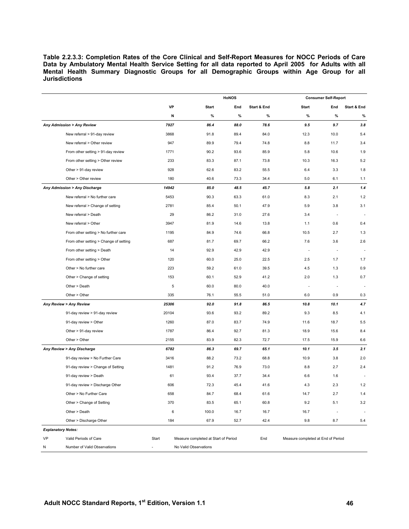**Table 2.2.3.3: Completion Rates of the Core Clinical and Self-Report Measures for NOCC Periods of Care Data by Ambulatory Mental Health Service Setting for all data reported to April 2005 for Adults with all Mental Health Summary Diagnostic Groups for all Demographic Groups within Age Group for all Jurisdictions** 

|    |                                        |       | <b>HoNOS</b><br><b>Consumer Self-Report</b> |      |                        |                                    |                          |             |
|----|----------------------------------------|-------|---------------------------------------------|------|------------------------|------------------------------------|--------------------------|-------------|
|    |                                        | VP    | Start                                       | End  | <b>Start &amp; End</b> | Start                              | End                      | Start & End |
|    |                                        | Ν     | $\%$                                        | $\%$ | %                      | %                                  | $\%$                     | %           |
|    | Any Admission > Any Review             | 7927  | 86.4                                        | 88.0 | 78.6                   | 9.5                                | 9.7                      | 3.8         |
|    | New referral > 91-day review           | 3868  | 91.8                                        | 89.4 | 84.0                   | 12.3                               | 10.0                     | 5.4         |
|    | New referral > Other review            | 947   | 89.9                                        | 79.4 | 74.8                   | 8.8                                | 11.7                     | 3.4         |
|    | From other setting > 91-day review     | 1771  | 90.2                                        | 93.6 | 85.9                   | 5.8                                | 10.6                     | 1.9         |
|    | From other setting > Other review      | 233   | 83.3                                        | 87.1 | 73.8                   | 10.3                               | 16.3                     | 5.2         |
|    | Other > 91-day review                  | 928   | 62.6                                        | 83.2 | 55.5                   | 6.4                                | 3.3                      | 1.8         |
|    | Other > Other review                   | 180   | 40.6                                        | 73.3 | 34.4                   | 5.0                                | 6.1                      | 1.1         |
|    | Any Admission > Any Discharge          | 14942 | 85.0                                        | 48.5 | 45.7                   | 5.8                                | 2.1                      | 1.4         |
|    | New referral > No further care         | 5453  | 90.3                                        | 63.3 | 61.0                   | 8.3                                | 2.1                      | 1.2         |
|    | New referral > Change of setting       | 2781  | 85.4                                        | 50.1 | 47.9                   | 5.9                                | 3.8                      | 3.1         |
|    | New referral > Death                   | 29    | 86.2                                        | 31.0 | 27.6                   | 3.4                                | $\overline{\phantom{a}}$ |             |
|    | New referral > Other                   | 3947  | 81.9                                        | 14.6 | 13.8                   | 1.1                                | 0.6                      | 0.4         |
|    | From other setting > No further care   | 1195  | 84.9                                        | 74.6 | 66.8                   | 10.5                               | 2.7                      | 1.3         |
|    | From other setting > Change of setting | 687   | 81.7                                        | 69.7 | 66.2                   | 7.6                                | 3.6                      | 2.6         |
|    | From other setting > Death             | 14    | 92.9                                        | 42.9 | 42.9                   | $\overline{\phantom{a}}$           |                          |             |
|    | From other setting > Other             | 120   | 60.0                                        | 25.0 | 22.5                   | 2.5                                | 1.7                      | 1.7         |
|    | Other > No further care                | 223   | 59.2                                        | 61.0 | 39.5                   | 4.5                                | 1.3                      | 0.9         |
|    | Other > Change of setting              | 153   | 60.1                                        | 52.9 | 41.2                   | 2.0                                | 1.3                      | 0.7         |
|    | Other > Death                          | 5     | 60.0                                        | 80.0 | 40.0                   | $\overline{\phantom{a}}$           |                          |             |
|    | Other > Other                          | 335   | 76.1                                        | 55.5 | 51.0                   | 6.0                                | 0.9                      | 0.3         |
|    | Any Review > Any Review                | 25306 | 92.0                                        | 91.8 | 86.5                   | 10.8                               | 10.1                     | 4.7         |
|    | 91-day review > 91-day review          | 20104 | 93.6                                        | 93.2 | 89.2                   | 9.3                                | 8.5                      | 4.1         |
|    | 91-day review > Other                  | 1260  | 87.0                                        | 83.7 | 74.9                   | 11.6                               | 18.7                     | 5.5         |
|    | Other > 91-day review                  | 1787  | 86.4                                        | 92.7 | 81.3                   | 18.9                               | 15.6                     | 8.4         |
|    | Other > Other                          | 2155  | 83.9                                        | 82.3 | 72.7                   | 17.5                               | 15.9                     | 6.6         |
|    | Any Review > Any Discharge             | 6782  | 86.3                                        | 69.7 | 65.1                   | 10.1                               | 3.5                      | 2.1         |
|    | 91-day review > No Further Care        | 3416  | 88.2                                        | 73.2 | 68.8                   | 10.9                               | 3.8                      | 2.0         |
|    | 91-day review > Change of Setting      | 1481  | 91.2                                        | 76.9 | 73.0                   | 8.8                                | 2.7                      | 2.4         |
|    | 91-day review > Death                  | 61    | 93.4                                        | 37.7 | 34.4                   | 6.6                                | 1.6                      |             |
|    | 91-day review > Discharge Other        | 606   | 72.3                                        | 45.4 | 41.6                   | 4.3                                | 2.3                      | 1.2         |
|    | Other > No Further Care                | 658   | 84.7                                        | 68.4 | 61.6                   | 14.7                               | 2.7                      | 1.4         |
|    | Other > Change of Setting              | 370   | 83.5                                        | 65.1 | 60.8                   | 9.2                                | 5.1                      | 3.2         |
|    | Other > Death                          | 6     | 100.0                                       | 16.7 | 16.7                   | 16.7                               | $\overline{a}$           | ÷,          |
|    | Other > Discharge Other                | 184   | 67.9                                        | 52.7 | 42.4                   | 9.8                                | 8.7                      | 5.4         |
|    | <b>Explanatory Notes:</b>              |       |                                             |      |                        |                                    |                          |             |
| VP | Valid Periods of Care                  | Start | Measure completed at Start of Period        |      | End                    | Measure completed at End of Period |                          |             |
| N  | Number of Valid Observations           |       | No Valid Observations                       |      |                        |                                    |                          |             |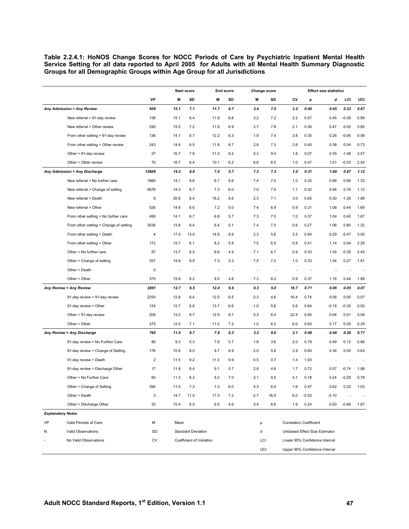**Table 2.2.4.1: HoNOS Change Scores for NOCC Periods of Care by Psychiatric Inpatient Mental Health Service Setting for all data reported to April 2005 for Adults with all Mental Health Summary Diagnostic Groups for all Demographic Groups within Age Group for all Jurisdictions** 

|                          |                                        |           |      | <b>Start score</b>        |                          | End score |                                      | Change score                         |                                |            | <b>Effect size statistics</b>  |         |      |
|--------------------------|----------------------------------------|-----------|------|---------------------------|--------------------------|-----------|--------------------------------------|--------------------------------------|--------------------------------|------------|--------------------------------|---------|------|
|                          |                                        | VP        | M    | SD                        | M                        | SD        | M                                    | SD                                   | CV                             | ρ          | d                              | LCI     | UCI  |
|                          | Any Admission > Any Review             | 909       | 15.1 | 7.1                       | 11.7                     | 6.7       | 3.4                                  | 7.5                                  | 2.2                            | 0.40       | 0.45                           | 0.23    | 0.67 |
|                          | New referral > 91-day review           | 138       | 15.1 | 8.4                       | 11.9                     | 6.8       | 3.2                                  | 7.2                                  | 2.2                            | 0.57       | 0.45                           | $-0.09$ | 0.99 |
|                          | New referral > Other review            | 295       | 15.5 | 7.2                       | 11.8                     | 6.9       | 3.7                                  | 7.8                                  | 2.1                            | 0.39       | 0.47                           | 0.05    | 0.89 |
|                          | From other setting > 91-day review     | 136       | 14.1 | 6.7                       | 12.2                     | 6.3       | 1.9                                  | 7.4                                  | 3.8                            | 0.35       | 0.26                           | $-0.06$ | 0.58 |
|                          | From other setting > Other review      | 243       | 14.6 | 6.5                       | 11.8                     | 6.7       | 2.8                                  | 7.3                                  | 2.6                            | 0.40       | 0.38                           | 0.04    | 0.73 |
|                          | Other > 91-day review                  | 27        | 16.7 | 7.6                       | 11.3                     | 6.2       | 5.3                                  | 9.4                                  | 1.8                            | 0.07       | 0.55                           | $-1.48$ | 2.57 |
|                          | Other > Other review                   | 70        | 16.7 | 6.4                       | 10.1                     | 6.2       | 6.6                                  | 6.5                                  | 1.0                            | 0.47       | 1.01                           | $-0.53$ | 2.54 |
|                          | Any Admission > Any Discharge          | 12609     | 14.3 | 6.6                       | 7.0                      | 5.7       | 7.2                                  | 7.3                                  | $1.0$                          | 0.31       | 1.00                           | 0.87    | 1.12 |
|                          | New referral > No further care         | 1860      | 14.1 | 6.6                       | 6.7                      | 5.6       | 7.4                                  | 7.5                                  | 1.0                            | 0.25       | 0.99                           | 0.66    | 1.33 |
|                          | New referral > Change of setting       | 5678      | 14.3 | 6.7                       | 7.3                      | 6.0       | 7.0                                  | 7.5                                  | 1.1                            | 0.32       | 0.94                           | 0.76    | 1.12 |
|                          | New referral > Death                   | 9         | 20.6 | 8.4                       | 18.2                     | 8.6       | 2.3                                  | 7.1                                  | 3.0                            | 0.65       | 0.30                           | $-1.29$ | 1.88 |
|                          | New referral > Other                   | 526       | 14.6 | 6.6                       | 7.2                      | 5.0       | 7.4                                  | 6.9                                  | 0.9                            | 0.31       | 1.06                           | 0.44    | 1.69 |
|                          | From other setting > No further care   | 495       | 14.1 | 6.7                       | 6.8                      | 5.7       | 7.3                                  | 7.0                                  | 1.0                            | 0.37       | 1.04                           | 0.40    | 1.67 |
|                          | From other setting > Change of setting | 3036      | 13.8 | 6.4                       | 6.4                      | 5.1       | 7.4                                  | 7.0                                  | 0.9                            | 0.27       | 1.06                           | 0.80    | 1.32 |
|                          | From other setting > Death             | 4         | 17.0 | 13.0                      | 14.8                     | 8.9       | 2.3                                  | 5.6                                  | 2.5                            | 0.94       | 0.29                           | $-2.47$ | 3.05 |
|                          | From other setting > Other             | 172       | 15.7 | 6.1                       | 8.2                      | 5.9       | 7.5                                  | 6.5                                  | 0.9                            | 0.41       | 1.14                           | 0.04    | 2.25 |
|                          | Other > No further care                | 97        | 13.7 | 6.5                       | 6.6                      | 4.9       | 7.1                                  | 6.7                                  | 0.9                            | 0.33       | 1.05                           | $-0.35$ | 2.45 |
|                          | Other > Change of setting              | 357       | 14.8 | 6.9                       | 7.3                      | 5.3       | 7.5                                  | 7.2                                  | 1.0                            | 0.33       | 1.04                           | 0.27    | 1.81 |
|                          | Other > Death                          | 0         |      |                           |                          |           |                                      |                                      |                                |            |                                |         |      |
|                          | Other > Other                          | 375       | 15.8 | 6.2                       | 8.5                      | 4.8       | 7.3                                  | 6.2                                  | 0.9                            | 0.37       | 1.16                           | 0.44    | 1.89 |
|                          | Any Review > Any Review                | 2861      | 12.7 | 6.5                       | 12.4                     | 6.6       | 0.3                                  | 5.0                                  | 16.7                           | 0.71       | 0.06                           | 0.05    | 0.07 |
|                          | 91-day review > 91-day review          | 2254      | 12.8 | 6.4                       | 12.5                     | 6.5       | 0.3                                  | 4.6                                  | 16.4                           | 0.74       | 0.06                           | 0.05    | 0.07 |
|                          | 91-day review > Other                  | 124       | 12.7 | 6.6                       | 13.7                     | 6.6       | $-1.0$                               | 5.6                                  | 5.6                            | 0.64       | $-0.18$                        | $-0.35$ | 0.00 |
|                          | Other > 91-day review                  | 208       | 13.2 | 6.7                       | 12.9                     | 6.7       | 0.3                                  | 6.4                                  | 22.5                           | 0.55       | 0.04                           | 0.01    | 0.08 |
|                          | Other > Other                          | 275       | 12.0 | 7.1                       | 11.0                     | 7.2       | 1.0                                  | 6.2                                  | 6.0                            | 0.63       | 0.17                           | 0.05    | 0.29 |
|                          | Any Review > Any Discharge             | 765       | 11.0 | 6.7                       | 7.8                      | 6.3       | 3.2                                  | 6.6                                  | 2.1                            | $\bf 0.48$ | 0.48                           | 0.26    | 0.71 |
|                          | 91-day review > No Further Care        | 80        | 9.3  | 5.3                       | 7.6                      | 5.7       | 1.8                                  | 3.6                                  | 2.0                            | 0.79       | 0.49                           | 0.12    | 0.86 |
|                          | 91-day review > Change of Setting      | 176       | 10.6 | 6.0                       | 8.7                      | 6.9       | 2.0                                  | 5.8                                  | 2.9                            | 0.60       | 0.34                           | 0.05    | 0.63 |
|                          | 91-day review > Death                  | 2         | 11.5 | 9.2                       | 11.0                     | 9.9       | 0.5                                  | 0.7                                  | 1.4                            | 1.00       |                                |         |      |
|                          | 91-day review > Discharge Other        | 17        | 11.8 | 6.4                       | 9.1                      | 5.7       | 2.8                                  | 4.6                                  | 1.7                            | 0.72       | 0.57                           | $-0.74$ | 1.88 |
|                          | Other > No Further Care                | 60        | 11.3 | 6.3                       | 9.2                      | 7.0       | 2.1                                  | 8.5                                  | 4.1                            | 0.18       | 0.24                           | $-0.29$ | 0.78 |
|                          | Other > Change of Setting              | 394       | 11.5 | 7.3                       | 7.3                      | 6.0       | 4.3                                  | 6.9                                  | 1.6                            | 0.47       | 0.62                           | 0.20    | 1.03 |
|                          | Other > Death                          | 3         | 14.7 | 11.0                      | 17.3                     | 7.2       | $-2.7$                               | 16.0                                 | 6.0                            | $-0.52$    | $-0.10$                        |         |      |
|                          | Other > Discharge Other                | 33        | 10.4 | 6.0                       | 6.9                      | 4.6       | 3.4                                  | 6.6                                  | 1.9                            | 0.24       | 0.50                           | $-0.66$ | 1.67 |
| <b>Explanatory Notes</b> |                                        |           |      |                           |                          |           |                                      |                                      |                                |            |                                |         |      |
| VP                       | Valid Periods of Care                  | М         | Mean |                           |                          |           | $\rho$                               |                                      | <b>Correlation Coefficient</b> |            |                                |         |      |
| Ν                        | Valid Observations                     | <b>SD</b> |      | <b>Standard Deviation</b> |                          |           | d                                    |                                      |                                |            | Unbiased Effect Size Estimator |         |      |
|                          | No Valid Observations                  | CV        |      |                           | Coefficient of Variation |           |                                      | Lower 95% Confidence Interval<br>LCI |                                |            |                                |         |      |
|                          |                                        |           |      |                           |                          |           | UCI<br>Upper 95% Confidence Interval |                                      |                                |            |                                |         |      |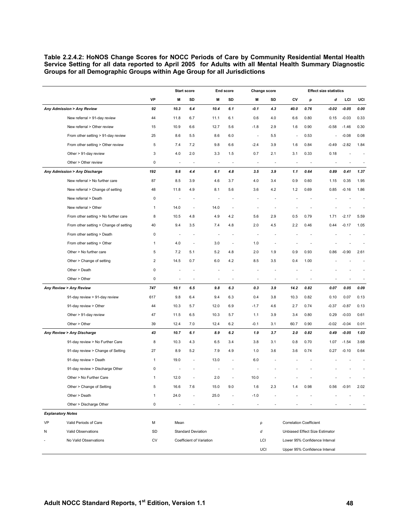**Table 2.2.4.2: HoNOS Change Scores for NOCC Periods of Care by Community Residential Mental Health Service Setting for all data reported to April 2005 for Adults with all Mental Health Summary Diagnostic Groups for all Demographic Groups within Age Group for all Jurisdictions** 

|    |                                        | <b>Start score</b><br>End score      |                | <b>Change score</b>       |                          |                |                          | <b>Effect size statistics</b> |                                |                     |                                |         |      |
|----|----------------------------------------|--------------------------------------|----------------|---------------------------|--------------------------|----------------|--------------------------|-------------------------------|--------------------------------|---------------------|--------------------------------|---------|------|
|    |                                        | VP                                   | M              | SD                        | M                        | SD             | M                        | SD                            | CV                             | ρ                   | d                              | LCI     | UCI  |
|    | <b>Any Admission &gt; Any Review</b>   | 92                                   | 10.3           | 6.4                       | 10.4                     | 6.1            | $-0.1$                   | 4.3                           | 40.0                           | 0.76                | $-0.02$                        | $-0.05$ | 0.00 |
|    | New referral > 91-day review           | 44                                   | 11.8           | 6.7                       | 11.1                     | 6.1            | 0.6                      | 4.0                           | 6.6                            | 0.80                | 0.15                           | $-0.03$ | 0.33 |
|    | New referral > Other review            | 15                                   | 10.9           | 6.6                       | 12.7                     | 5.6            | $-1.8$                   | 2.9                           | 1.6                            | 0.90                | $-0.58$                        | $-1.46$ | 0.30 |
|    | From other setting > 91-day review     | 25                                   | 8.6            | 5.5                       | 8.6                      | 6.0            | $\overline{\phantom{a}}$ | 5.5                           | ÷,                             | 0.53                |                                | $-0.08$ | 0.08 |
|    | From other setting > Other review      | 5                                    | 7.4            | 7.2                       | 9.8                      | 6.6            | $-2.4$                   | 3.9                           | 1.6                            | 0.84                | $-0.49$                        | $-2.82$ | 1.84 |
|    | Other > 91-day review                  | 3                                    | 4.0            | 2.0                       | 3.3                      | 1.5            | 0.7                      | 2.1                           | 3.1                            | 0.33                | 0.18                           |         |      |
|    | Other > Other review                   | 0                                    | ä,             | ÷,                        | $\overline{\phantom{a}}$ |                | $\overline{\phantom{a}}$ | ÷,                            | i,                             |                     |                                |         |      |
|    | Any Admission > Any Discharge          | 192                                  | 9.6            | 4.4                       | 6.1                      | 4.8            | 3.5                      | 3.9                           | 1.1                            | 0.64                | 0.89                           | 0.41    | 1.37 |
|    | New referral > No further care         | 87                                   | 8.5            | 3.9                       | 4.6                      | 3.7            | 4.0                      | 3.4                           | 0.9                            | 0.60                | 1.15                           | 0.35    | 1.95 |
|    | New referral > Change of setting       | 48                                   | 11.8           | 4.9                       | 8.1                      | 5.6            | 3.6                      | 4.2                           | 1.2                            | 0.69                | 0.85                           | $-0.16$ | 1.86 |
|    | New referral > Death                   | 0                                    |                |                           |                          |                |                          |                               |                                |                     |                                |         |      |
|    | New referral > Other                   | 1                                    | 14.0           | ÷,                        | 14.0                     |                |                          |                               |                                |                     |                                |         |      |
|    | From other setting > No further care   | 8                                    | 10.5           | 4.8                       | 4.9                      | 4.2            | 5.6                      | 2.9                           | 0.5                            | 0.79                | 1.71                           | $-2.17$ | 5.59 |
|    | From other setting > Change of setting | 40                                   | 9.4            | 3.5                       | 7.4                      | 4.8            | 2.0                      | 4.5                           | 2.2                            | 0.46                | 0.44                           | $-0.17$ | 1.05 |
|    | From other setting > Death             | 0                                    | ÷,             |                           | ä,                       |                | ÷,                       |                               |                                |                     |                                |         |      |
|    | From other setting > Other             | 1                                    | 4.0            | ÷,                        | 3.0                      | ÷,             | 1.0                      |                               |                                |                     |                                |         |      |
|    | Other > No further care                | 5                                    | 7.2            | 5.1                       | 5.2                      | 4.8            | 2.0                      | 1.9                           | 0.9                            | 0.93                | 0.86                           | $-0.90$ | 2.61 |
|    | Other > Change of setting              | $\overline{\mathbf{c}}$              | 14.5           | 0.7                       | 6.0                      | 4.2            | 8.5                      | 3.5                           | 0.4                            | 1.00                |                                |         |      |
|    | Other > Death                          | 0                                    |                |                           |                          |                |                          |                               |                                |                     |                                |         |      |
|    | Other > Other                          | $\pmb{0}$                            | $\overline{a}$ | ÷                         | $\overline{a}$           | ÷              | $\overline{\phantom{m}}$ | $\overline{a}$                | $\overline{a}$                 | ٠                   |                                |         |      |
|    | Any Review > Any Review                | 747                                  | 10.1           | $6.5\,$                   | 9.8                      | 6.3            | 0.3                      | 3.9                           | 14.2                           | 0.82                | 0.07                           | 0.05    | 0.09 |
|    | 91-day review > 91-day review          | 617                                  | 9.8            | 6.4                       | 9.4                      | 6.3            | 0.4                      | 3.8                           | 10.3                           | 0.82                | 0.10                           | 0.07    | 0.13 |
|    | 91-day review > Other                  | 44                                   | 10.3           | 5.7                       | 12.0                     | 6.9            | $-1.7$                   | 4.6                           | 2.7                            | 0.74                | $-0.37$                        | $-0.87$ | 0.13 |
|    | Other > 91-day review                  | 47                                   | 11.5           | 6.5                       | 10.3                     | 5.7            | 1.1                      | 3.9                           | 3.4                            | 0.80                | 0.29                           | $-0.03$ | 0.61 |
|    | Other > Other                          | 39                                   | 12.4           | 7.0                       | 12.4                     | 6.2            | $-0.1$                   | 3.1                           | 60.7                           | 0.90                | $-0.02$                        | $-0.04$ | 0.01 |
|    | Any Review > Any Discharge             | 43                                   | 10.7           | 6.1                       | 8.9                      | 6.2            | 1.9                      | 3.7                           | 2.0                            | $\boldsymbol{0.82}$ | 0.49                           | $-0.05$ | 1.03 |
|    | 91-day review > No Further Care        | 8                                    | 10.3           | 4.3                       | 6.5                      | 3.4            | 3.8                      | 3.1                           | 0.8                            | 0.70                | 1.07                           | $-1.54$ | 3.68 |
|    | 91-day review > Change of Setting      | 27                                   | 8.9            | 5.2                       | 7.9                      | 4.9            | 1.0                      | 3.6                           | 3.6                            | 0.74                | 0.27                           | $-0.10$ | 0.64 |
|    | 91-day review > Death                  | 1                                    | 19.0           | ÷,                        | 13.0                     | $\overline{a}$ | 6.0                      |                               |                                |                     |                                |         |      |
|    | 91-day review > Discharge Other        | 0                                    |                |                           |                          |                |                          |                               |                                |                     |                                |         |      |
|    | Other > No Further Care                | 1                                    | 12.0           |                           | 2.0                      |                | 10.0                     |                               |                                |                     |                                |         |      |
|    | Other > Change of Setting              | 5                                    | 16.6           | 7.6                       | 15.0                     | 9.0            | 1.6                      | 2.3                           | 1.4                            | 0.98                | 0.56                           | -0.91   | 2.02 |
|    | Other > Death                          | 1                                    | 24.0           |                           | 25.0                     |                | $-1.0$                   |                               |                                |                     |                                |         |      |
|    | Other > Discharge Other                | $\pmb{0}$                            |                |                           |                          |                | ÷,                       |                               |                                |                     |                                |         |      |
|    | <b>Explanatory Notes</b>               |                                      |                |                           |                          |                |                          |                               |                                |                     |                                |         |      |
| VP | Valid Periods of Care                  | М                                    | Mean           |                           |                          |                | ρ                        |                               | <b>Correlation Coefficient</b> |                     |                                |         |      |
| N  | Valid Observations                     | SD                                   |                | <b>Standard Deviation</b> |                          |                | d                        |                               |                                |                     | Unbiased Effect Size Estimator |         |      |
|    | No Valid Observations                  | CV                                   |                | Coefficient of Variation  |                          |                | LCI                      |                               |                                |                     | Lower 95% Confidence Interval  |         |      |
|    |                                        | UCI<br>Upper 95% Confidence Interval |                |                           |                          |                |                          |                               |                                |                     |                                |         |      |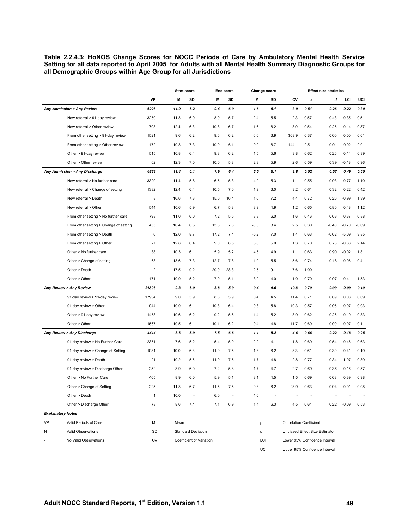**Table 2.2.4.3: HoNOS Change Scores for NOCC Periods of Care by Ambulatory Mental Health Service Setting for all data reported to April 2005 for Adults with all Mental Health Summary Diagnostic Groups for all Demographic Groups within Age Group for all Jurisdictions** 

|                          |                                        |                                      |      | <b>Start score</b>        |                          | End score |                                      | Change score |                                |      | <b>Effect size statistics</b>  |         |         |
|--------------------------|----------------------------------------|--------------------------------------|------|---------------------------|--------------------------|-----------|--------------------------------------|--------------|--------------------------------|------|--------------------------------|---------|---------|
|                          |                                        | <b>VP</b>                            | M    | SD                        | M                        | SD        | M                                    | SD           | CV                             | ρ    | d                              | LCI     | UCI     |
|                          | <b>Any Admission &gt; Any Review</b>   | 6228                                 | 11.0 | 6.2                       | 9.4                      | $6.0\,$   | 1.6                                  | 6.1          | 3.9                            | 0.51 | 0.26                           | 0.22    | 0.30    |
|                          | New referral > 91-day review           | 3250                                 | 11.3 | 6.0                       | 8.9                      | 5.7       | 2.4                                  | 5.5          | 2.3                            | 0.57 | 0.43                           | 0.35    | 0.51    |
|                          | New referral > Other review            | 708                                  | 12.4 | 6.3                       | 10.8                     | 6.7       | 1.6                                  | 6.2          | 3.9                            | 0.54 | 0.25                           | 0.14    | 0.37    |
|                          | From other setting > 91-day review     | 1521                                 | 9.6  | 6.2                       | 9.6                      | 6.2       | 0.0                                  | 6.9          | 308.9                          | 0.37 | 0.00                           | 0.00    | 0.01    |
|                          | From other setting > Other review      | 172                                  | 10.8 | 7.3                       | 10.9                     | 6.1       | 0.0                                  | 6.7          | 144.1                          | 0.51 | $-0.01$                        | $-0.02$ | 0.01    |
|                          | Other > 91-day review                  | 515                                  | 10.8 | 6.4                       | 9.3                      | 6.2       | 1.5                                  | 5.6          | 3.8                            | 0.62 | 0.26                           | 0.14    | 0.39    |
|                          | Other > Other review                   | 62                                   | 12.3 | 7.0                       | 10.0                     | 5.8       | 2.3                                  | 5.9          | 2.6                            | 0.59 | 0.39                           | $-0.18$ | 0.96    |
|                          | Any Admission > Any Discharge          | 6823                                 | 11.4 | 6.1                       | 7.9                      | 6.4       | 3.5                                  | 6.1          | 1.8                            | 0.52 | 0.57                           | 0.49    | 0.65    |
|                          | New referral > No further care         | 3329                                 | 11.4 | 5.8                       | 6.5                      | 5.3       | 4.9                                  | 5.3          | 1.1                            | 0.55 | 0.93                           | 0.77    | 1.10    |
|                          | New referral > Change of setting       | 1332                                 | 12.4 | 6.4                       | 10.5                     | 7.0       | 1.9                                  | 6.0          | 3.2                            | 0.61 | 0.32                           | 0.22    | 0.42    |
|                          | New referral > Death                   | 8                                    | 16.6 | 7.3                       | 15.0                     | 10.4      | 1.6                                  | 7.2          | 4.4                            | 0.72 | 0.20                           | $-0.99$ | 1.39    |
|                          | New referral > Other                   | 544                                  | 10.6 | 5.9                       | 6.7                      | 5.8       | 3.9                                  | 4.9          | 1.2                            | 0.65 | 0.80                           | 0.48    | 1.12    |
|                          | From other setting > No further care   | 798                                  | 11.0 | 6.0                       | 7.2                      | 5.5       | 3.8                                  | 6.0          | 1.6                            | 0.46 | 0.63                           | 0.37    | 0.88    |
|                          | From other setting > Change of setting | 455                                  | 10.4 | 6.5                       | 13.8                     | 7.6       | $-3.3$                               | 8.4          | 2.5                            | 0.30 | $-0.40$                        | $-0.70$ | $-0.09$ |
|                          | From other setting > Death             | 6                                    | 12.0 | 8.7                       | 17.2                     | 7.4       | $-5.2$                               | 7.0          | 1.4                            | 0.63 | $-0.62$                        | $-5.09$ | 3.85    |
|                          | From other setting > Other             | 27                                   | 12.8 | 6.4                       | 9.0                      | 6.5       | 3.8                                  | 5.0          | 1.3                            | 0.70 | 0.73                           | $-0.68$ | 2.14    |
|                          | Other > No further care                | 88                                   | 10.3 | 6.1                       | 5.9                      | 5.2       | 4.5                                  | 4.9          | 1.1                            | 0.63 | 0.90                           | $-0.02$ | 1.81    |
|                          | Other > Change of setting              | 63                                   | 13.6 | 7.3                       | 12.7                     | 7.8       | 1.0                                  | 5.5          | 5.6                            | 0.74 | 0.18                           | $-0.06$ | 0.41    |
|                          | Other > Death                          | $\overline{2}$                       | 17.5 | 9.2                       | 20.0                     | 28.3      | $-2.5$                               | 19.1         | 7.6                            | 1.00 |                                |         |         |
|                          | Other > Other                          | 171                                  | 10.9 | 5.2                       | 7.0                      | 5.1       | 3.9                                  | 4.0          | 1.0                            | 0.70 | 0.97                           | 0.41    | 1.53    |
|                          | Any Review > Any Review                | 21898                                | 9.3  | 6.0                       | 8.8                      | 5.9       | 0.4                                  | 4.6          | 10.8                           | 0.70 | 0.09                           | 0.09    | 0.10    |
|                          | 91-day review > 91-day review          | 17934                                | 9.0  | 5.9                       | 8.6                      | 5.9       | 0.4                                  | 4.5          | 11.4                           | 0.71 | 0.09                           | 0.08    | 0.09    |
|                          | 91-day review > Other                  | 944                                  | 10.0 | 6.1                       | 10.3                     | 6.4       | $-0.3$                               | 5.8          | 19.3                           | 0.57 | $-0.05$                        | $-0.07$ | $-0.03$ |
|                          | Other > 91-day review                  | 1453                                 | 10.6 | 6.2                       | 9.2                      | 5.6       | 1.4                                  | 5.2          | 3.9                            | 0.62 | 0.26                           | 0.19    | 0.33    |
|                          | Other > Other                          | 1567                                 | 10.5 | 6.1                       | 10.1                     | 6.2       | 0.4                                  | 4.8          | 11.7                           | 0.69 | 0.09                           | 0.07    | 0.11    |
|                          | Any Review > Any Discharge             | 4414                                 | 8.6  | 5.9                       | 7.5                      | 6.6       | 1.1                                  | 5.2          | 4.6                            | 0.66 | 0.22                           | 0.18    | 0.25    |
|                          | 91-day review > No Further Care        | 2351                                 | 7.6  | 5.2                       | 5.4                      | 5.0       | 2.2                                  | 4.1          | 1.8                            | 0.69 | 0.54                           | 0.46    | 0.63    |
|                          | 91-day review > Change of Setting      | 1081                                 | 10.0 | 6.3                       | 11.9                     | 7.5       | $-1.8$                               | 6.2          | 3.3                            | 0.61 | $-0.30$                        | $-0.41$ | $-0.19$ |
|                          | 91-day review > Death                  | 21                                   | 10.2 | 5.6                       | 11.9                     | 7.5       | $-1.7$                               | 4.8          | 2.8                            | 0.77 | $-0.34$                        | $-1.07$ | 0.39    |
|                          | 91-day review > Discharge Other        | 252                                  | 8.9  | 6.0                       | 7.2                      | 5.8       | 1.7                                  | 4.7          | 2.7                            | 0.69 | 0.36                           | 0.16    | 0.57    |
|                          | Other > No Further Care                | 405                                  | 8.9  | 6.0                       | 5.9                      | 5.1       | 3.1                                  | 4.5          | 1.5                            | 0.69 | 0.68                           | 0.39    | 0.98    |
|                          | Other > Change of Setting              | 225                                  | 11.8 | 6.7                       | 11.5                     | 7.5       | 0.3                                  | 6.2          | 23.9                           | 0.63 | 0.04                           | 0.01    | 0.08    |
|                          | Other > Death                          | $\mathbf{1}$                         | 10.0 |                           | 6.0                      |           | 4.0                                  |              |                                |      |                                |         |         |
|                          | Other > Discharge Other                | 78                                   | 8.6  | 7.4                       | 7.1                      | 6.9       | 1.4                                  | 6.3          | 4.5                            | 0.61 | 0.22                           | $-0.09$ | 0.53    |
| <b>Explanatory Notes</b> |                                        |                                      |      |                           |                          |           |                                      |              |                                |      |                                |         |         |
| VP                       | Valid Periods of Care                  | М                                    | Mean |                           |                          |           | ρ                                    |              | <b>Correlation Coefficient</b> |      |                                |         |         |
| N                        | Valid Observations                     | SD                                   |      | <b>Standard Deviation</b> |                          |           | d                                    |              |                                |      | Unbiased Effect Size Estimator |         |         |
|                          | No Valid Observations                  | CV                                   |      |                           | Coefficient of Variation |           | LCI<br>Lower 95% Confidence Interval |              |                                |      |                                |         |         |
|                          |                                        | UCI<br>Upper 95% Confidence Interval |      |                           |                          |           |                                      |              |                                |      |                                |         |         |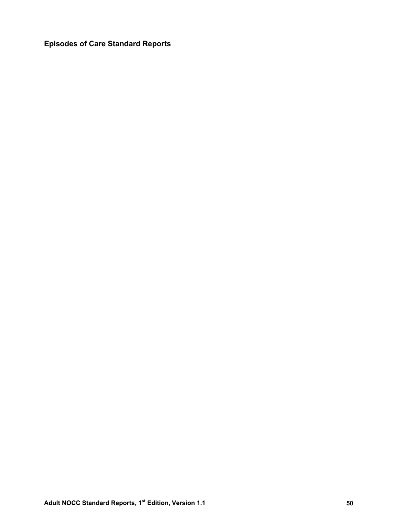**Episodes of Care Standard Reports**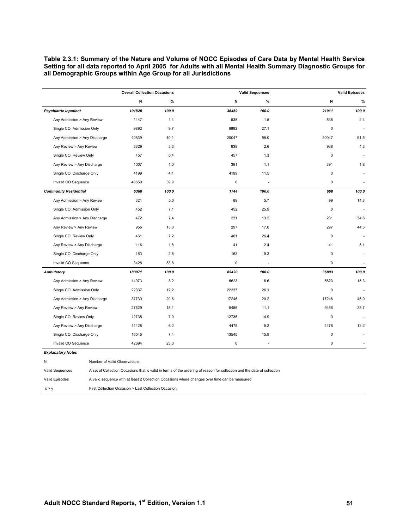**Table 2.3.1: Summary of the Nature and Volume of NOCC Episodes of Care Data by Mental Health Service Setting for all data reported to April 2005 for Adults with all Mental Health Summary Diagnostic Groups for all Demographic Groups within Age Group for all Jurisdictions** 

|                                   | <b>Overall Collection Occasions</b> |       |           | <b>Valid Sequences</b> |             | <b>Valid Episodes</b>    |
|-----------------------------------|-------------------------------------|-------|-----------|------------------------|-------------|--------------------------|
|                                   | Ν                                   | %     | N         | %                      | N           | %                        |
| <b>Psychiatric Inpatient</b>      | 101820                              | 100.0 | 36459     | 100.0                  | 21911       | 100.0                    |
| Any Admission > Any Review        | 1447                                | 1.4   | 535       | 1.5                    | 535         | 2.4                      |
| Single CO: Admission Only         | 9892                                | 9.7   | 9892      | 27.1                   | $\mathbf 0$ |                          |
| Any Admission > Any Discharge     | 40839                               | 40.1  | 20047     | 55.0                   | 20047       | 91.5                     |
| Any Review > Any Review           | 3329                                | 3.3   | 938       | 2.6                    | 938         | 4.3                      |
| Single CO: Review Only            | 457                                 | 0.4   | 457       | 1.3                    | $\mathbf 0$ | $\overline{\phantom{a}}$ |
| Any Review > Any Discharge        | 1007                                | 1.0   | 391       | 1.1                    | 391         | 1.8                      |
| Single CO: Discharge Only         | 4199                                | 4.1   | 4199      | 11.5                   | 0           | $\overline{\phantom{a}}$ |
| Invalid CO Sequence               | 40650                               | 39.9  | $\pmb{0}$ | ÷                      | $\pmb{0}$   | ÷.                       |
| <b>Community Residential</b>      | 6368                                | 100.0 | 1744      | 100.0                  | 668         | 100.0                    |
| Any Admission > Any Review        | 321                                 | 5.0   | 99        | 5.7                    | 99          | 14.8                     |
| Single CO: Admission Only         | 452                                 | 7.1   | 452       | 25.9                   | $\mathbf 0$ |                          |
| Any Admission > Any Discharge     | 472                                 | 7.4   | 231       | 13.2                   | 231         | 34.6                     |
| Any Review > Any Review           | 955                                 | 15.0  | 297       | 17.0                   | 297         | 44.5                     |
| Single CO: Review Only            | 461                                 | 7.2   | 461       | 26.4                   | 0           |                          |
| Any Review > Any Discharge        | 116                                 | 1.8   | 41        | 2.4                    | 41          | 6.1                      |
| Single CO: Discharge Only         | 163                                 | 2.6   | 163       | 9.3                    | $\mathbf 0$ |                          |
| Invalid CO Sequence               | 3428                                | 53.8  | 0         | ÷,                     | $\mathbf 0$ |                          |
| Ambulatory                        | 183071                              | 100.0 | 85420     | 100.0                  | 36803       | 100.0                    |
| Any Admission > Any Review        | 14973                               | 8.2   | 5623      | 6.6                    | 5623        | 15.3                     |
| Single CO: Admission Only         | 22337                               | 12.2  | 22337     | 26.1                   | $\mathbf 0$ | ÷,                       |
| Any Admission > Any Discharge     | 37730                               | 20.6  | 17246     | 20.2                   | 17246       | 46.9                     |
| Any Review > Any Review           | 27629                               | 15.1  | 9456      | 11.1                   | 9456        | 25.7                     |
| Single CO: Review Only            | 12735                               | 7.0   | 12735     | 14.9                   | $\mathbf 0$ |                          |
| Any Review > Any Discharge        | 11428                               | 6.2   | 4478      | 5.2                    | 4478        | 12.2                     |
| Single CO: Discharge Only         | 13545                               | 7.4   | 13545     | 15.9                   | $\mathbf 0$ |                          |
| Invalid CO Sequence               | 42694                               | 23.3  | 0         | ÷,                     | $\pmb{0}$   |                          |
| <b>Explanatory Notes</b>          |                                     |       |           |                        |             |                          |
| Number of Valid Observations<br>Ν |                                     |       |           |                        |             |                          |

| N               | Number of Valid Observations                                                                                             |
|-----------------|--------------------------------------------------------------------------------------------------------------------------|
| Valid Sequences | A set of Collection Occasions that is valid in terms of the ordering of reason for collection and the date of collection |
| Valid Episodes  | A valid sequence with at least 2 Collection Occasions where changes over time can be measured                            |
| x > v           | First Collection Occasion > Last Collection Occasion                                                                     |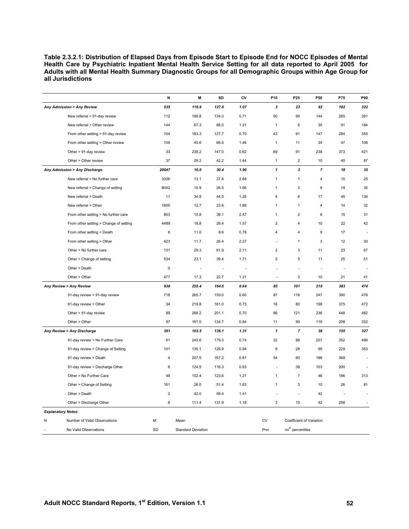**Table 2.3.2.1: Distribution of Elapsed Days from Episode Start to Episode End for NOCC Episodes of Mental Health Care by Psychiatric Inpatient Mental Health Service Setting for all data reported to April 2005 for Adults with all Mental Health Summary Diagnostic Groups for all Demographic Groups within Age Group for all Jurisdictions** 

|   |                                        | N              | М                         | SD    | CV   | P10                     | P25                          | P <sub>50</sub>          | P75 | P90 |
|---|----------------------------------------|----------------|---------------------------|-------|------|-------------------------|------------------------------|--------------------------|-----|-----|
|   | Any Admission > Any Review             | 535            | 118.9                     | 127.6 | 1.07 | 3                       | 23                           | 82                       | 182 | 322 |
|   | New referral > 91-day review           | 112            | 188.8                     | 134.3 | 0.71 | 50                      | 95                           | 144                      | 285 | 391 |
|   | New referral > Other review            | 144            | 67.3                      | 88.0  | 1.31 | $\mathbf{1}$            | 8                            | 35                       | 91  | 184 |
|   | From other setting > 91-day review     | 104            | 183.3                     | 127.7 | 0.70 | 43                      | 91                           | 147                      | 284 | 355 |
|   | From other setting > Other review      | 105            | 45.6                      | 66.5  | 1.46 | $\mathbf{1}$            | 11                           | 34                       | 47  | 108 |
|   | Other > 91-day review                  | 33             | 238.2                     | 147.0 | 0.62 | 69                      | 91                           | 238                      | 373 | 421 |
|   | Other > Other review                   | 37             | 29.2                      | 42.2  | 1.44 | $\mathbf{1}$            | $\overline{2}$               | 10                       | 40  | 87  |
|   | Any Admission > Any Discharge          | 20047          | 16.0                      | 30.4  | 1.90 | $\mathbf{1}$            | 3                            | $\overline{7}$           | 18  | 35  |
|   | New referral > No further care         | 3326           | 13.1                      | 37.8  | 2.88 | 1                       | $\mathbf{1}$                 | $\overline{4}$           | 10  | 25  |
|   | New referral > Change of setting       | 8042           | 15.9                      | 26.5  | 1.66 | $\mathbf{1}$            | 3                            | 8                        | 19  | 35  |
|   | New referral > Death                   | 11             | 34.8                      | 44.5  | 1.28 | $\overline{\mathbf{4}}$ | 6                            | 17                       | 45  | 138 |
|   | New referral > Other                   | 1805           | 12.7                      | 23.6  | 1.86 | $\mathbf{1}$            | $\mathbf{1}$                 | $\overline{\mathbf{4}}$  | 14  | 32  |
|   | From other setting > No further care   | 803            | 15.8                      | 39.1  | 2.47 | $\mathbf{1}$            | $\overline{2}$               | $\,6\,$                  | 15  | 31  |
|   | From other setting > Change of setting | 4489           | 18.8                      | 29.4  | 1.57 | $\overline{2}$          | $\overline{4}$               | 10                       | 22  | 42  |
|   | From other setting > Death             | 6              | 11.0                      | 8.6   | 0.78 | $\overline{4}$          | $\overline{4}$               | 9                        | 17  |     |
|   | From other setting > Other             | 423            | 11.7                      | 26.4  | 2.27 | J.                      | $\mathbf{1}$                 | 3                        | 12  | 30  |
|   | Other > No further care                | 131            | 29.3                      | 61.9  | 2.11 | $\overline{2}$          | 3                            | 11                       | 23  | 67  |
|   | Other > Change of setting              | 534            | 23.1                      | 39.4  | 1.71 | $\overline{2}$          | $\overline{5}$               | 11                       | 25  | 51  |
|   | Other > Death                          | 0              |                           | ÷,    |      |                         |                              |                          | ÷,  | ÷,  |
|   | Other > Other                          | 477            | 17.3                      | 22.7  | 1.31 | ÷,                      | 3                            | 10                       | 21  | 41  |
|   | Any Review > Any Review                | 938            | 255.4                     | 164.6 | 0.64 | 85                      | 101                          | 219                      | 383 | 474 |
|   | 91-day review > 91-day review          | 718            | 265.7                     | 159.0 | 0.60 | 87                      | 116                          | 247                      | 390 | 476 |
|   | 91-day review > Other                  | 34             | 219.8                     | 161.0 | 0.73 | 16                      | 80                           | 198                      | 375 | 472 |
|   | Other > 91-day review                  | 89             | 288.2                     | 201.1 | 0.70 | 86                      | 121                          | 236                      | 448 | 482 |
|   | Other > Other                          | 97             | 161.0                     | 134.7 | 0.84 | 11                      | 90                           | 119                      | 208 | 332 |
|   | Any Review > Any Discharge             | 391            | 103.5                     | 136.1 | 1.31 | $\mathbf{1}$            | $\overline{7}$               | 38                       | 155 | 327 |
|   | 91-day review > No Further Care        | 61             | 243.6                     | 179.3 | 0.74 | 32                      | 88                           | 207                      | 352 | 496 |
|   | 91-day review > Change of Setting      | 101            | 135.1                     | 126.9 | 0.94 | 9                       | 28                           | 95                       | 229 | 353 |
|   | 91-day review > Death                  | $\overline{4}$ | 207.5                     | 167.2 | 0.81 | 54                      | 60                           | 196                      | 368 |     |
|   | 91-day review > Discharge Other        | 6              | 124.5                     | 116.3 | 0.93 | ÷,                      | 38                           | 103                      | 200 |     |
|   | Other > No Further Care                | 48             | 102.4                     | 123.6 | 1.21 | $\mathbf{1}$            | $\overline{7}$               | 46                       | 186 | 313 |
|   | Other > Change of Setting              | 161            | 28.0                      | 51.4  | 1.83 | $\mathbf{1}$            | 3                            | 10                       | 26  | 81  |
|   | Other > Death                          | $\overline{2}$ | 42.0                      | 59.4  | 1.41 |                         |                              | 42                       |     |     |
|   | Other > Discharge Other                | 8              | 111.4                     | 131.9 | 1.18 | 3                       | 10                           | 42                       | 258 |     |
|   | <b>Explanatory Notes:</b>              |                |                           |       |      |                         |                              |                          |     |     |
| N | Number of Valid Observations           | М              | Mean                      |       |      | CV                      |                              | Coefficient of Variation |     |     |
|   | No Valid Observations                  | SD             | <b>Standard Deviation</b> |       |      | Pnn                     | nn <sup>th</sup> percentiles |                          |     |     |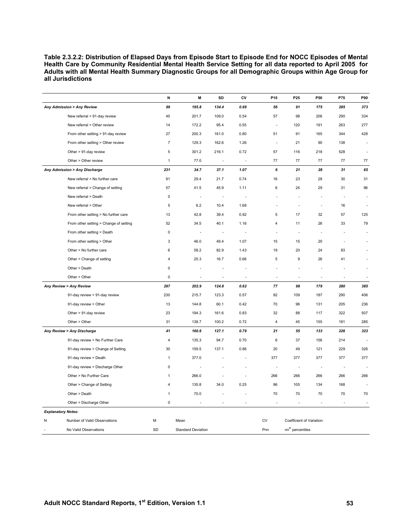**Table 2.3.2.2: Distribution of Elapsed Days from Episode Start to Episode End for NOCC Episodes of Mental Health Care by Community Residential Mental Health Service Setting for all data reported to April 2005 for Adults with all Mental Health Summary Diagnostic Groups for all Demographic Groups within Age Group for all Jurisdictions** 

|   |                                        | N                        | M                         | SD                       | CV                       | P10            | P25                          | P <sub>50</sub>          | P75                      | P90                      |
|---|----------------------------------------|--------------------------|---------------------------|--------------------------|--------------------------|----------------|------------------------------|--------------------------|--------------------------|--------------------------|
|   | Any Admission > Any Review             | 99                       | 195.8                     | 134.4                    | 0.69                     | 56             | 91                           | 175                      | 285                      | 373                      |
|   | New referral > 91-day review           | 45                       | 201.7                     | 109.0                    | 0.54                     | 57             | 98                           | 206                      | 290                      | 334                      |
|   | New referral > Other review            | 14                       | 172.2                     | 95.4                     | 0.55                     | J.             | 120                          | 191                      | 263                      | 277                      |
|   | From other setting > 91-day review     | 27                       | 200.3                     | 161.0                    | 0.80                     | 51             | 91                           | 165                      | 344                      | 428                      |
|   | From other setting > Other review      | $\overline{\mathcal{I}}$ | 129.3                     | 162.6                    | 1.26                     | ٠.             | 21                           | 90                       | 138                      | $\overline{\phantom{a}}$ |
|   | Other > 91-day review                  | 5                        | 301.2                     | 216.1                    | 0.72                     | 57             | 116                          | 218                      | 528                      | ÷,                       |
|   | Other > Other review                   | $\mathbf{1}$             | 77.0                      | $\sim$                   | $\overline{\phantom{a}}$ | 77             | 77                           | 77                       | 77                       | 77                       |
|   | Any Admission > Any Discharge          | 231                      | 34.7                      | 37.1                     | 1.07                     | 6              | 21                           | 28                       | 31                       | 65                       |
|   | New referral > No further care         | 91                       | 29.4                      | 21.7                     | 0.74                     | 16             | 23                           | 28                       | 30                       | 31                       |
|   | New referral > Change of setting       | 57                       | 41.5                      | 45.9                     | 1.11                     | 6              | 24                           | 29                       | 31                       | 96                       |
|   | New referral > Death                   | $\pmb{0}$                | ä,                        | $\overline{\phantom{a}}$ |                          | Î,             |                              |                          | ä,                       |                          |
|   | New referral > Other                   | 5                        | 6.2                       | 10.4                     | 1.68                     |                | ÷.                           | ÷.                       | 16                       |                          |
|   | From other setting > No further care   | 13                       | 42.8                      | 39.4                     | 0.92                     | 5              | 17                           | 32                       | 57                       | 125                      |
|   | From other setting > Change of setting | 52                       | 34.5                      | 40.1                     | 1.16                     | $\overline{4}$ | 11                           | 26                       | 33                       | 79                       |
|   | From other setting > Death             | 0                        |                           | $\overline{a}$           |                          | ÷,             | $\overline{\phantom{a}}$     |                          |                          |                          |
|   | From other setting > Other             | 3                        | 46.0                      | 49.4                     | 1.07                     | 15             | 15                           | 20                       |                          |                          |
|   | Other > No further care                | 6                        | 58.2                      | 82.9                     | 1.43                     | 19             | 20                           | 24                       | 83                       |                          |
|   | Other > Change of setting              | 4                        | 25.3                      | 16.7                     | 0.66                     | 5              | 9                            | 26                       | 41                       |                          |
|   | Other > Death                          | 0                        |                           |                          |                          |                |                              |                          |                          | ÷.                       |
|   | Other > Other                          | $\pmb{0}$                | $\overline{\phantom{a}}$  | $\overline{\phantom{a}}$ | $\overline{\phantom{a}}$ | ٠.             | $\sim$                       | $\sim$                   | ä,                       | $\overline{\phantom{a}}$ |
|   | Any Review > Any Review                | 297                      | 202.9                     | 124.8                    | 0.62                     | $77\,$         | 98                           | 179                      | 280                      | 385                      |
|   | 91-day review > 91-day review          | 230                      | 215.7                     | 123.3                    | 0.57                     | 82             | 109                          | 187                      | 290                      | 406                      |
|   | 91-day review > Other                  | 13                       | 144.8                     | 60.1                     | 0.42                     | 70             | 96                           | 131                      | 205                      | 236                      |
|   | Other > 91-day review                  | 23                       | 194.3                     | 161.6                    | 0.83                     | 32             | 88                           | 117                      | 322                      | 507                      |
|   | Other > Other                          | 31                       | 138.7                     | 100.2                    | 0.72                     | $\overline{4}$ | 45                           | 155                      | 191                      | 285                      |
|   | Any Review > Any Discharge             | 41                       | 160.6                     | 127.1                    | 0.79                     | 21             | 55                           | 133                      | 226                      | 323                      |
|   | 91-day review > No Further Care        | 4                        | 135.3                     | 94.7                     | 0.70                     | 6              | 37                           | 156                      | 214                      |                          |
|   | 91-day review > Change of Setting      | 30                       | 159.5                     | 137.1                    | 0.86                     | 20             | 49                           | 121                      | 229                      | 326                      |
|   | 91-day review > Death                  | 1                        | 377.0                     |                          |                          | 377            | 377                          | 377                      | 377                      | 377                      |
|   | 91-day review > Discharge Other        | 0                        |                           |                          |                          | ٠              | ÷,                           |                          | $\overline{\phantom{a}}$ |                          |
|   | Other > No Further Care                | 1                        | 266.0                     |                          |                          | 266            | 266                          | 266                      | 266                      | 266                      |
|   | Other > Change of Setting              | $\overline{4}$           | 135.8                     | 34.0                     | 0.25                     | 96             | 105                          | 134                      | 168                      |                          |
|   | Other > Death                          | 1                        | 70.0                      |                          |                          | 70             | 70                           | 70                       | 70                       | 70                       |
|   | Other > Discharge Other                | 0                        |                           |                          |                          |                |                              |                          |                          |                          |
|   | <b>Explanatory Notes:</b>              |                          |                           |                          |                          |                |                              |                          |                          |                          |
| Ν | Number of Valid Observations           | M                        | Mean                      |                          |                          | CV             |                              | Coefficient of Variation |                          |                          |
|   | No Valid Observations                  | SD                       | <b>Standard Deviation</b> |                          |                          | Pnn            | nn <sup>th</sup> percentiles |                          |                          |                          |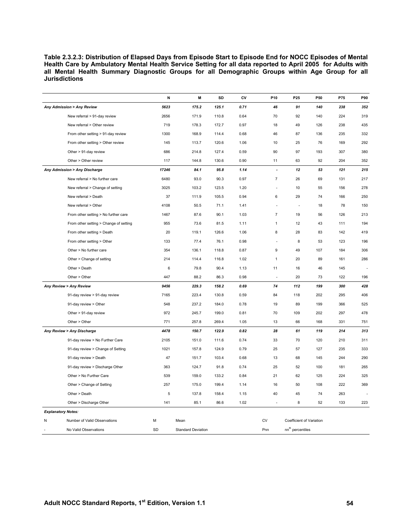**Table 2.3.2.3: Distribution of Elapsed Days from Episode Start to Episode End for NOCC Episodes of Mental Health Care by Ambulatory Mental Health Service Setting for all data reported to April 2005 for Adults with all Mental Health Summary Diagnostic Groups for all Demographic Groups within Age Group for all Jurisdictions** 

|   |                                        | N     | M                         | SD    | CV   | P10                      | P <sub>25</sub>              | P50                      | P75 | P90 |
|---|----------------------------------------|-------|---------------------------|-------|------|--------------------------|------------------------------|--------------------------|-----|-----|
|   | <b>Any Admission &gt; Any Review</b>   | 5623  | 175.2                     | 125.1 | 0.71 | 46                       | 91                           | 140                      | 238 | 352 |
|   | New referral > 91-day review           | 2656  | 171.9                     | 110.8 | 0.64 | 70                       | 92                           | 140                      | 224 | 319 |
|   | New referral > Other review            | 719   | 178.3                     | 172.7 | 0.97 | 18                       | 49                           | 126                      | 238 | 435 |
|   | From other setting > 91-day review     | 1300  | 168.9                     | 114.4 | 0.68 | 46                       | 87                           | 136                      | 235 | 332 |
|   | From other setting > Other review      | 145   | 113.7                     | 120.6 | 1.06 | 10                       | 25                           | 76                       | 169 | 292 |
|   | Other > 91-day review                  | 686   | 214.8                     | 127.4 | 0.59 | 90                       | 97                           | 193                      | 307 | 380 |
|   | Other > Other review                   | 117   | 144.8                     | 130.6 | 0.90 | 11                       | 63                           | 92                       | 204 | 352 |
|   | Any Admission > Any Discharge          | 17246 | 84.1                      | 95.8  | 1.14 | ÷,                       | $\bf 12$                     | 53                       | 121 | 215 |
|   | New referral > No further care         | 6480  | 93.0                      | 90.3  | 0.97 | $\overline{7}$           | 26                           | 69                       | 131 | 217 |
|   | New referral > Change of setting       | 3025  | 103.2                     | 123.5 | 1.20 | Î,                       | 10                           | 55                       | 156 | 278 |
|   | New referral > Death                   | 37    | 111.9                     | 105.5 | 0.94 | 6                        | 29                           | 74                       | 166 | 250 |
|   | New referral > Other                   | 4108  | 50.5                      | 71.1  | 1.41 | Í.                       | $\overline{\phantom{a}}$     | 18                       | 78  | 150 |
|   | From other setting > No further care   | 1467  | 87.6                      | 90.1  | 1.03 | $\overline{7}$           | 19                           | 56                       | 126 | 213 |
|   | From other setting > Change of setting | 955   | 73.6                      | 81.5  | 1.11 | $\mathbf{1}$             | 12                           | 43                       | 111 | 194 |
|   | From other setting > Death             | 20    | 119.1                     | 126.6 | 1.06 | 8                        | 28                           | 83                       | 142 | 419 |
|   | From other setting > Other             | 133   | 77.4                      | 76.1  | 0.98 |                          | 8                            | 53                       | 123 | 196 |
|   | Other > No further care                | 354   | 136.1                     | 118.8 | 0.87 | 9                        | 49                           | 107                      | 184 | 306 |
|   | Other > Change of setting              | 214   | 114.4                     | 116.8 | 1.02 | $\mathbf{1}$             | 20                           | 89                       | 161 | 286 |
|   | Other > Death                          | 6     | 79.8                      | 90.4  | 1.13 | 11                       | 16                           | 46                       | 145 |     |
|   | Other > Other                          | 447   | 88.2                      | 86.3  | 0.98 | $\overline{\phantom{a}}$ | 20                           | 73                       | 122 | 196 |
|   | Any Review > Any Review                | 9456  | 229.3                     | 158.2 | 0.69 | 74                       | 112                          | 199                      | 300 | 428 |
|   | 91-day review > 91-day review          | 7165  | 223.4                     | 130.8 | 0.59 | 84                       | 118                          | 202                      | 295 | 406 |
|   | 91-day review > Other                  | 548   | 237.2                     | 184.0 | 0.78 | 19                       | 89                           | 199                      | 366 | 525 |
|   | Other > 91-day review                  | 972   | 245.7                     | 199.0 | 0.81 | 70                       | 109                          | 202                      | 297 | 478 |
|   | Other > Other                          | 771   | 257.8                     | 269.4 | 1.05 | 13                       | 66                           | 168                      | 331 | 751 |
|   | Any Review > Any Discharge             | 4478  | 150.7                     | 122.9 | 0.82 | 28                       | 61                           | 119                      | 214 | 313 |
|   | 91-day review > No Further Care        | 2105  | 151.0                     | 111.6 | 0.74 | 33                       | 70                           | 120                      | 210 | 311 |
|   | 91-day review > Change of Setting      | 1021  | 157.8                     | 124.9 | 0.79 | 25                       | 57                           | 127                      | 235 | 333 |
|   | 91-day review > Death                  | 47    | 151.7                     | 103.4 | 0.68 | 13                       | 68                           | 145                      | 244 | 290 |
|   | 91-day review > Discharge Other        | 363   | 124.7                     | 91.8  | 0.74 | 25                       | 52                           | 100                      | 181 | 265 |
|   | Other > No Further Care                | 539   | 159.0                     | 133.2 | 0.84 | 21                       | 62                           | 125                      | 224 | 325 |
|   | Other > Change of Setting              | 257   | 175.0                     | 199.4 | 1.14 | 16                       | 50                           | 108                      | 222 | 369 |
|   | Other > Death                          | 5     | 137.8                     | 158.4 | 1.15 | 40                       | 45                           | 74                       | 263 |     |
|   | Other > Discharge Other                | 141   | 85.1                      | 86.6  | 1.02 |                          | 8                            | 52                       | 133 | 223 |
|   | <b>Explanatory Notes:</b>              |       |                           |       |      |                          |                              |                          |     |     |
| N | Number of Valid Observations           | M     | Mean                      |       |      | <b>CV</b>                |                              | Coefficient of Variation |     |     |
|   | No Valid Observations                  | SD    | <b>Standard Deviation</b> |       |      | Pnn                      | nn <sup>th</sup> percentiles |                          |     |     |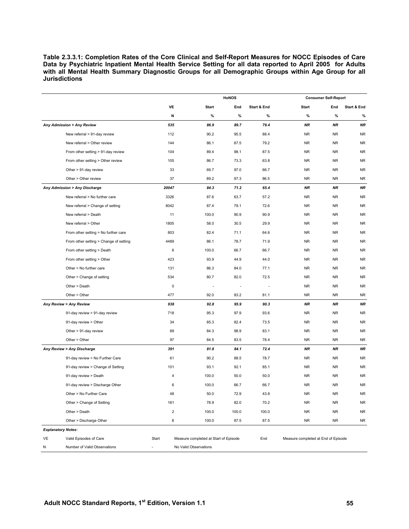**Table 2.3.3.1: Completion Rates of the Core Clinical and Self-Report Measures for NOCC Episodes of Care Data by Psychiatric Inpatient Mental Health Service Setting for all data reported to April 2005 for Adults with all Mental Health Summary Diagnostic Groups for all Demographic Groups within Age Group for all Jurisdictions** 

|    |                                        |                |                                       | HoNOS |             |                                     | <b>Consumer Self-Report</b> |                        |
|----|----------------------------------------|----------------|---------------------------------------|-------|-------------|-------------------------------------|-----------------------------|------------------------|
|    |                                        | VE             | <b>Start</b>                          | End   | Start & End | <b>Start</b>                        | End                         | <b>Start &amp; End</b> |
|    |                                        | N              | %                                     | $\%$  | %           | $\%$                                | $\%$                        | $\%$                   |
|    | Any Admission > Any Review             | 535            | 86.9                                  | 89.7  | 79.4        | <b>NR</b>                           | <b>NR</b>                   | <b>NR</b>              |
|    | New referral > 91-day review           | 112            | 90.2                                  | 95.5  | 88.4        | <b>NR</b>                           | <b>NR</b>                   | <b>NR</b>              |
|    | New referral > Other review            | 144            | 86.1                                  | 87.5  | 79.2        | <b>NR</b>                           | <b>NR</b>                   | <b>NR</b>              |
|    | From other setting > 91-day review     | 104            | 89.4                                  | 98.1  | 87.5        | <b>NR</b>                           | <b>NR</b>                   | <b>NR</b>              |
|    | From other setting > Other review      | 105            | 86.7                                  | 73.3  | 63.8        | <b>NR</b>                           | <b>NR</b>                   | <b>NR</b>              |
|    | Other > 91-day review                  | 33             | 69.7                                  | 97.0  | 66.7        | <b>NR</b>                           | <b>NR</b>                   | <b>NR</b>              |
|    | Other > Other review                   | 37             | 89.2                                  | 97.3  | 86.5        | <b>NR</b>                           | <b>NR</b>                   | <b>NR</b>              |
|    | Any Admission > Any Discharge          | 20047          | 84.3                                  | 71.2  | 65.4        | <b>NR</b>                           | <b>NR</b>                   | <b>NR</b>              |
|    | New referral > No further care         | 3326           | 87.6                                  | 63.7  | 57.2        | <b>NR</b>                           | <b>NR</b>                   | <b>NR</b>              |
|    | New referral > Change of setting       | 8042           | 87.4                                  | 79.1  | 72.6        | <b>NR</b>                           | <b>NR</b>                   | <b>NR</b>              |
|    | New referral > Death                   | 11             | 100.0                                 | 90.9  | 90.9        | <b>NR</b>                           | <b>NR</b>                   | <b>NR</b>              |
|    | New referral > Other                   | 1805           | 58.0                                  | 30.5  | 29.9        | <b>NR</b>                           | <b>NR</b>                   | <b>NR</b>              |
|    | From other setting > No further care   | 803            | 82.4                                  | 71.1  | 64.6        | <b>NR</b>                           | <b>NR</b>                   | <b>NR</b>              |
|    | From other setting > Change of setting | 4489           | 86.1                                  | 78.7  | 71.9        | <b>NR</b>                           | <b>NR</b>                   | <b>NR</b>              |
|    | From other setting > Death             | 6              | 100.0                                 | 66.7  | 66.7        | <b>NR</b>                           | <b>NR</b>                   | <b>NR</b>              |
|    | From other setting > Other             | 423            | 93.9                                  | 44.9  | 44.0        | <b>NR</b>                           | <b>NR</b>                   | <b>NR</b>              |
|    | Other > No further care                | 131            | 86.3                                  | 84.0  | 77.1        | <b>NR</b>                           | <b>NR</b>                   | <b>NR</b>              |
|    | Other > Change of setting              | 534            | 80.7                                  | 82.0  | 72.5        | <b>NR</b>                           | <b>NR</b>                   | <b>NR</b>              |
|    | Other > Death                          | $\mathsf 0$    |                                       |       |             | <b>NR</b>                           | <b>NR</b>                   | <b>NR</b>              |
|    | Other > Other                          | 477            | 92.0                                  | 83.2  | 81.1        | <b>NR</b>                           | <b>NR</b>                   | <b>NR</b>              |
|    | Any Review > Any Review                | 938            | 92.8                                  | 95.9  | 90.3        | <b>NR</b>                           | <b>NR</b>                   | <b>NR</b>              |
|    | 91-day review > 91-day review          | 718            | 95.3                                  | 97.9  | 93.6        | <b>NR</b>                           | <b>NR</b>                   | <b>NR</b>              |
|    | 91-day review > Other                  | 34             | 85.3                                  | 82.4  | 73.5        | <b>NR</b>                           | <b>NR</b>                   | <b>NR</b>              |
|    | Other > 91-day review                  | 89             | 84.3                                  | 98.9  | 83.1        | <b>NR</b>                           | <b>NR</b>                   | <b>NR</b>              |
|    | Other > Other                          | 97             | 84.5                                  | 83.5  | 78.4        | <b>NR</b>                           | <b>NR</b>                   | <b>NR</b>              |
|    | Any Review > Any Discharge             | 391            | 81.8                                  | 84.1  | 72.4        | <b>NR</b>                           | NR                          | <b>NR</b>              |
|    | 91-day review > No Further Care        | 61             | 90.2                                  | 88.5  | 78.7        | <b>NR</b>                           | <b>NR</b>                   | <b>NR</b>              |
|    | 91-day review > Change of Setting      | 101            | 93.1                                  | 92.1  | 85.1        | <b>NR</b>                           | <b>NR</b>                   | <b>NR</b>              |
|    | 91-day review > Death                  | 4              | 100.0                                 | 50.0  | 50.0        | <b>NR</b>                           | <b>NR</b>                   | <b>NR</b>              |
|    | 91-day review > Discharge Other        | 6              | 100.0                                 | 66.7  | 66.7        | <b>NR</b>                           | <b>NR</b>                   | <b>NR</b>              |
|    | Other > No Further Care                | 48             | 50.0                                  | 72.9  | 43.8        | NR                                  | <b>NR</b>                   | <b>NR</b>              |
|    | Other > Change of Setting              | 161            | 78.9                                  | 82.0  | 70.2        | <b>NR</b>                           | <b>NR</b>                   | <b>NR</b>              |
|    | Other > Death                          | $\overline{2}$ | 100.0                                 | 100.0 | 100.0       | <b>NR</b>                           | <b>NR</b>                   | <b>NR</b>              |
|    | Other > Discharge Other                | 8              | 100.0                                 | 87.5  | 87.5        | <b>NR</b>                           | <b>NR</b>                   | <b>NR</b>              |
|    | <b>Explanatory Notes:</b>              |                |                                       |       |             |                                     |                             |                        |
| VE | Valid Episodes of Care                 | Start          | Measure completed at Start of Episode |       | End         | Measure completed at End of Episode |                             |                        |
| N  | Number of Valid Observations           |                | No Valid Observations                 |       |             |                                     |                             |                        |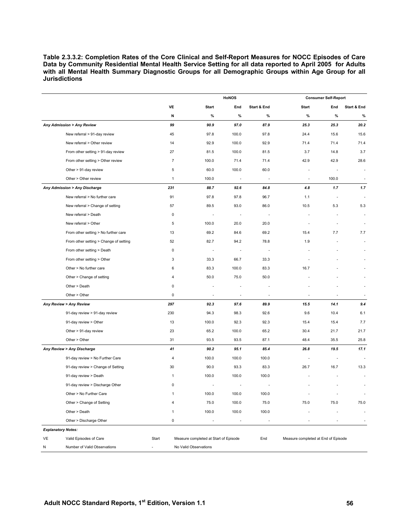**Table 2.3.3.2: Completion Rates of the Core Clinical and Self-Report Measures for NOCC Episodes of Care Data by Community Residential Mental Health Service Setting for all data reported to April 2005 for Adults**  with all Mental Health Summary Diagnostic Groups for all Demographic Groups within Age Group for all **Jurisdictions** 

|                                        |                |                                       | <b>HoNOS</b>             |                        | <b>Consumer Self-Report</b>         |       |                          |  |  |  |
|----------------------------------------|----------------|---------------------------------------|--------------------------|------------------------|-------------------------------------|-------|--------------------------|--|--|--|
|                                        | VE             | <b>Start</b>                          | End                      | <b>Start &amp; End</b> | Start                               | End   | Start & End              |  |  |  |
|                                        | N              | $\%$                                  | $\%$                     | $\%$                   | $\%$                                | $\%$  | %                        |  |  |  |
| <b>Any Admission &gt; Any Review</b>   | 99             | 90.9                                  | 97.0                     | 87.9                   | 25.3                                | 25.3  | 20.2                     |  |  |  |
| New referral > 91-day review           | 45             | 97.8                                  | 100.0                    | 97.8                   | 24.4                                | 15.6  | 15.6                     |  |  |  |
| New referral > Other review            | 14             | 92.9                                  | 100.0                    | 92.9                   | 71.4                                | 71.4  | 71.4                     |  |  |  |
| From other setting > 91-day review     | 27             | 81.5                                  | 100.0                    | 81.5                   | 3.7                                 | 14.8  | 3.7                      |  |  |  |
| From other setting > Other review      | $\overline{7}$ | 100.0                                 | 71.4                     | 71.4                   | 42.9                                | 42.9  | 28.6                     |  |  |  |
| Other > 91-day review                  | 5              | 60.0                                  | 100.0                    | 60.0                   | ä,                                  |       | ÷,                       |  |  |  |
| Other > Other review                   | $\mathbf{1}$   | 100.0                                 |                          |                        | $\sim$                              | 100.0 | ÷,                       |  |  |  |
| Any Admission > Any Discharge          | 231            | 88.7                                  | 92.6                     | 84.8                   | 4.8                                 | 1.7   | 1.7                      |  |  |  |
| New referral > No further care         | 91             | 97.8                                  | 97.8                     | 96.7                   | 1.1                                 |       |                          |  |  |  |
| New referral > Change of setting       | 57             | 89.5                                  | 93.0                     | 86.0                   | 10.5                                | 5.3   | 5.3                      |  |  |  |
| New referral > Death                   | 0              | $\overline{\phantom{a}}$              | $\overline{\phantom{a}}$ |                        |                                     |       |                          |  |  |  |
| New referral > Other                   | 5              | 100.0                                 | 20.0                     | 20.0                   |                                     |       |                          |  |  |  |
| From other setting > No further care   | 13             | 69.2                                  | 84.6                     | 69.2                   | 15.4                                | 7.7   | 7.7                      |  |  |  |
| From other setting > Change of setting | 52             | 82.7                                  | 94.2                     | 78.8                   | 1.9                                 |       | $\overline{\phantom{a}}$ |  |  |  |
| From other setting > Death             | 0              | $\overline{\phantom{a}}$              | $\overline{\phantom{a}}$ |                        |                                     |       |                          |  |  |  |
| From other setting > Other             | 3              | 33.3                                  | 66.7                     | 33.3                   |                                     |       |                          |  |  |  |
| Other > No further care                | 6              | 83.3                                  | 100.0                    | 83.3                   | 16.7                                |       |                          |  |  |  |
| Other > Change of setting              | 4              | 50.0                                  | 75.0                     | 50.0                   |                                     |       |                          |  |  |  |
| Other > Death                          | 0              |                                       |                          |                        |                                     |       |                          |  |  |  |
| Other > Other                          | 0              |                                       |                          |                        |                                     |       |                          |  |  |  |
| Any Review > Any Review                | 297            | 92.3                                  | 97.6                     | 89.9                   | 15.5                                | 14.1  | 9.4                      |  |  |  |
| 91-day review > 91-day review          | 230            | 94.3                                  | 98.3                     | 92.6                   | 9.6                                 | 10.4  | 6.1                      |  |  |  |
| 91-day review > Other                  | 13             | 100.0                                 | 92.3                     | 92.3                   | 15.4                                | 15.4  | 7.7                      |  |  |  |
| Other > 91-day review                  | 23             | 65.2                                  | 100.0                    | 65.2                   | 30.4                                | 21.7  | 21.7                     |  |  |  |
| Other > Other                          | 31             | 93.5                                  | 93.5                     | 87.1                   | 48.4                                | 35.5  | 25.8                     |  |  |  |
| Any Review > Any Discharge             | 41             | 90.2                                  | 95.1                     | 85.4                   | 26.8                                | 19.5  | 17.1                     |  |  |  |
| 91-day review > No Further Care        | 4              | 100.0                                 | 100.0                    | 100.0                  |                                     |       |                          |  |  |  |
| 91-day review > Change of Setting      | 30             | 90.0                                  | 93.3                     | 83.3                   | 26.7                                | 16.7  | 13.3                     |  |  |  |
| 91-day review > Death                  | 1              | 100.0                                 | 100.0                    | 100.0                  |                                     |       |                          |  |  |  |
| 91-day review > Discharge Other        | 0              |                                       |                          |                        |                                     |       |                          |  |  |  |
| Other > No Further Care                | 1              | 100.0                                 | 100.0                    | 100.0                  |                                     |       | $\overline{\phantom{a}}$ |  |  |  |
| Other > Change of Setting              | 4              | 75.0                                  | 100.0                    | 75.0                   | 75.0                                | 75.0  | 75.0                     |  |  |  |
| Other > Death                          | $\mathbf{1}$   | 100.0                                 | 100.0                    | 100.0                  | ÷,                                  | ä,    | $\overline{\phantom{a}}$ |  |  |  |
| Other > Discharge Other                | $\mathsf 0$    | $\overline{\phantom{a}}$              | $\overline{\phantom{a}}$ | ÷,                     | ä,                                  | ä,    | $\overline{\phantom{a}}$ |  |  |  |
| <b>Explanatory Notes:</b>              |                |                                       |                          |                        |                                     |       |                          |  |  |  |
| VE<br>Valid Episodes of Care           | Start          | Measure completed at Start of Episode |                          | End                    | Measure completed at End of Episode |       |                          |  |  |  |
| N<br>Number of Valid Observations      |                | No Valid Observations                 |                          |                        |                                     |       |                          |  |  |  |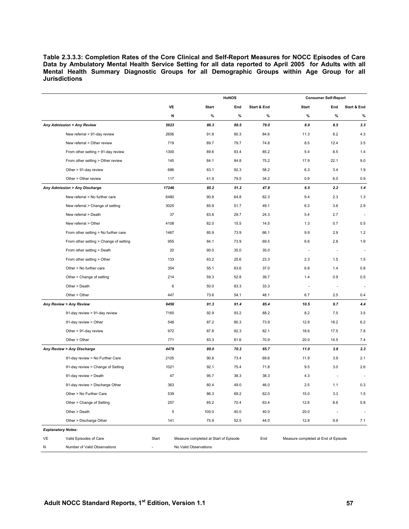**Table 2.3.3.3: Completion Rates of the Core Clinical and Self-Report Measures for NOCC Episodes of Care Data by Ambulatory Mental Health Service Setting for all data reported to April 2005 for Adults with all Mental Health Summary Diagnostic Groups for all Demographic Groups within Age Group for all Jurisdictions** 

|    |                                        |       |                                       | HoNOS |             |                                     | <b>Consumer Self-Report</b> |                          |
|----|----------------------------------------|-------|---------------------------------------|-------|-------------|-------------------------------------|-----------------------------|--------------------------|
|    |                                        | VE    | <b>Start</b>                          | End   | Start & End | <b>Start</b>                        | End                         | <b>Start &amp; End</b>   |
|    |                                        | N     | $\%$                                  | $\%$  | %           | %                                   | $\%$                        | $\%$                     |
|    | Any Admission > Any Review             | 5623  | 86.3                                  | 89.5  | 79.0        | 8.9                                 | 8.5                         | 3.3                      |
|    | New referral > 91-day review           | 2656  | 91.8                                  | 90.3  | 84.6        | 11.3                                | 8.2                         | 4.3                      |
|    | New referral > Other review            | 719   | 89.7                                  | 79.7  | 74.8        | 8.5                                 | 12.4                        | 3.5                      |
|    | From other setting > 91-day review     | 1300  | 89.6                                  | 93.4  | 85.2        | 5.4                                 | 8.5                         | 1.4                      |
|    | From other setting > Other review      | 145   | 84.1                                  | 84.8  | 75.2        | 17.9                                | 22.1                        | 9.0                      |
|    | Other > 91-day review                  | 686   | 63.1                                  | 92.3  | 58.2        | 6.3                                 | 3.4                         | 1.9                      |
|    | Other > Other review                   | 117   | 41.9                                  | 79.5  | 34.2        | 0.9                                 | 6.0                         | 0.9                      |
|    | Any Admission > Any Discharge          | 17246 | 85.2                                  | 51.2  | 47.8        | 6.5                                 | 2.2                         | 1.4                      |
|    | New referral > No further care         | 6480  | 90.8                                  | 64.8  | 62.3        | 9.4                                 | 2.3                         | 1.3                      |
|    | New referral > Change of setting       | 3025  | 85.8                                  | 51.7  | 49.1        | 6.3                                 | 3.6                         | 2.9                      |
|    | New referral > Death                   | 37    | 83.8                                  | 29.7  | 24.3        | 5.4                                 | 2.7                         |                          |
|    | New referral > Other                   | 4108  | 82.0                                  | 15.5  | 14.5        | 1.3                                 | 0.7                         | 0.5                      |
|    | From other setting > No further care   | 1467  | 85.9                                  | 73.9  | 66.1        | 9.9                                 | 2.9                         | 1.2                      |
|    | From other setting > Change of setting | 955   | 84.1                                  | 73.9  | 69.5        | 6.6                                 | 2.8                         | 1.9                      |
|    | From other setting > Death             | 20    | 90.0                                  | 35.0  | 35.0        | $\overline{\phantom{a}}$            | $\overline{a}$              |                          |
|    | From other setting > Other             | 133   | 63.2                                  | 25.6  | 23.3        | 2.3                                 | 1.5                         | 1.5                      |
|    | Other > No further care                | 354   | 55.1                                  | 63.6  | 37.0        | 6.8                                 | 1.4                         | 0.8                      |
|    | Other > Change of setting              | 214   | 59.3                                  | 52.8  | 39.7        | 1.4                                 | 0.9                         | 0.5                      |
|    | Other > Death                          | 6     | 50.0                                  | 83.3  | 33.3        | $\overline{\phantom{a}}$            |                             |                          |
|    | Other > Other                          | 447   | 73.6                                  | 54.1  | 48.1        | 6.7                                 | 2.5                         | 0.4                      |
|    | Any Review > Any Review                | 9456  | 91.3                                  | 91.4  | 85.4        | 10.5                                | 9.7                         | 4.4                      |
|    | 91-day review > 91-day review          | 7165  | 92.9                                  | 93.2  | 88.2        | 8.2                                 | 7.5                         | 3.5                      |
|    | 91-day review > Other                  | 548   | 87.2                                  | 80.3  | 73.9        | 12.8                                | 18.2                        | 6.2                      |
|    | Other > 91-day review                  | 972   | 87.8                                  | 92.3  | 82.1        | 18.6                                | 17.5                        | 7.8                      |
|    | Other > Other                          | 771   | 83.3                                  | 81.6  | 70.9        | 20.0                                | 14.5                        | 7.4                      |
|    | Any Review > Any Discharge             | 4478  | 89.0                                  | 70.2  | 65.7        | 11.0                                | 3.8                         | 2.3                      |
|    | 91-day review > No Further Care        | 2105  | 90.8                                  | 73.4  | 69.6        | 11.9                                | 3.9                         | 2.1                      |
|    | 91-day review > Change of Setting      | 1021  | 92.1                                  | 75.4  | 71.8        | 9.5                                 | 3.0                         | 2.6                      |
|    | 91-day review > Death                  | 47    | 95.7                                  | 38.3  | 38.3        | 4.3                                 |                             |                          |
|    | 91-day review > Discharge Other        | 363   | 80.4                                  | 49.0  | 46.0        | 2.5                                 | 1.1                         | 0.3                      |
|    | Other > No Further Care                | 539   | 86.3                                  | 69.2  | 62.0        | 15.0                                | 3.3                         | 1.5                      |
|    | Other > Change of Setting              | 257   | 85.2                                  | 70.4  | 63.4        | 12.8                                | 8.6                         | 5.8                      |
|    | Other > Death                          | 5     | 100.0                                 | 40.0  | 40.0        | 20.0                                | $\overline{a}$              | $\overline{\phantom{a}}$ |
|    | Other > Discharge Other                | 141   | 75.9                                  | 52.5  | 44.0        | 12.8                                | 9.9                         | 7.1                      |
|    | <b>Explanatory Notes:</b>              |       |                                       |       |             |                                     |                             |                          |
| VE | Valid Episodes of Care                 | Start | Measure completed at Start of Episode |       | End         | Measure completed at End of Episode |                             |                          |
| N  | Number of Valid Observations           |       | No Valid Observations                 |       |             |                                     |                             |                          |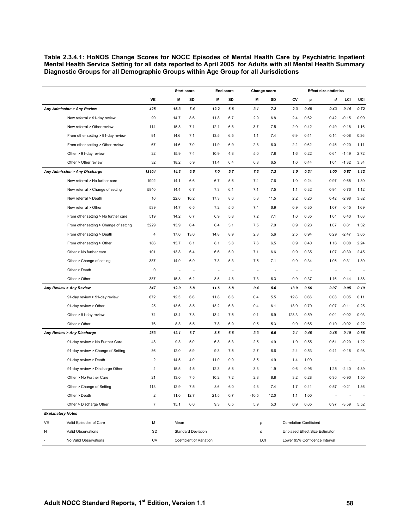**Table 2.3.4.1: HoNOS Change Scores for NOCC Episodes of Mental Health Care by Psychiatric Inpatient Mental Health Service Setting for all data reported to April 2005 for Adults with all Mental Health Summary Diagnostic Groups for all Demographic Groups within Age Group for all Jurisdictions** 

|                          |                                        |                         |      | <b>Start score</b>        |                          | End score |         | Change score |                                | <b>Effect size statistics</b> |                                |         |      |  |
|--------------------------|----------------------------------------|-------------------------|------|---------------------------|--------------------------|-----------|---------|--------------|--------------------------------|-------------------------------|--------------------------------|---------|------|--|
|                          |                                        | VE                      | M    | SD                        | M                        | SD        | M       | SD           | CV                             | ρ                             | d                              | LCI     | UCI  |  |
|                          | Any Admission > Any Review             | 425                     | 15.3 | 7.4                       | 12.2                     | 6.6       | 3.1     | 7.2          | 2.3                            | 0.48                          | 0.43                           | 0.14    | 0.72 |  |
|                          | New referral > 91-day review           | 99                      | 14.7 | 8.6                       | 11.8                     | 6.7       | 2.9     | 6.8          | 2.4                            | 0.62                          | 0.42                           | $-0.15$ | 0.99 |  |
|                          | New referral > Other review            | 114                     | 15.8 | 7.1                       | 12.1                     | 6.8       | 3.7     | 7.5          | 2.0                            | 0.42                          | 0.49                           | $-0.18$ | 1.16 |  |
|                          | From other setting > 91-day review     | 91                      | 14.6 | 7.1                       | 13.5                     | 6.5       | 1.1     | 7.4          | 6.9                            | 0.41                          | 0.14                           | $-0.08$ | 0.36 |  |
|                          | From other setting > Other review      | 67                      | 14.6 | 7.0                       | 11.9                     | 6.9       | 2.8     | 6.0          | 2.2                            | 0.62                          | 0.45                           | $-0.20$ | 1.11 |  |
|                          | Other > 91-day review                  | 22                      | 15.9 | 7.4                       | 10.9                     | 4.8       | 5.0     | 7.8          | 1.6                            | 0.22                          | 0.61                           | $-1.49$ | 2.72 |  |
|                          | Other > Other review                   | 32                      | 18.2 | 5.9                       | 11.4                     | 6.4       | 6.8     | 6.5          | 1.0                            | 0.44                          | 1.01                           | $-1.32$ | 3.34 |  |
|                          | Any Admission > Any Discharge          | 13104                   | 14.3 | 6.6                       | 7.0                      | 5.7       | 7.3     | 7.3          | 1.0                            | 0.31                          | 1.00                           | 0.87    | 1.12 |  |
|                          | New referral > No further care         | 1902                    | 14.1 | 6.6                       | 6.7                      | 5.6       | 7.4     | 7.6          | 1.0                            | 0.24                          | 0.97                           | 0.65    | 1.30 |  |
|                          | New referral > Change of setting       | 5840                    | 14.4 | 6.7                       | 7.3                      | 6.1       | 7.1     | 7.5          | 1.1                            | 0.32                          | 0.94                           | 0.76    | 1.12 |  |
|                          | New referral > Death                   | 10                      | 22.6 | 10.2                      | 17.3                     | 8.6       | 5.3     | 11.5         | 2.2                            | 0.26                          | 0.42                           | $-2.98$ | 3.82 |  |
|                          | New referral > Other                   | 539                     | 14.7 | 6.5                       | 7.2                      | 5.0       | 7.4     | 6.9          | 0.9                            | 0.30                          | 1.07                           | 0.45    | 1.69 |  |
|                          | From other setting > No further care   | 519                     | 14.2 | 6.7                       | 6.9                      | 5.8       | 7.2     | 7.1          | 1.0                            | 0.35                          | 1.01                           | 0.40    | 1.63 |  |
|                          | From other setting > Change of setting | 3229                    | 13.9 | 6.4                       | 6.4                      | 5.1       | 7.5     | 7.0          | 0.9                            | 0.28                          | 1.07                           | 0.81    | 1.32 |  |
|                          | From other setting > Death             | 4                       | 17.0 | 13.0                      | 14.8                     | 8.9       | 2.3     | 5.6          | 2.5                            | 0.94                          | 0.29                           | $-2.47$ | 3.05 |  |
|                          | From other setting > Other             | 186                     | 15.7 | 6.1                       | 8.1                      | 5.8       | 7.6     | 6.5          | 0.9                            | 0.40                          | 1.16                           | 0.08    | 2.24 |  |
|                          | Other > No further care                | 101                     | 13.8 | 6.4                       | 6.6                      | 5.0       | 7.1     | 6.6          | 0.9                            | 0.35                          | 1.07                           | $-0.30$ | 2.45 |  |
|                          | Other > Change of setting              | 387                     | 14.9 | 6.9                       | 7.3                      | 5.3       | 7.5     | 7.1          | 0.9                            | 0.34                          | 1.05                           | 0.31    | 1.80 |  |
|                          | Other > Death                          | $\mathbf 0$             |      | ٠                         | ٠                        | ٠         | Î.      | ÷            | ÷                              |                               |                                |         |      |  |
|                          | Other > Other                          | 387                     | 15.8 | 6.2                       | 8.5                      | 4.8       | 7.3     | 6.3          | 0.9                            | 0.37                          | 1.16                           | 0.44    | 1.88 |  |
|                          | Any Review > Any Review                | 847                     | 12.0 | $6.8\,$                   | 11.6                     | $6.8\,$   | 0.4     | 5.6          | 13.9                           | 0.66                          | 0.07                           | 0.05    | 0.10 |  |
|                          | 91-day review > 91-day review          | 672                     | 12.3 | 6.6                       | 11.8                     | 6.6       | 0.4     | 5.5          | 12.8                           | 0.66                          | 0.08                           | 0.05    | 0.11 |  |
|                          | 91-day review > Other                  | 25                      | 13.6 | 8.5                       | 13.2                     | 6.8       | 0.4     | 6.1          | 13.9                           | 0.70                          | 0.07                           | $-0.11$ | 0.25 |  |
|                          | Other > 91-day review                  | 74                      | 13.4 | 7.8                       | 13.4                     | 7.5       | 0.1     | 6.9          | 128.3                          | 0.59                          | 0.01                           | $-0.02$ | 0.03 |  |
|                          | Other > Other                          | 76                      | 8.3  | 5.5                       | 7.8                      | 6.9       | 0.5     | 5.3          | 9.9                            | 0.65                          | 0.10                           | $-0.02$ | 0.22 |  |
|                          | Any Review > Any Discharge             | 283                     | 12.1 | 6.7                       | 8.8                      | 6.6       | 3.3     | 6.9          | 2.1                            | 0.46                          | 0.48                           | 0.10    | 0.86 |  |
|                          | 91-day review > No Further Care        | 48                      | 9.3  | 5.0                       | 6.8                      | 5.3       | 2.5     | 4.9          | 1.9                            | 0.55                          | 0.51                           | $-0.20$ | 1.22 |  |
|                          | 91-day review > Change of Setting      | 86                      | 12.0 | 5.9                       | 9.3                      | 7.5       | 2.7     | 6.6          | 2.4                            | 0.53                          | 0.41                           | $-0.16$ | 0.98 |  |
|                          | 91-day review > Death                  | 2                       | 14.5 | 4.9                       | 11.0                     | 9.9       | 3.5     | 4.9          | 1.4                            | 1.00                          |                                |         |      |  |
|                          | 91-day review > Discharge Other        | 4                       | 15.5 | 4.5                       | 12.3                     | 5.8       | 3.3     | 1.9          | 0.6                            | 0.96                          | 1.25                           | $-2.40$ | 4.89 |  |
|                          | Other > No Further Care                | 21                      | 13.0 | 7.5                       | 10.2                     | 7.2       | 2.8     | 8.8          | 3.2                            | 0.28                          | 0.30                           | $-0.90$ | 1.50 |  |
|                          | Other > Change of Setting              | 113                     | 12.9 | 7.5                       | 8.6                      | 6.0       | 4.3     | 7.4          | 1.7                            | 0.41                          | 0.57                           | $-0.21$ | 1.36 |  |
|                          | Other > Death                          | $\overline{\mathbf{c}}$ | 11.0 | 12.7                      | 21.5                     | 0.7       | $-10.5$ | 12.0         | 1.1                            | 1.00                          |                                |         |      |  |
|                          | Other > Discharge Other                | $\overline{7}$          | 15.1 | 6.0                       | 9.3                      | 6.5       | 5.9     | 5.3          | 0.9                            | 0.65                          | 0.97                           | $-3.59$ | 5.52 |  |
| <b>Explanatory Notes</b> |                                        |                         |      |                           |                          |           |         |              |                                |                               |                                |         |      |  |
| VE                       | Valid Episodes of Care                 | М                       | Mean |                           |                          |           | ρ       |              | <b>Correlation Coefficient</b> |                               |                                |         |      |  |
| N                        | Valid Observations                     | SD                      |      | <b>Standard Deviation</b> |                          |           | d       |              |                                |                               | Unbiased Effect Size Estimator |         |      |  |
|                          | No Valid Observations                  | CV                      |      |                           | Coefficient of Variation |           | LCI     |              |                                |                               | Lower 95% Confidence Interval  |         |      |  |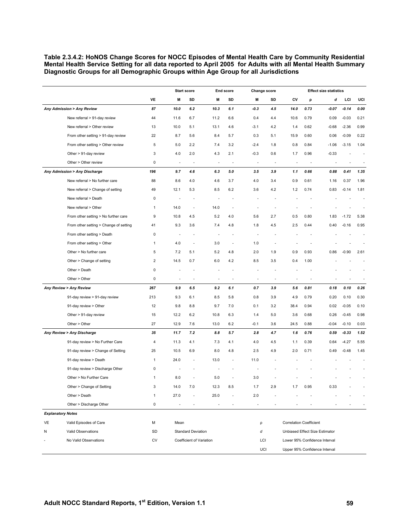**Table 2.3.4.2: HoNOS Change Scores for NOCC Episodes of Mental Health Care by Community Residential Mental Health Service Setting for all data reported to April 2005 for Adults with all Mental Health Summary Diagnostic Groups for all Demographic Groups within Age Group for all Jurisdictions** 

|    |                                        |                |                | <b>Start score</b>        |                          | End score |                          | <b>Change score</b>      |                                |      | <b>Effect size statistics</b>  |         |      |
|----|----------------------------------------|----------------|----------------|---------------------------|--------------------------|-----------|--------------------------|--------------------------|--------------------------------|------|--------------------------------|---------|------|
|    |                                        | VE             | M              | SD                        | M                        | SD        | M                        | SD                       | CV                             | ρ    | d                              | LCI     | UCI  |
|    | Any Admission > Any Review             | 87             | 10.0           | 6.2                       | 10.3                     | 6.1       | $-0.3$                   | 4.5                      | 14.0                           | 0.73 | $-0.07$                        | $-0.14$ | 0.00 |
|    | New referral > 91-day review           | 44             | 11.6           | 6.7                       | 11.2                     | 6.6       | 0.4                      | 4.4                      | 10.6                           | 0.79 | 0.09                           | $-0.03$ | 0.21 |
|    | New referral > Other review            | 13             | 10.0           | 5.1                       | 13.1                     | 4.6       | $-3.1$                   | 4.2                      | 1.4                            | 0.62 | $-0.68$                        | $-2.36$ | 0.99 |
|    | From other setting > 91-day review     | 22             | 8.7            | 5.6                       | 8.4                      | 5.7       | 0.3                      | 5.1                      | 15.9                           | 0.60 | 0.06                           | $-0.09$ | 0.22 |
|    | From other setting > Other review      | 5              | 5.0            | 2.2                       | 7.4                      | 3.2       | $-2.4$                   | 1.8                      | 0.8                            | 0.84 | $-1.06$                        | $-3.15$ | 1.04 |
|    | Other > 91-day review                  | 3              | 4.0            | 2.0                       | 4.3                      | 2.1       | $-0.3$                   | 0.6                      | 1.7                            | 0.96 | $-0.33$                        |         |      |
|    | Other > Other review                   | $\pmb{0}$      | ÷,             | Ĭ.                        | ÷,                       | ä,        | $\sim$                   | ÷,                       | $\overline{\phantom{a}}$       |      |                                |         |      |
|    | Any Admission > Any Discharge          | 196            | 9.7            | 4.6                       | 6.3                      | 5.0       | 3.5                      | 3.9                      | 1.1                            | 0.66 | 0.88                           | 0.41    | 1.35 |
|    | New referral > No further care         | 88             | 8.6            | 4.0                       | 4.6                      | 3.7       | 4.0                      | 3.4                      | 0.9                            | 0.61 | 1.16                           | 0.37    | 1.96 |
|    | New referral > Change of setting       | 49             | 12.1           | 5.3                       | 8.5                      | 6.2       | 3.6                      | 4.2                      | 1.2                            | 0.74 | 0.83                           | $-0.14$ | 1.81 |
|    | New referral > Death                   | 0              |                |                           |                          |           |                          |                          |                                |      |                                |         |      |
|    | New referral > Other                   | 1              | 14.0           | ٠                         | 14.0                     |           |                          |                          |                                |      |                                |         |      |
|    | From other setting > No further care   | 9              | 10.8           | 4.5                       | 5.2                      | 4.0       | 5.6                      | 2.7                      | 0.5                            | 0.80 | 1.83                           | $-1.72$ | 5.38 |
|    | From other setting > Change of setting | 41             | 9.3            | 3.6                       | 7.4                      | 4.8       | 1.8                      | 4.5                      | 2.5                            | 0.44 | 0.40                           | $-0.16$ | 0.95 |
|    | From other setting > Death             | 0              | ÷,             |                           | J.                       |           | ÷,                       |                          |                                |      |                                |         |      |
|    | From other setting > Other             | 1              | 4.0            | ÷,                        | 3.0                      | ÷,        | 1.0                      |                          |                                |      |                                |         |      |
|    | Other > No further care                | 5              | 7.2            | 5.1                       | 5.2                      | 4.8       | 2.0                      | 1.9                      | 0.9                            | 0.93 | 0.86                           | $-0.90$ | 2.61 |
|    | Other > Change of setting              | $\overline{2}$ | 14.5           | 0.7                       | 6.0                      | 4.2       | 8.5                      | 3.5                      | 0.4                            | 1.00 |                                |         |      |
|    | Other > Death                          | 0              |                |                           |                          |           |                          |                          |                                |      |                                |         |      |
|    | Other > Other                          | $\pmb{0}$      | $\overline{a}$ | ÷,                        | $\overline{\phantom{a}}$ | ×,        | $\overline{\phantom{m}}$ | $\overline{\phantom{a}}$ | $\overline{a}$                 | ÷    |                                | ÷       |      |
|    | Any Review > Any Review                | 267            | 9.9            | $6.5\,$                   | 9.2                      | 6.1       | 0.7                      | 3.9                      | 5.6                            | 0.81 | 0.18                           | 0.10    | 0.26 |
|    | 91-day review > 91-day review          | 213            | 9.3            | 6.1                       | 8.5                      | 5.8       | 0.8                      | 3.9                      | 4.9                            | 0.79 | 0.20                           | 0.10    | 0.30 |
|    | 91-day review > Other                  | 12             | 9.8            | 8.8                       | 9.7                      | 7.0       | 0.1                      | 3.2                      | 38.4                           | 0.94 | 0.02                           | $-0.05$ | 0.10 |
|    | Other > 91-day review                  | 15             | 12.2           | 6.2                       | 10.8                     | 6.3       | 1.4                      | 5.0                      | 3.6                            | 0.68 | 0.26                           | $-0.45$ | 0.98 |
|    | Other > Other                          | 27             | 12.9           | 7.6                       | 13.0                     | 6.2       | $-0.1$                   | 3.6                      | 24.5                           | 0.88 | $-0.04$                        | $-0.10$ | 0.03 |
|    | Any Review > Any Discharge             | 35             | 11.7           | 7.2                       | 8.8                      | 5.7       | 2.8                      | 4.7                      | 1.6                            | 0.76 | 0.59                           | $-0.33$ | 1.52 |
|    | 91-day review > No Further Care        | 4              | 11.3           | 4.1                       | 7.3                      | 4.1       | 4.0                      | 4.5                      | 1.1                            | 0.39 | 0.64                           | $-4.27$ | 5.55 |
|    | 91-day review > Change of Setting      | 25             | 10.5           | 6.9                       | 8.0                      | 4.8       | 2.5                      | 4.9                      | 2.0                            | 0.71 | 0.49                           | $-0.48$ | 1.45 |
|    | 91-day review > Death                  | $\mathbf{1}$   | 24.0           | ÷                         | 13.0                     | ÷         | 11.0                     |                          |                                |      |                                |         |      |
|    | 91-day review > Discharge Other        | 0              |                |                           |                          |           |                          |                          |                                |      |                                |         |      |
|    | Other > No Further Care                | 1              | 8.0            |                           | 5.0                      |           | 3.0                      |                          |                                |      |                                |         |      |
|    | Other > Change of Setting              | 3              | 14.0           | 7.0                       | 12.3                     | 8.5       | 1.7                      | 2.9                      | 1.7                            | 0.95 | 0.33                           |         |      |
|    | Other > Death                          | 1              | 27.0           |                           | 25.0                     |           | 2.0                      |                          |                                |      |                                |         |      |
|    | Other > Discharge Other                | $\pmb{0}$      |                |                           |                          |           | ÷,                       |                          |                                |      |                                |         |      |
|    | <b>Explanatory Notes</b>               |                |                |                           |                          |           |                          |                          |                                |      |                                |         |      |
| VE | Valid Episodes of Care                 | М              | Mean           |                           |                          |           | ρ                        |                          | <b>Correlation Coefficient</b> |      |                                |         |      |
| Ν  | Valid Observations                     | SD             |                | <b>Standard Deviation</b> |                          |           | d                        |                          |                                |      | Unbiased Effect Size Estimator |         |      |
|    | No Valid Observations                  | CV             |                | Coefficient of Variation  |                          |           | LCI                      |                          |                                |      | Lower 95% Confidence Interval  |         |      |
|    |                                        |                |                |                           |                          |           | UCI                      |                          | Upper 95% Confidence Interval  |      |                                |         |      |